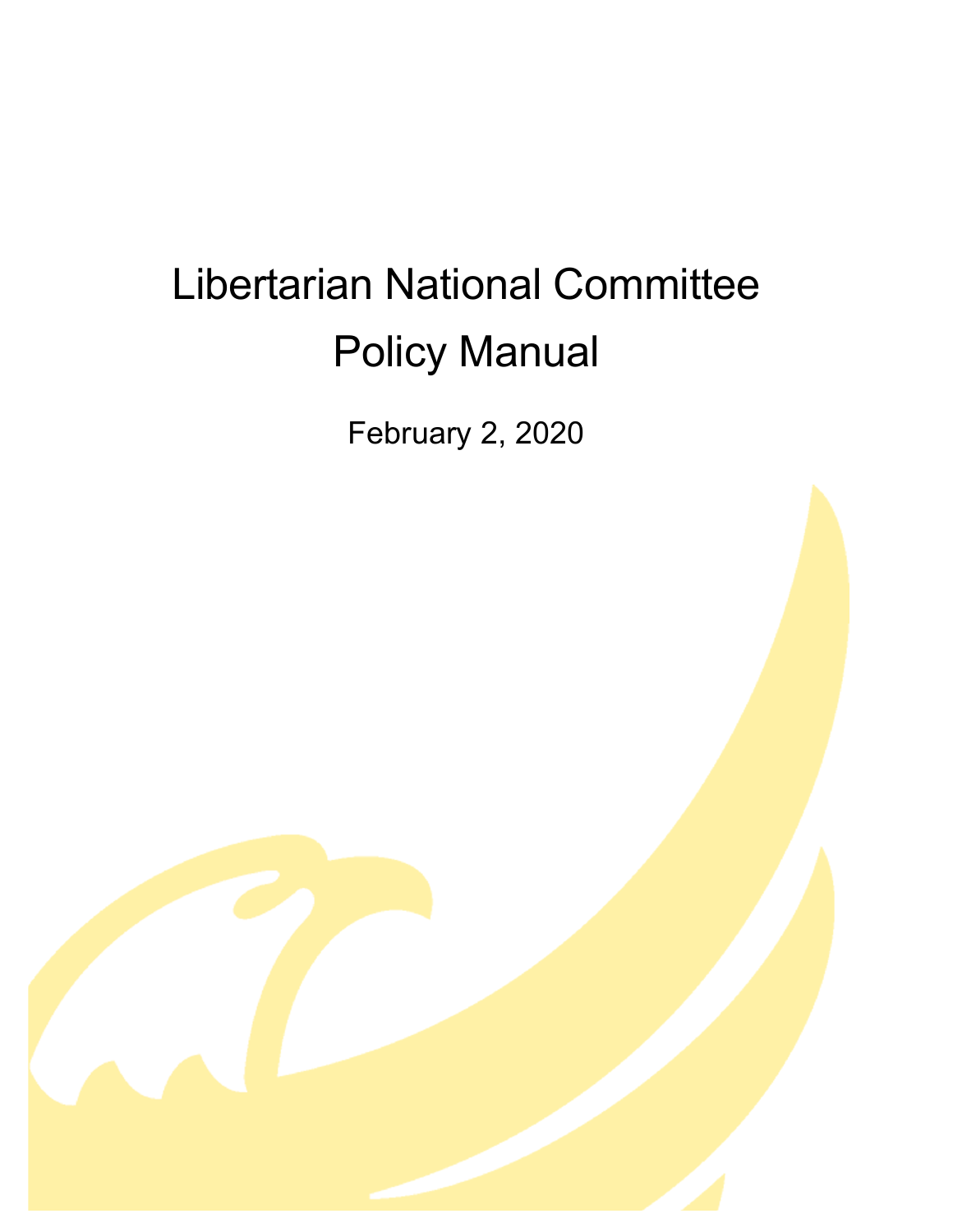# Libertarian National Committee Policy Manual

February 2, 2020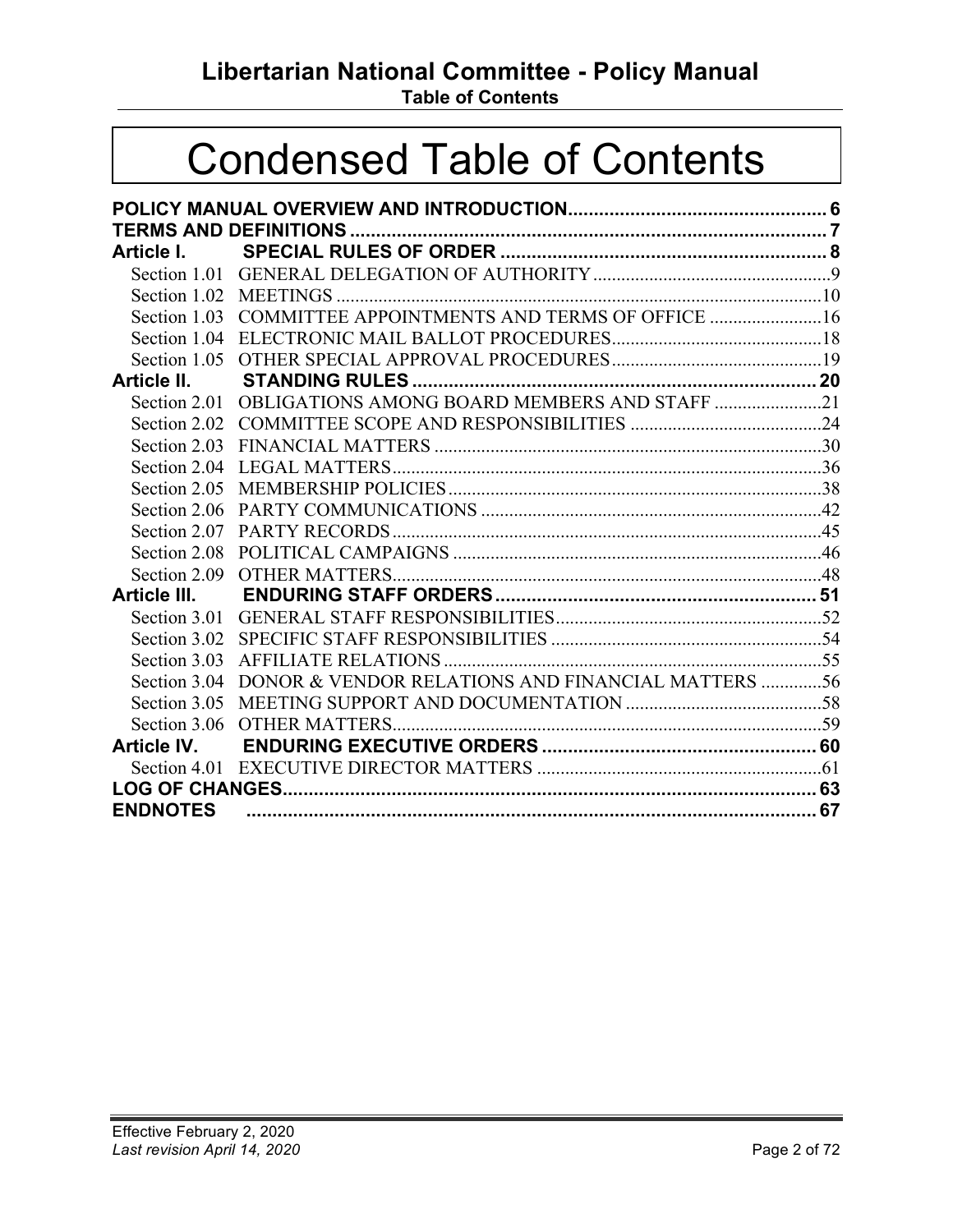## **Libertarian National Committee - Policy Manual**

**Table of Contents**

## Condensed Table of Contents

| Article I.      |                                                                |  |  |
|-----------------|----------------------------------------------------------------|--|--|
|                 |                                                                |  |  |
|                 |                                                                |  |  |
|                 | Section 1.03 COMMITTEE APPOINTMENTS AND TERMS OF OFFICE 16     |  |  |
|                 |                                                                |  |  |
|                 |                                                                |  |  |
| Article II.     |                                                                |  |  |
|                 | Section 2.01 OBLIGATIONS AMONG BOARD MEMBERS AND STAFF 21      |  |  |
|                 |                                                                |  |  |
|                 |                                                                |  |  |
|                 |                                                                |  |  |
|                 |                                                                |  |  |
| Section 2.06    |                                                                |  |  |
|                 |                                                                |  |  |
| Section 2.08    |                                                                |  |  |
|                 |                                                                |  |  |
| Article III.    |                                                                |  |  |
|                 |                                                                |  |  |
|                 |                                                                |  |  |
| Section 3.03    |                                                                |  |  |
|                 | Section 3.04 DONOR & VENDOR RELATIONS AND FINANCIAL MATTERS 56 |  |  |
|                 |                                                                |  |  |
|                 |                                                                |  |  |
|                 |                                                                |  |  |
|                 |                                                                |  |  |
|                 |                                                                |  |  |
| <b>ENDNOTES</b> |                                                                |  |  |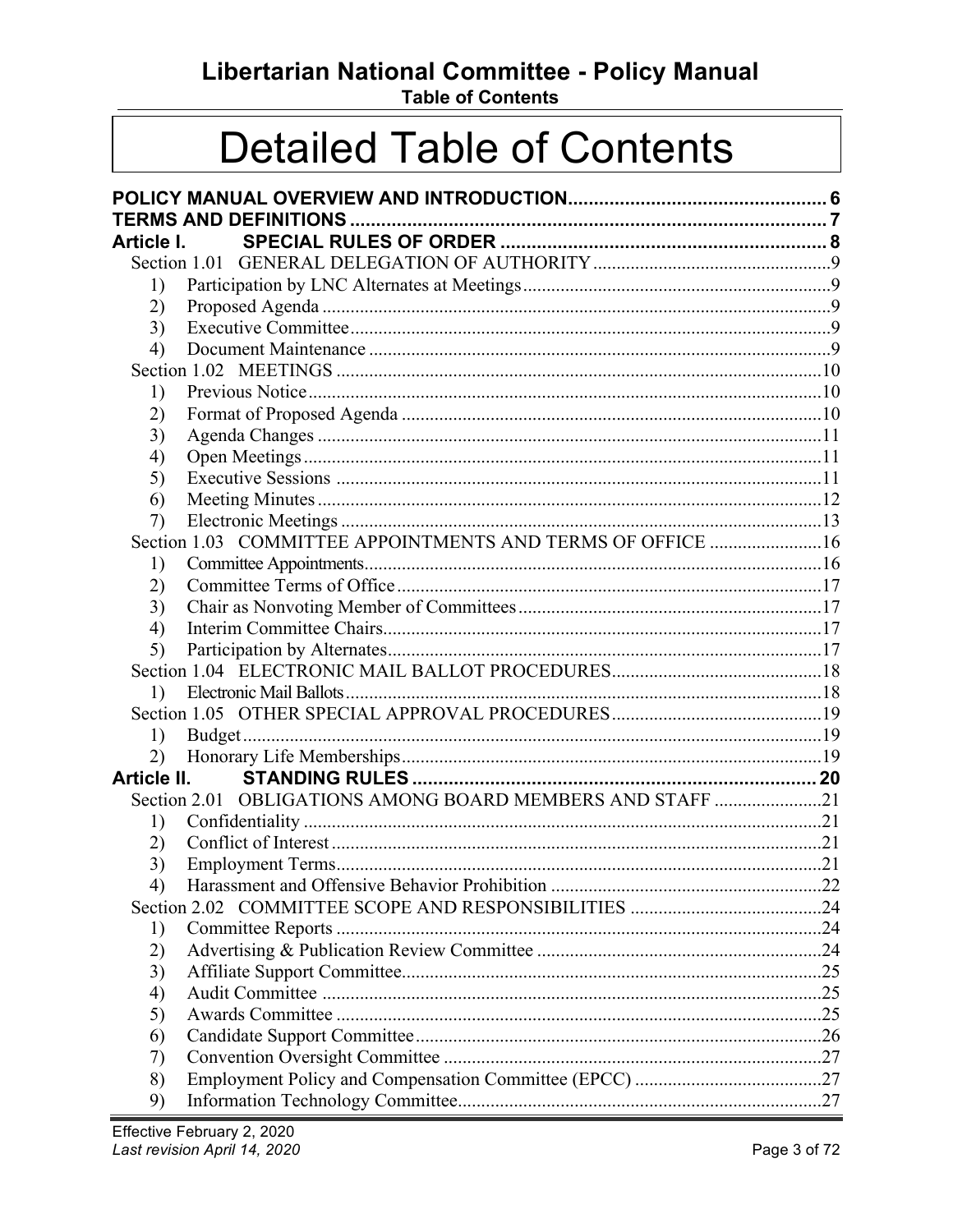Libertarian National Committee - Policy Manual

**Table of Contents** 

## **Detailed Table of Contents**

| Article I. |                                                            |  |
|------------|------------------------------------------------------------|--|
|            |                                                            |  |
| 1)         |                                                            |  |
| 2)         |                                                            |  |
| 3)         |                                                            |  |
| 4)         |                                                            |  |
|            |                                                            |  |
| 1)         |                                                            |  |
| 2)         |                                                            |  |
| 3)         |                                                            |  |
| 4)         |                                                            |  |
| 5)         |                                                            |  |
| 6)         |                                                            |  |
| 7)         |                                                            |  |
|            | Section 1.03 COMMITTEE APPOINTMENTS AND TERMS OF OFFICE 16 |  |
| 1)         |                                                            |  |
| 2)         |                                                            |  |
| 3)         |                                                            |  |
| 4)         |                                                            |  |
| 5)         |                                                            |  |
|            |                                                            |  |
| 1)         |                                                            |  |
|            |                                                            |  |
| 1)         |                                                            |  |
| 2)         |                                                            |  |
|            |                                                            |  |
|            | Section 2.01 OBLIGATIONS AMONG BOARD MEMBERS AND STAFF 21  |  |
| 1)         |                                                            |  |
| 2)         |                                                            |  |
| 3)         |                                                            |  |
| 4)         |                                                            |  |
|            |                                                            |  |
| 1)         |                                                            |  |
| 2)         |                                                            |  |
| 3)         |                                                            |  |
| 4)         |                                                            |  |
| 5)         |                                                            |  |
| 6)         |                                                            |  |
| 7)         |                                                            |  |
| 8)         |                                                            |  |
| 9)         |                                                            |  |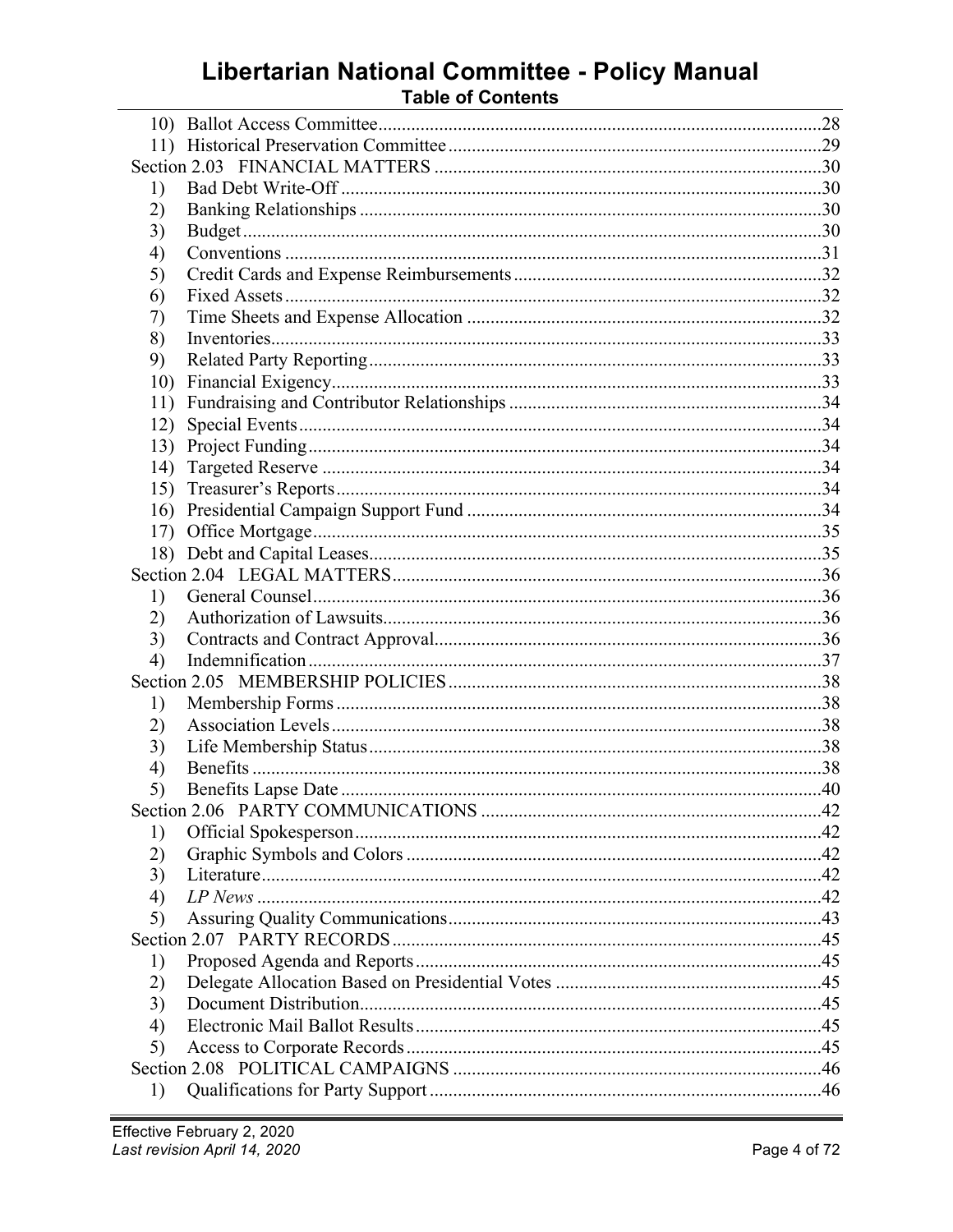# Libertarian National Committee - Policy Manual<br>Table of Contents

| 1)  |  |  |
|-----|--|--|
| 2)  |  |  |
| 3)  |  |  |
| 4)  |  |  |
| 5)  |  |  |
| 6)  |  |  |
| 7)  |  |  |
| 8)  |  |  |
| 9)  |  |  |
| 10) |  |  |
| 11) |  |  |
| 12) |  |  |
| 13) |  |  |
| 14) |  |  |
| 15) |  |  |
| 16) |  |  |
| 17) |  |  |
|     |  |  |
|     |  |  |
| 1)  |  |  |
| 2)  |  |  |
| 3)  |  |  |
| 4)  |  |  |
|     |  |  |
| 1)  |  |  |
| 2)  |  |  |
| 3)  |  |  |
| 4)  |  |  |
| 5)  |  |  |
|     |  |  |
| 1)  |  |  |
| 2)  |  |  |
| 3)  |  |  |
| 4)  |  |  |
| 5)  |  |  |
|     |  |  |
| 1)  |  |  |
| 2)  |  |  |
| 3)  |  |  |
| 4)  |  |  |
| 5)  |  |  |
|     |  |  |
| 1)  |  |  |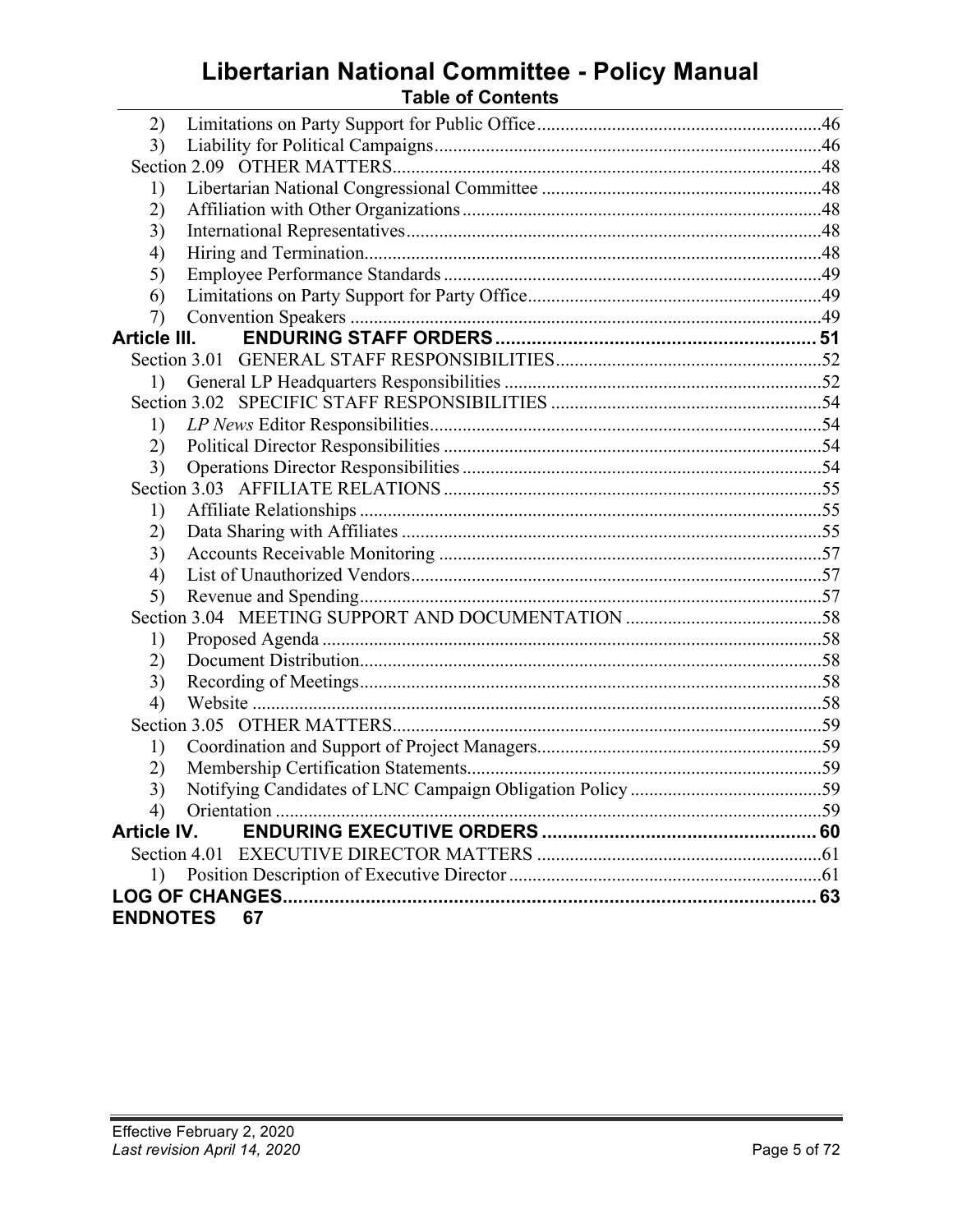## Libertarian National Committee - Policy Manual

| <b>Table of Contents</b> |  |  |  |
|--------------------------|--|--|--|
|--------------------------|--|--|--|

| 2)                 |                    |  |  |
|--------------------|--------------------|--|--|
| 3)                 |                    |  |  |
|                    |                    |  |  |
| 1)                 |                    |  |  |
| 2)                 |                    |  |  |
| 3)                 |                    |  |  |
| 4)                 |                    |  |  |
| 5)                 |                    |  |  |
| 6)                 |                    |  |  |
| 7)                 |                    |  |  |
| Article III.       |                    |  |  |
|                    |                    |  |  |
| 1)                 |                    |  |  |
|                    |                    |  |  |
| 1)                 |                    |  |  |
| 2)                 |                    |  |  |
| 3)                 |                    |  |  |
|                    |                    |  |  |
| 1)                 |                    |  |  |
| 2)                 |                    |  |  |
| 3)                 |                    |  |  |
| 4)                 |                    |  |  |
| 5)                 |                    |  |  |
|                    |                    |  |  |
| 1)                 |                    |  |  |
| 2)                 |                    |  |  |
| 3)                 |                    |  |  |
| 4)                 |                    |  |  |
|                    |                    |  |  |
| 1)                 |                    |  |  |
| 2)                 |                    |  |  |
| 3)                 |                    |  |  |
| 4)                 |                    |  |  |
| <b>Article IV.</b> |                    |  |  |
|                    |                    |  |  |
|                    |                    |  |  |
|                    |                    |  |  |
|                    | <b>ENDNOTES 67</b> |  |  |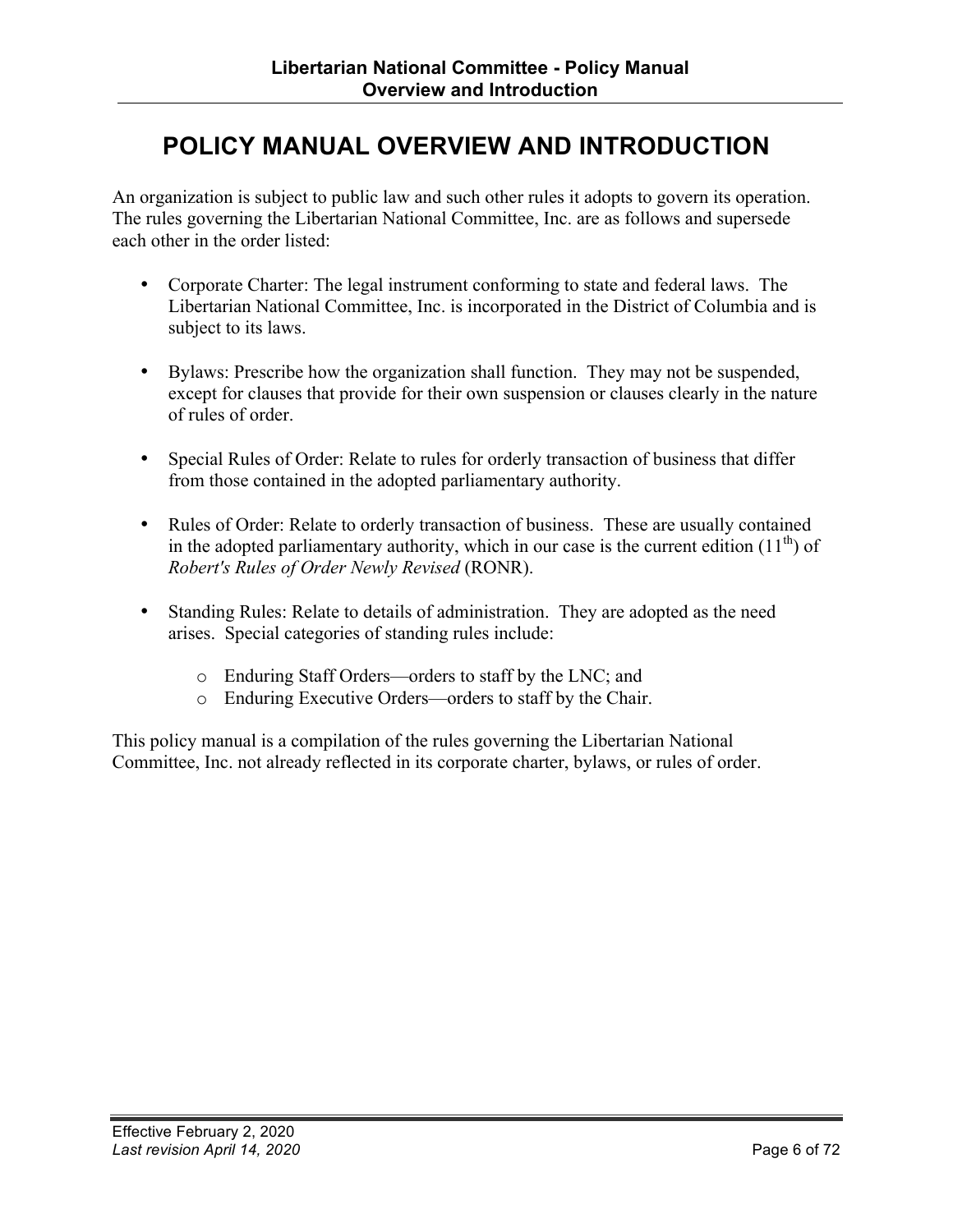### <span id="page-5-0"></span>**POLICY MANUAL OVERVIEW AND INTRODUCTION**

An organization is subject to public law and such other rules it adopts to govern its operation. The rules governing the Libertarian National Committee, Inc. are as follows and supersede each other in the order listed:

- Corporate Charter: The legal instrument conforming to state and federal laws. The Libertarian National Committee, Inc. is incorporated in the District of Columbia and is subject to its laws.
- Bylaws: Prescribe how the organization shall function. They may not be suspended, except for clauses that provide for their own suspension or clauses clearly in the nature of rules of order.
- Special Rules of Order: Relate to rules for orderly transaction of business that differ from those contained in the adopted parliamentary authority.
- Rules of Order: Relate to orderly transaction of business. These are usually contained in the adopted parliamentary authority, which in our case is the current edition  $(11<sup>th</sup>)$  of *Robert's Rules of Order Newly Revised* (RONR).
- Standing Rules: Relate to details of administration. They are adopted as the need arises. Special categories of standing rules include:
	- o Enduring Staff Orders—orders to staff by the LNC; and
	- o Enduring Executive Orders—orders to staff by the Chair.

This policy manual is a compilation of the rules governing the Libertarian National Committee, Inc. not already reflected in its corporate charter, bylaws, or rules of order.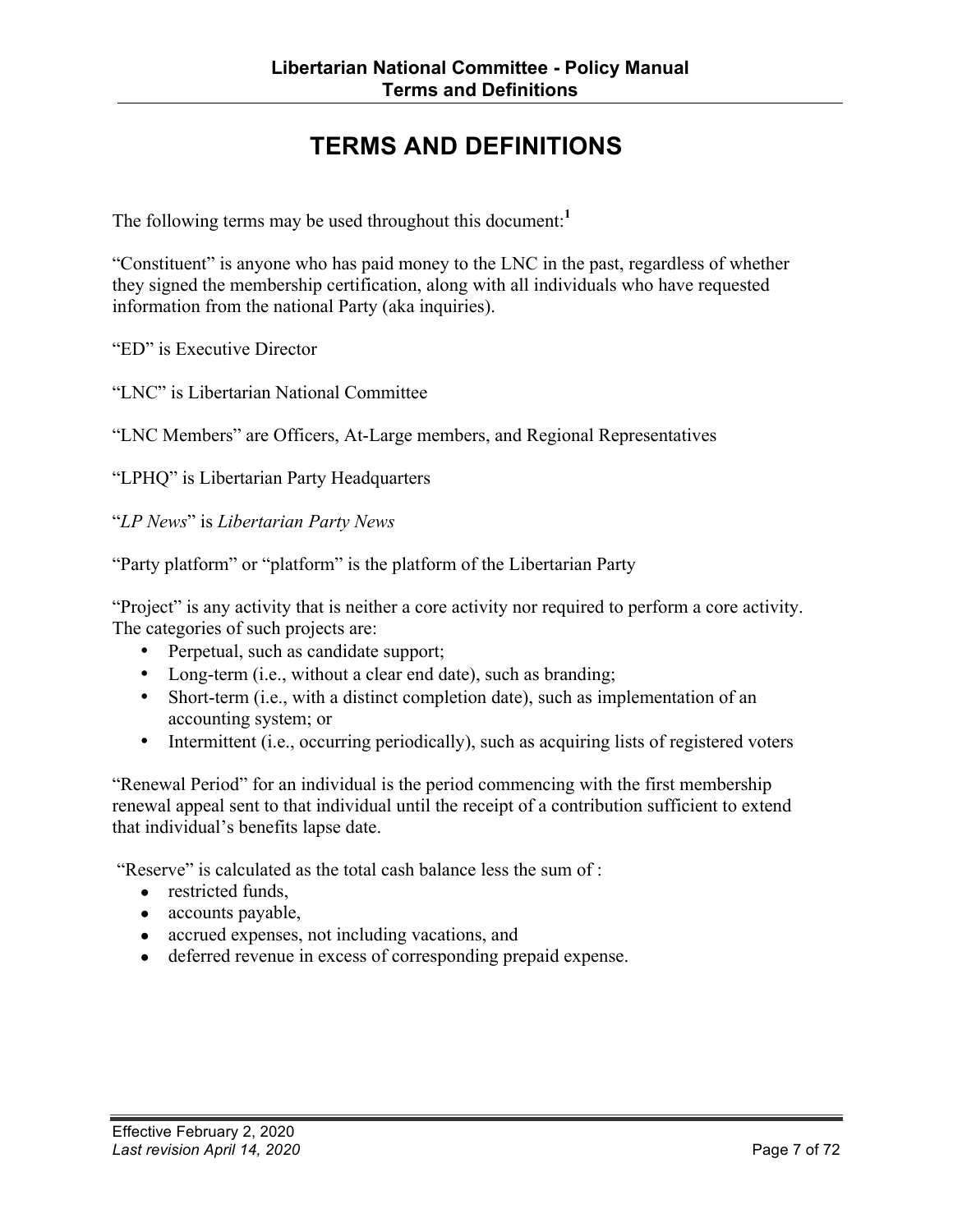## **TERMS AND DEFINITIONS**

<span id="page-6-0"></span>The following terms may be used throughout this document: **1**

"Constituent" is anyone who has paid money to the LNC in the past, regardless of whether they signed the membership certification, along with all individuals who have requested information from the national Party (aka inquiries).

"ED" is Executive Director

"LNC" is Libertarian National Committee

"LNC Members" are Officers, At-Large members, and Regional Representatives

"LPHQ" is Libertarian Party Headquarters

"*LP News*" is *Libertarian Party News*

"Party platform" or "platform" is the platform of the Libertarian Party

"Project" is any activity that is neither a core activity nor required to perform a core activity. The categories of such projects are:

- Perpetual, such as candidate support;
- Long-term (i.e., without a clear end date), such as branding;
- Short-term (i.e., with a distinct completion date), such as implementation of an accounting system; or
- Intermittent (i.e., occurring periodically), such as acquiring lists of registered voters

"Renewal Period" for an individual is the period commencing with the first membership renewal appeal sent to that individual until the receipt of a contribution sufficient to extend that individual's benefits lapse date.

"Reserve" is calculated as the total cash balance less the sum of :

- **●** restricted funds,
- **●** accounts payable,
- **●** accrued expenses, not including vacations, and
- **●** deferred revenue in excess of corresponding prepaid expense.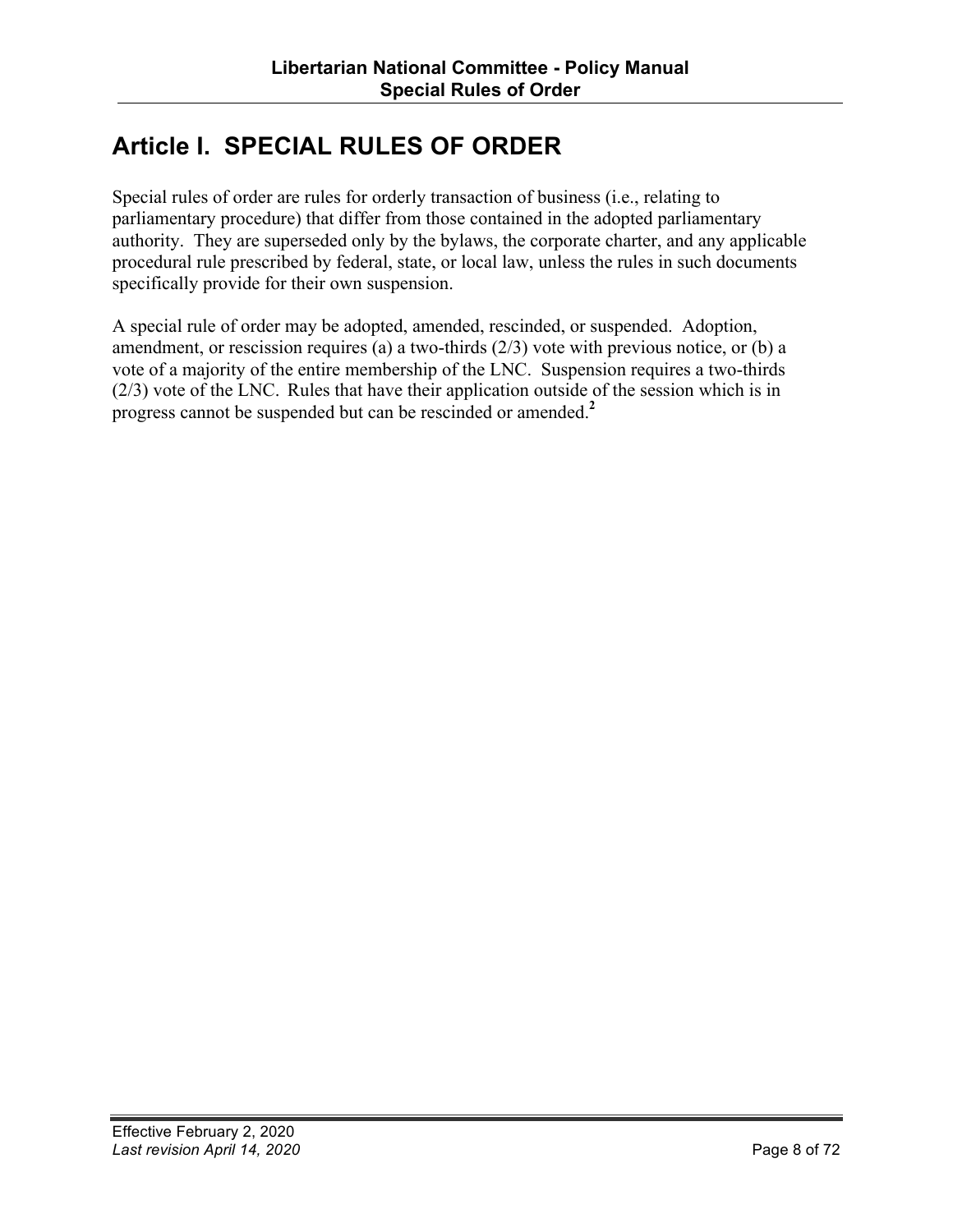## <span id="page-7-0"></span>**Article I. SPECIAL RULES OF ORDER**

Special rules of order are rules for orderly transaction of business (i.e., relating to parliamentary procedure) that differ from those contained in the adopted parliamentary authority. They are superseded only by the bylaws, the corporate charter, and any applicable procedural rule prescribed by federal, state, or local law, unless the rules in such documents specifically provide for their own suspension.

A special rule of order may be adopted, amended, rescinded, or suspended. Adoption, amendment, or rescission requires (a) a two-thirds  $(2/3)$  vote with previous notice, or (b) a vote of a majority of the entire membership of the LNC. Suspension requires a two-thirds (2/3) vote of the LNC. Rules that have their application outside of the session which is in progress cannot be suspended but can be rescinded or amended. **2**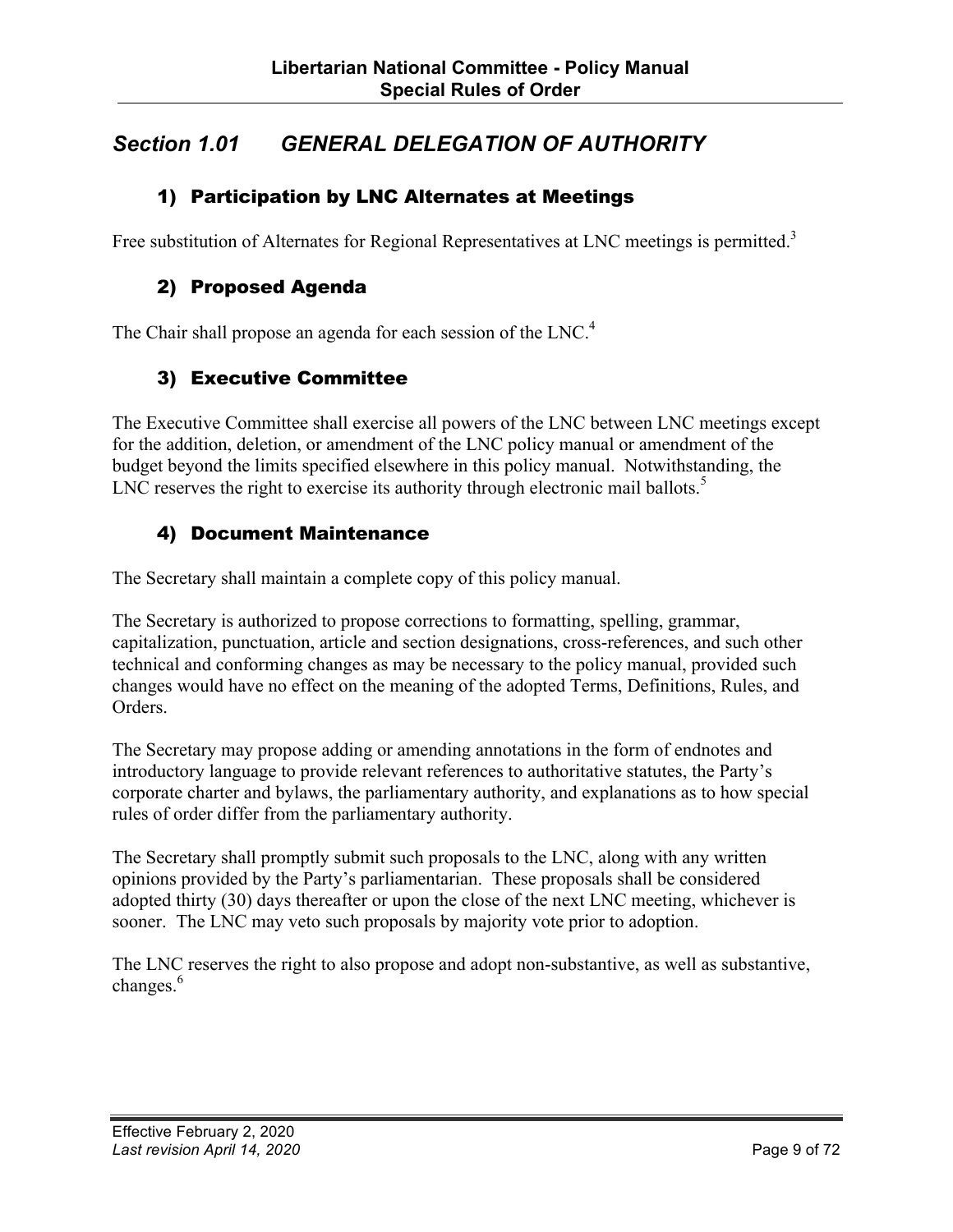#### <span id="page-8-0"></span>*Section 1.01 GENERAL DELEGATION OF AUTHORITY*

#### 1) Participation by LNC Alternates at Meetings

Free substitution of Alternates for Regional Representatives at LNC meetings is permitted.<sup>3</sup>

#### 2) Proposed Agenda

The Chair shall propose an agenda for each session of the LNC.<sup>4</sup>

#### 3) Executive Committee

The Executive Committee shall exercise all powers of the LNC between LNC meetings except for the addition, deletion, or amendment of the LNC policy manual or amendment of the budget beyond the limits specified elsewhere in this policy manual. Notwithstanding, the LNC reserves the right to exercise its authority through electronic mail ballots.<sup>5</sup>

#### 4) Document Maintenance

The Secretary shall maintain a complete copy of this policy manual.

The Secretary is authorized to propose corrections to formatting, spelling, grammar, capitalization, punctuation, article and section designations, cross-references, and such other technical and conforming changes as may be necessary to the policy manual, provided such changes would have no effect on the meaning of the adopted Terms, Definitions, Rules, and Orders.

The Secretary may propose adding or amending annotations in the form of endnotes and introductory language to provide relevant references to authoritative statutes, the Party's corporate charter and bylaws, the parliamentary authority, and explanations as to how special rules of order differ from the parliamentary authority.

The Secretary shall promptly submit such proposals to the LNC, along with any written opinions provided by the Party's parliamentarian. These proposals shall be considered adopted thirty (30) days thereafter or upon the close of the next LNC meeting, whichever is sooner. The LNC may veto such proposals by majority vote prior to adoption.

The LNC reserves the right to also propose and adopt non-substantive, as well as substantive, changes.<sup>6</sup>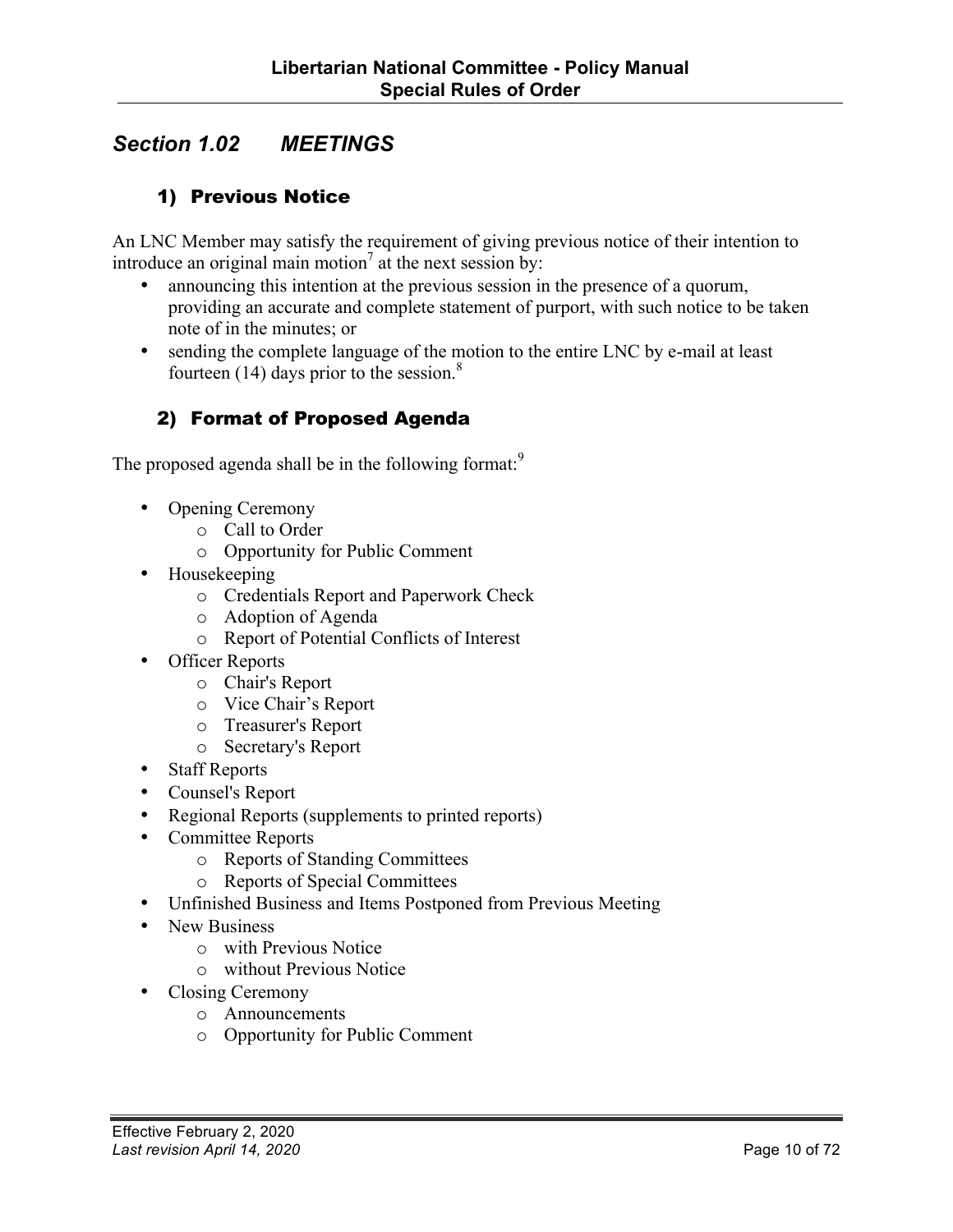#### <span id="page-9-0"></span>*Section 1.02 MEETINGS*

#### 1) Previous Notice

An LNC Member may satisfy the requirement of giving previous notice of their intention to introduce an original main motion<sup>7</sup> at the next session by:

- announcing this intention at the previous session in the presence of a quorum, providing an accurate and complete statement of purport, with such notice to be taken note of in the minutes; or
- sending the complete language of the motion to the entire LNC by e-mail at least fourteen (14) days prior to the session.<sup>8</sup>

#### 2) Format of Proposed Agenda

The proposed agenda shall be in the following format:<sup>9</sup>

- Opening Ceremony
	- o Call to Order
	- o Opportunity for Public Comment
- Housekeeping
	- o Credentials Report and Paperwork Check
	- o Adoption of Agenda
	- o Report of Potential Conflicts of Interest
- Officer Reports
	- o Chair's Report
	- o Vice Chair's Report
	- o Treasurer's Report
	- o Secretary's Report
- Staff Reports
- Counsel's Report
- Regional Reports (supplements to printed reports)
- Committee Reports
	- o Reports of Standing Committees
	- o Reports of Special Committees
- Unfinished Business and Items Postponed from Previous Meeting
- New Business
	- o with Previous Notice
	- o without Previous Notice
- Closing Ceremony
	- o Announcements
	- o Opportunity for Public Comment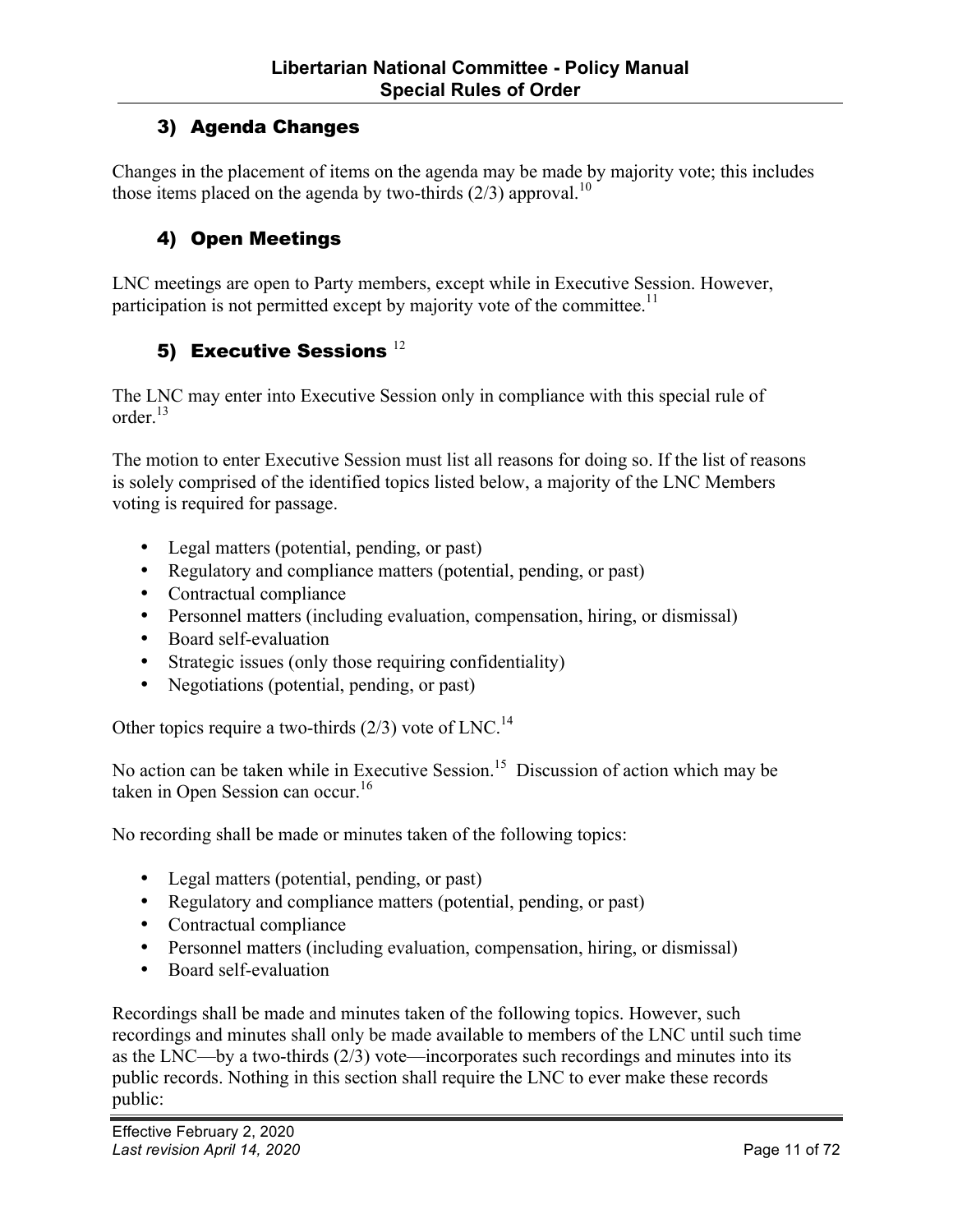#### <span id="page-10-0"></span>3) Agenda Changes

Changes in the placement of items on the agenda may be made by majority vote; this includes those items placed on the agenda by two-thirds  $(2/3)$  approval.<sup>10</sup>

#### 4) Open Meetings

LNC meetings are open to Party members, except while in Executive Session. However, participation is not permitted except by majority vote of the committee.<sup>11</sup>

#### 5) Executive Sessions  $^{12}$

The LNC may enter into Executive Session only in compliance with this special rule of order $^{13}$ 

The motion to enter Executive Session must list all reasons for doing so. If the list of reasons is solely comprised of the identified topics listed below, a majority of the LNC Members voting is required for passage.

- Legal matters (potential, pending, or past)
- Regulatory and compliance matters (potential, pending, or past)
- Contractual compliance
- Personnel matters (including evaluation, compensation, hiring, or dismissal)
- Board self-evaluation
- Strategic issues (only those requiring confidentiality)
- Negotiations (potential, pending, or past)

Other topics require a two-thirds  $(2/3)$  vote of LNC.<sup>14</sup>

No action can be taken while in Executive Session.<sup>15</sup> Discussion of action which may be taken in Open Session can occur.<sup>16</sup>

No recording shall be made or minutes taken of the following topics:

- Legal matters (potential, pending, or past)
- Regulatory and compliance matters (potential, pending, or past)
- Contractual compliance
- Personnel matters (including evaluation, compensation, hiring, or dismissal)
- Board self-evaluation

Recordings shall be made and minutes taken of the following topics. However, such recordings and minutes shall only be made available to members of the LNC until such time as the LNC—by a two-thirds (2/3) vote—incorporates such recordings and minutes into its public records. Nothing in this section shall require the LNC to ever make these records public: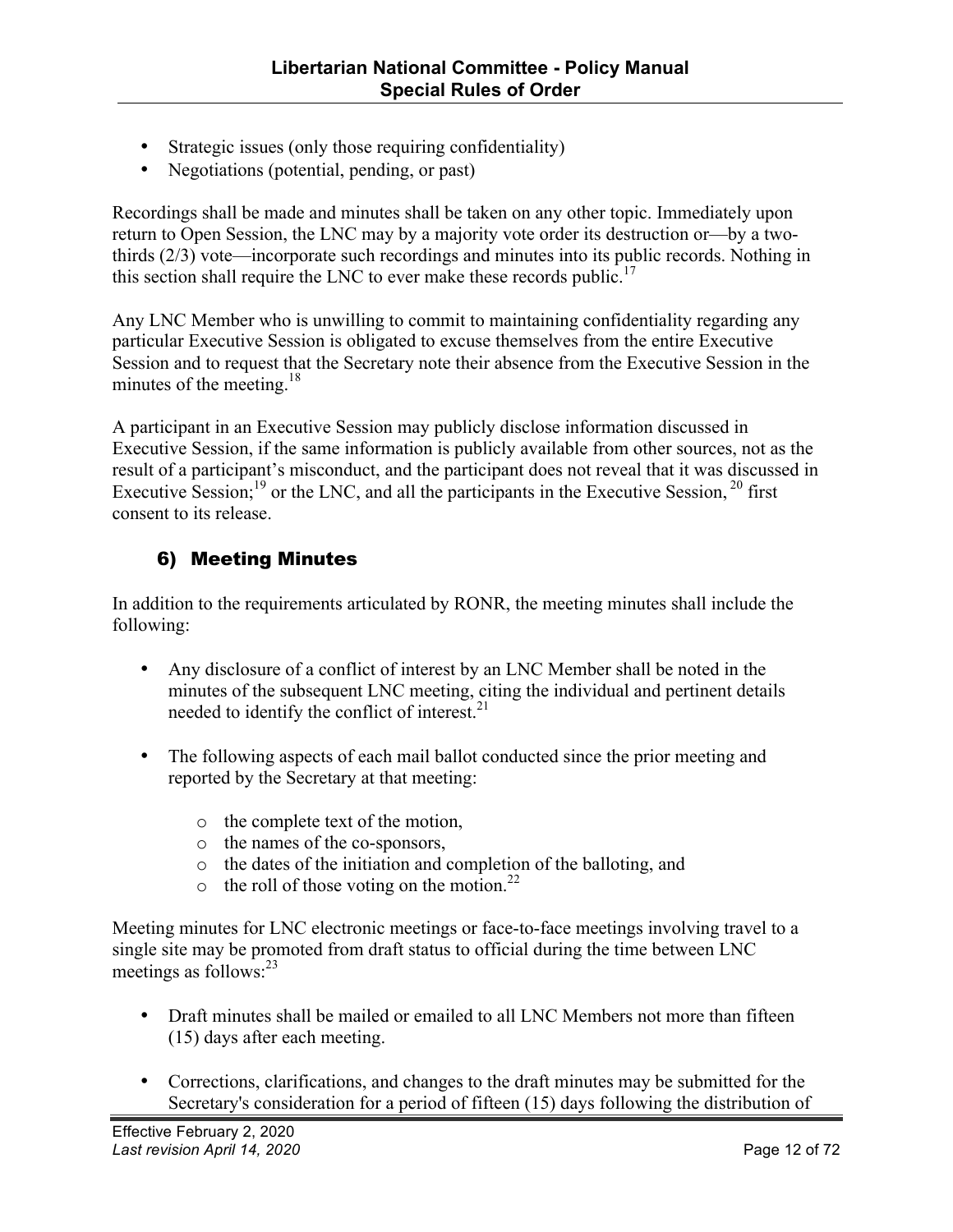- <span id="page-11-0"></span>• Strategic issues (only those requiring confidentiality)
- Negotiations (potential, pending, or past)

Recordings shall be made and minutes shall be taken on any other topic. Immediately upon return to Open Session, the LNC may by a majority vote order its destruction or—by a twothirds (2/3) vote—incorporate such recordings and minutes into its public records. Nothing in this section shall require the LNC to ever make these records public.<sup>17</sup>

Any LNC Member who is unwilling to commit to maintaining confidentiality regarding any particular Executive Session is obligated to excuse themselves from the entire Executive Session and to request that the Secretary note their absence from the Executive Session in the minutes of the meeting.<sup>18</sup>

A participant in an Executive Session may publicly disclose information discussed in Executive Session, if the same information is publicly available from other sources, not as the result of a participant's misconduct, and the participant does not reveal that it was discussed in Executive Session;<sup>19</sup> or the LNC, and all the participants in the Executive Session,<sup>20</sup> first consent to its release.

#### 6) Meeting Minutes

In addition to the requirements articulated by RONR, the meeting minutes shall include the following:

- Any disclosure of a conflict of interest by an LNC Member shall be noted in the minutes of the subsequent LNC meeting, citing the individual and pertinent details needed to identify the conflict of interest.<sup>21</sup>
- The following aspects of each mail ballot conducted since the prior meeting and reported by the Secretary at that meeting:
	- o the complete text of the motion,
	- o the names of the co-sponsors,
	- o the dates of the initiation and completion of the balloting, and
	- $\circ$  the roll of those voting on the motion.<sup>22</sup>

Meeting minutes for LNC electronic meetings or face-to-face meetings involving travel to a single site may be promoted from draft status to official during the time between LNC meetings as follows:<sup>23</sup>

- Draft minutes shall be mailed or emailed to all LNC Members not more than fifteen (15) days after each meeting.
- Corrections, clarifications, and changes to the draft minutes may be submitted for the Secretary's consideration for a period of fifteen (15) days following the distribution of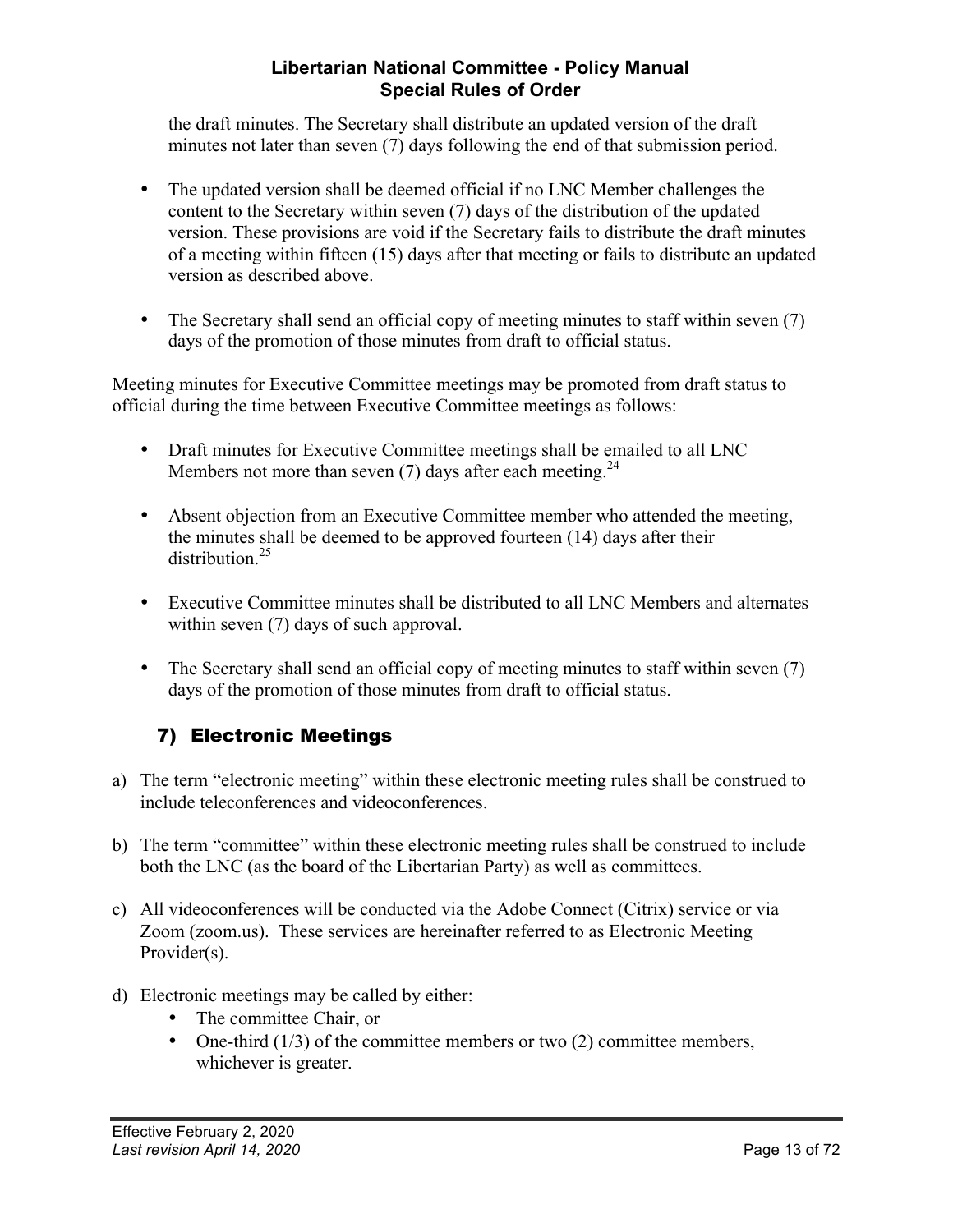#### **Libertarian National Committee - Policy Manual Special Rules of Order**

<span id="page-12-0"></span>the draft minutes. The Secretary shall distribute an updated version of the draft minutes not later than seven (7) days following the end of that submission period.

- The updated version shall be deemed official if no LNC Member challenges the content to the Secretary within seven (7) days of the distribution of the updated version. These provisions are void if the Secretary fails to distribute the draft minutes of a meeting within fifteen (15) days after that meeting or fails to distribute an updated version as described above.
- The Secretary shall send an official copy of meeting minutes to staff within seven (7) days of the promotion of those minutes from draft to official status.

Meeting minutes for Executive Committee meetings may be promoted from draft status to official during the time between Executive Committee meetings as follows:

- Draft minutes for Executive Committee meetings shall be emailed to all LNC Members not more than seven (7) days after each meeting.<sup>24</sup>
- Absent objection from an Executive Committee member who attended the meeting, the minutes shall be deemed to be approved fourteen (14) days after their distribution  $^{25}$
- Executive Committee minutes shall be distributed to all LNC Members and alternates within seven (7) days of such approval.
- The Secretary shall send an official copy of meeting minutes to staff within seven (7) days of the promotion of those minutes from draft to official status.

#### 7) Electronic Meetings

- a) The term "electronic meeting" within these electronic meeting rules shall be construed to include teleconferences and videoconferences.
- b) The term "committee" within these electronic meeting rules shall be construed to include both the LNC (as the board of the Libertarian Party) as well as committees.
- c) All videoconferences will be conducted via the Adobe Connect (Citrix) service or via Zoom (zoom.us). These services are hereinafter referred to as Electronic Meeting Provider(s).
- d) Electronic meetings may be called by either:
	- The committee Chair, or
	- One-third  $(1/3)$  of the committee members or two  $(2)$  committee members, whichever is greater.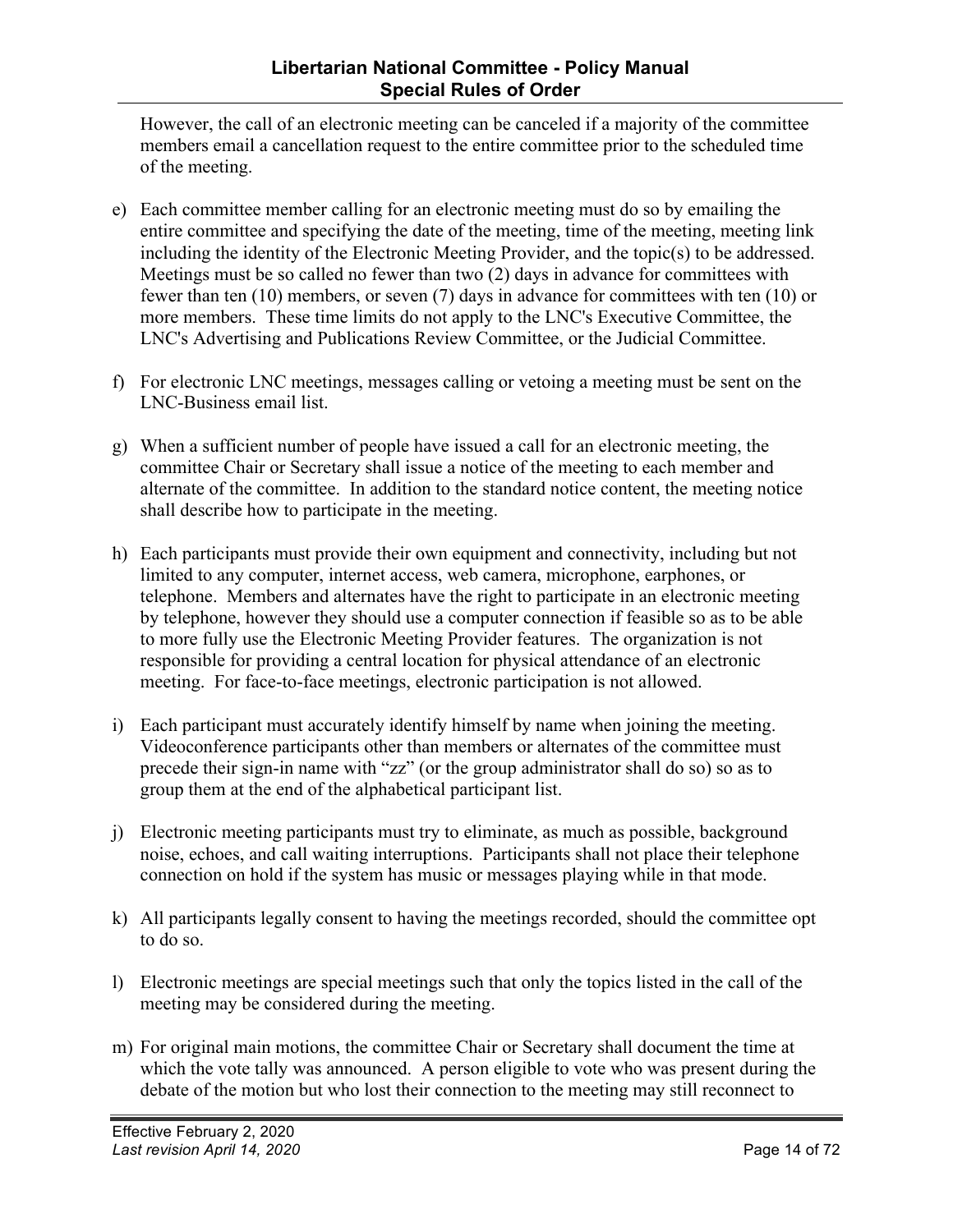However, the call of an electronic meeting can be canceled if a majority of the committee members email a cancellation request to the entire committee prior to the scheduled time of the meeting.

- e) Each committee member calling for an electronic meeting must do so by emailing the entire committee and specifying the date of the meeting, time of the meeting, meeting link including the identity of the Electronic Meeting Provider, and the topic(s) to be addressed. Meetings must be so called no fewer than two (2) days in advance for committees with fewer than ten (10) members, or seven (7) days in advance for committees with ten (10) or more members. These time limits do not apply to the LNC's Executive Committee, the LNC's Advertising and Publications Review Committee, or the Judicial Committee.
- f) For electronic LNC meetings, messages calling or vetoing a meeting must be sent on the LNC-Business email list.
- g) When a sufficient number of people have issued a call for an electronic meeting, the committee Chair or Secretary shall issue a notice of the meeting to each member and alternate of the committee. In addition to the standard notice content, the meeting notice shall describe how to participate in the meeting.
- h) Each participants must provide their own equipment and connectivity, including but not limited to any computer, internet access, web camera, microphone, earphones, or telephone. Members and alternates have the right to participate in an electronic meeting by telephone, however they should use a computer connection if feasible so as to be able to more fully use the Electronic Meeting Provider features. The organization is not responsible for providing a central location for physical attendance of an electronic meeting. For face-to-face meetings, electronic participation is not allowed.
- i) Each participant must accurately identify himself by name when joining the meeting. Videoconference participants other than members or alternates of the committee must precede their sign-in name with "zz" (or the group administrator shall do so) so as to group them at the end of the alphabetical participant list.
- j) Electronic meeting participants must try to eliminate, as much as possible, background noise, echoes, and call waiting interruptions. Participants shall not place their telephone connection on hold if the system has music or messages playing while in that mode.
- k) All participants legally consent to having the meetings recorded, should the committee opt to do so.
- l) Electronic meetings are special meetings such that only the topics listed in the call of the meeting may be considered during the meeting.
- m) For original main motions, the committee Chair or Secretary shall document the time at which the vote tally was announced. A person eligible to vote who was present during the debate of the motion but who lost their connection to the meeting may still reconnect to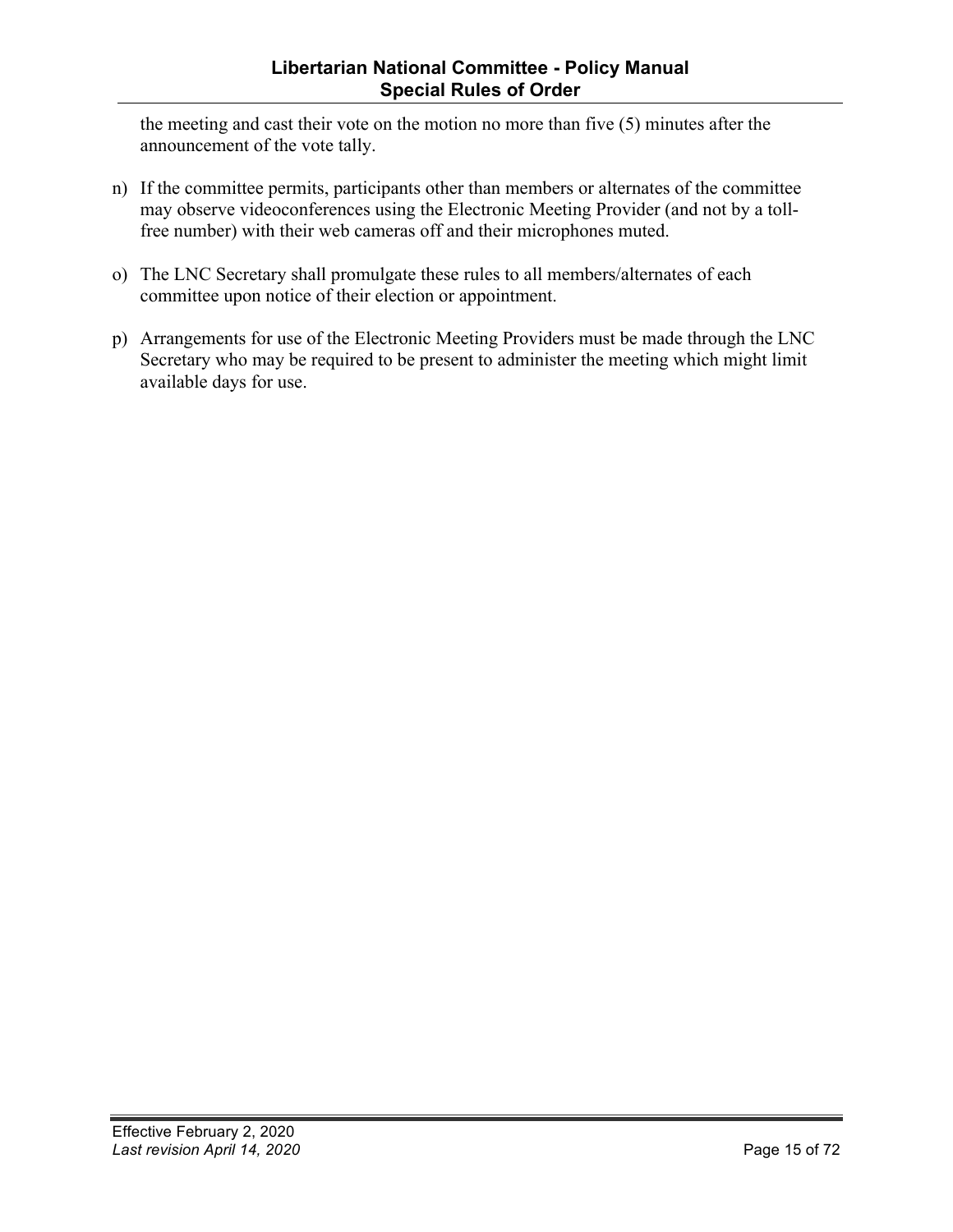#### **Libertarian National Committee - Policy Manual Special Rules of Order**

the meeting and cast their vote on the motion no more than five (5) minutes after the announcement of the vote tally.

- n) If the committee permits, participants other than members or alternates of the committee may observe videoconferences using the Electronic Meeting Provider (and not by a tollfree number) with their web cameras off and their microphones muted.
- o) The LNC Secretary shall promulgate these rules to all members/alternates of each committee upon notice of their election or appointment.
- p) Arrangements for use of the Electronic Meeting Providers must be made through the LNC Secretary who may be required to be present to administer the meeting which might limit available days for use.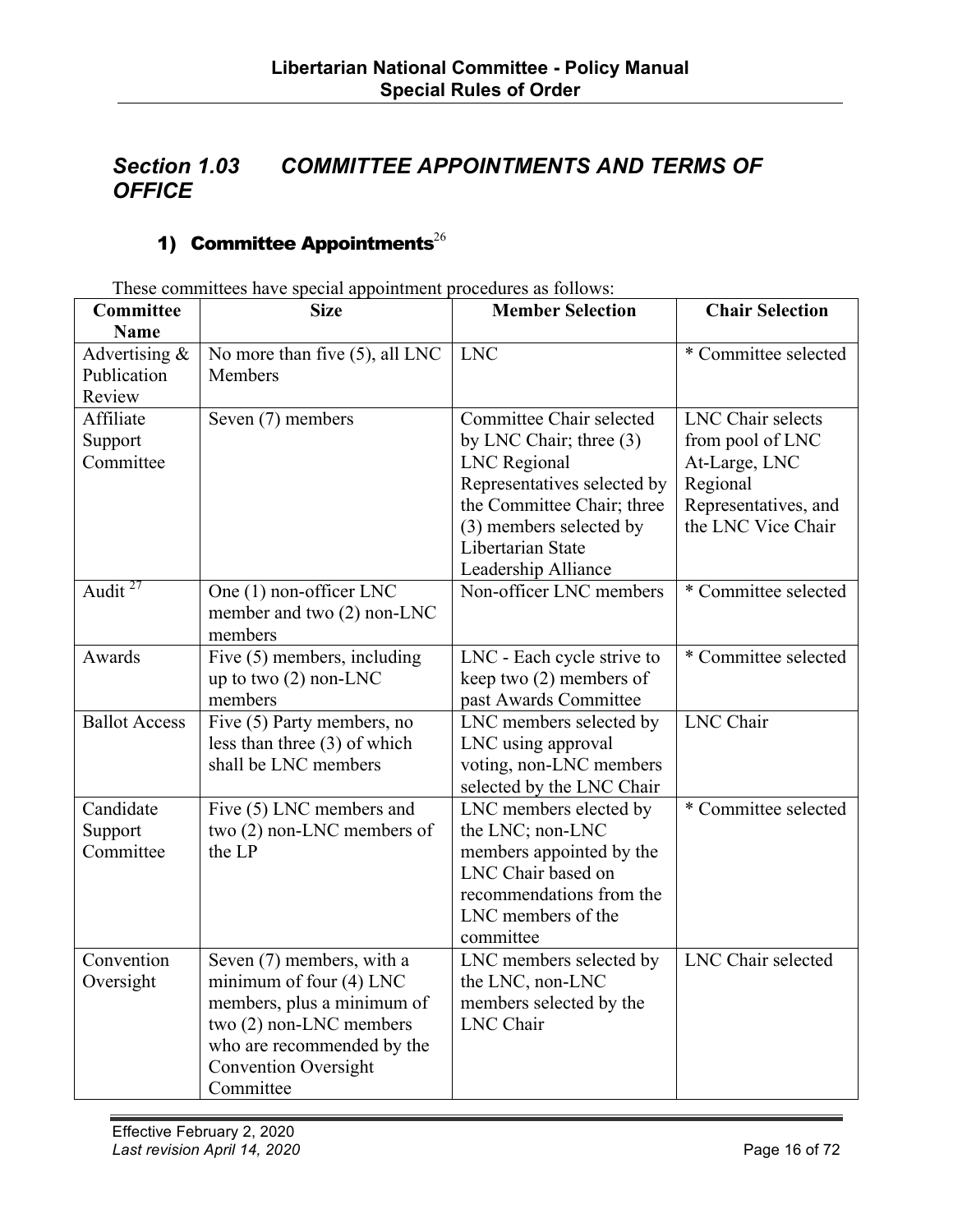#### <span id="page-15-0"></span>*Section 1.03 COMMITTEE APPOINTMENTS AND TERMS OF OFFICE*

#### 1) Committee Appointments<sup>26</sup>

**Committee Name Size Member Selection Chair Selection** Advertising & Publication Review No more than five (5), all LNC **Members** LNC  $*$  Committee selected Affiliate Support Committee Seven (7) members Committee Chair selected by LNC Chair; three (3) LNC Regional Representatives selected by the Committee Chair; three (3) members selected by Libertarian State Leadership Alliance LNC Chair selects from pool of LNC At-Large, LNC Regional Representatives, and the LNC Vice Chair Audit  $27$  One (1) non-officer LNC member and two (2) non-LNC members Non-officer LNC members  $*$  Committee selected Awards Five (5) members, including up to two (2) non-LNC members LNC - Each cycle strive to keep two (2) members of past Awards Committee \* Committee selected Ballot Access Five (5) Party members, no less than three (3) of which shall be LNC members LNC members selected by LNC using approval voting, non-LNC members selected by the LNC Chair LNC Chair Candidate Support **Committee** Five (5) LNC members and two (2) non-LNC members of the LP LNC members elected by the LNC; non-LNC members appointed by the LNC Chair based on recommendations from the LNC members of the committee \* Committee selected Convention Oversight Seven (7) members, with a minimum of four (4) LNC members, plus a minimum of two (2) non-LNC members who are recommended by the Convention Oversight Committee LNC members selected by the LNC, non-LNC members selected by the LNC Chair LNC Chair selected

These committees have special appointment procedures as follows: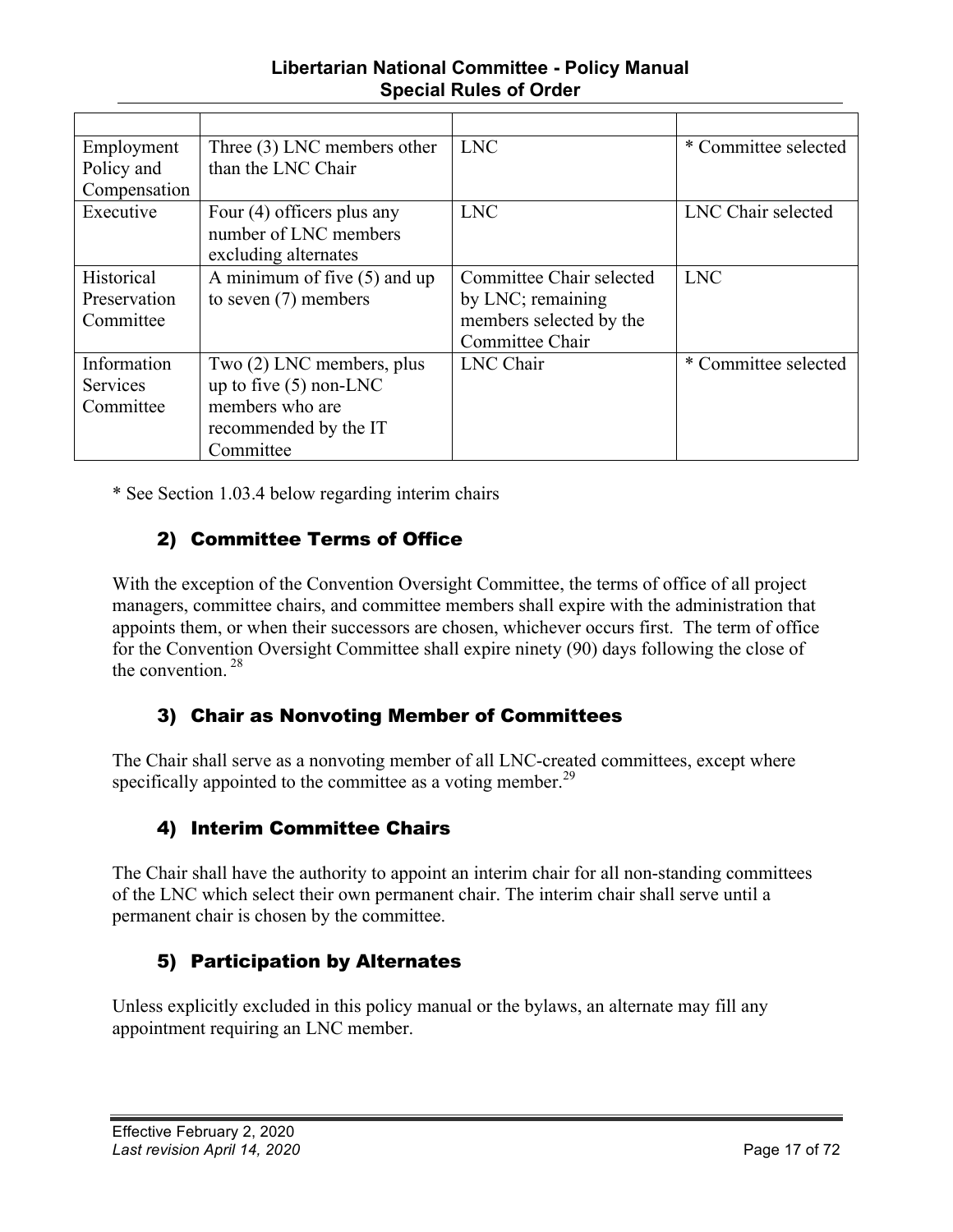#### **Libertarian National Committee - Policy Manual Special Rules of Order**

<span id="page-16-0"></span>

| Employment      | Three $(3)$ LNC members other  | <b>LNC</b>               | * Committee selected |
|-----------------|--------------------------------|--------------------------|----------------------|
| Policy and      | than the LNC Chair             |                          |                      |
| Compensation    |                                |                          |                      |
| Executive       | Four $(4)$ officers plus any   | <b>LNC</b>               | LNC Chair selected   |
|                 | number of LNC members          |                          |                      |
|                 | excluding alternates           |                          |                      |
| Historical      | A minimum of five $(5)$ and up | Committee Chair selected | <b>LNC</b>           |
| Preservation    | to seven $(7)$ members         | by LNC; remaining        |                      |
| Committee       |                                | members selected by the  |                      |
|                 |                                | Committee Chair          |                      |
| Information     | Two (2) LNC members, plus      | <b>LNC</b> Chair         | * Committee selected |
| <b>Services</b> | up to five $(5)$ non-LNC       |                          |                      |
| Committee       | members who are                |                          |                      |
|                 | recommended by the IT          |                          |                      |
|                 | Committee                      |                          |                      |

\* See Section 1.03.4 below regarding interim chairs

#### 2) Committee Terms of Office

With the exception of the Convention Oversight Committee, the terms of office of all project managers, committee chairs, and committee members shall expire with the administration that appoints them, or when their successors are chosen, whichever occurs first. The term of office for the Convention Oversight Committee shall expire ninety (90) days following the close of the convention. <sup>28</sup>

#### 3) Chair as Nonvoting Member of Committees

The Chair shall serve as a nonvoting member of all LNC-created committees, except where specifically appointed to the committee as a voting member.<sup>29</sup>

#### 4) Interim Committee Chairs

The Chair shall have the authority to appoint an interim chair for all non-standing committees of the LNC which select their own permanent chair. The interim chair shall serve until a permanent chair is chosen by the committee.

#### 5) Participation by Alternates

Unless explicitly excluded in this policy manual or the bylaws, an alternate may fill any appointment requiring an LNC member.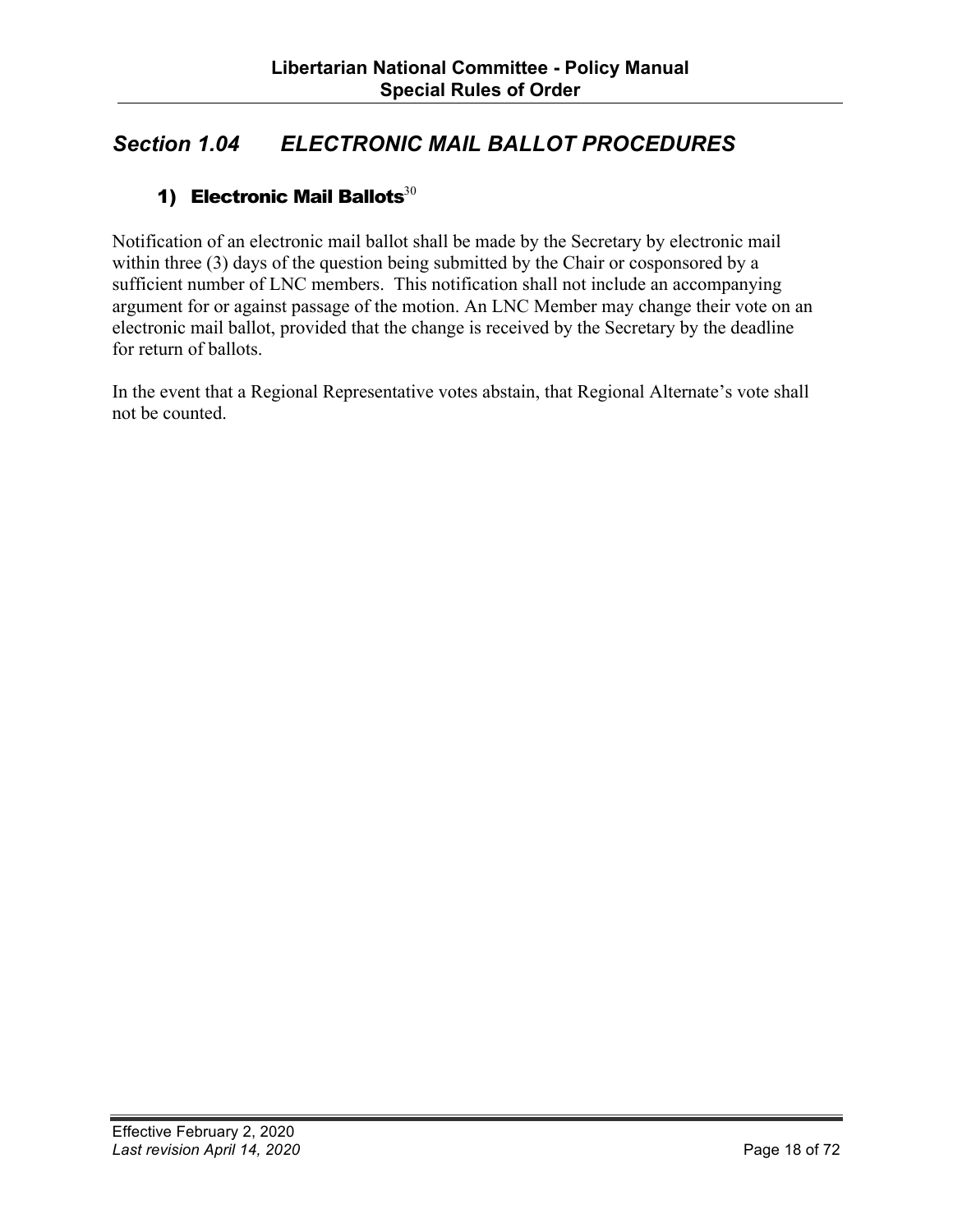#### <span id="page-17-0"></span>*Section 1.04 ELECTRONIC MAIL BALLOT PROCEDURES*

#### 1) Electronic Mail Ballots $30$

Notification of an electronic mail ballot shall be made by the Secretary by electronic mail within three (3) days of the question being submitted by the Chair or cosponsored by a sufficient number of LNC members. This notification shall not include an accompanying argument for or against passage of the motion. An LNC Member may change their vote on an electronic mail ballot, provided that the change is received by the Secretary by the deadline for return of ballots.

In the event that a Regional Representative votes abstain, that Regional Alternate's vote shall not be counted.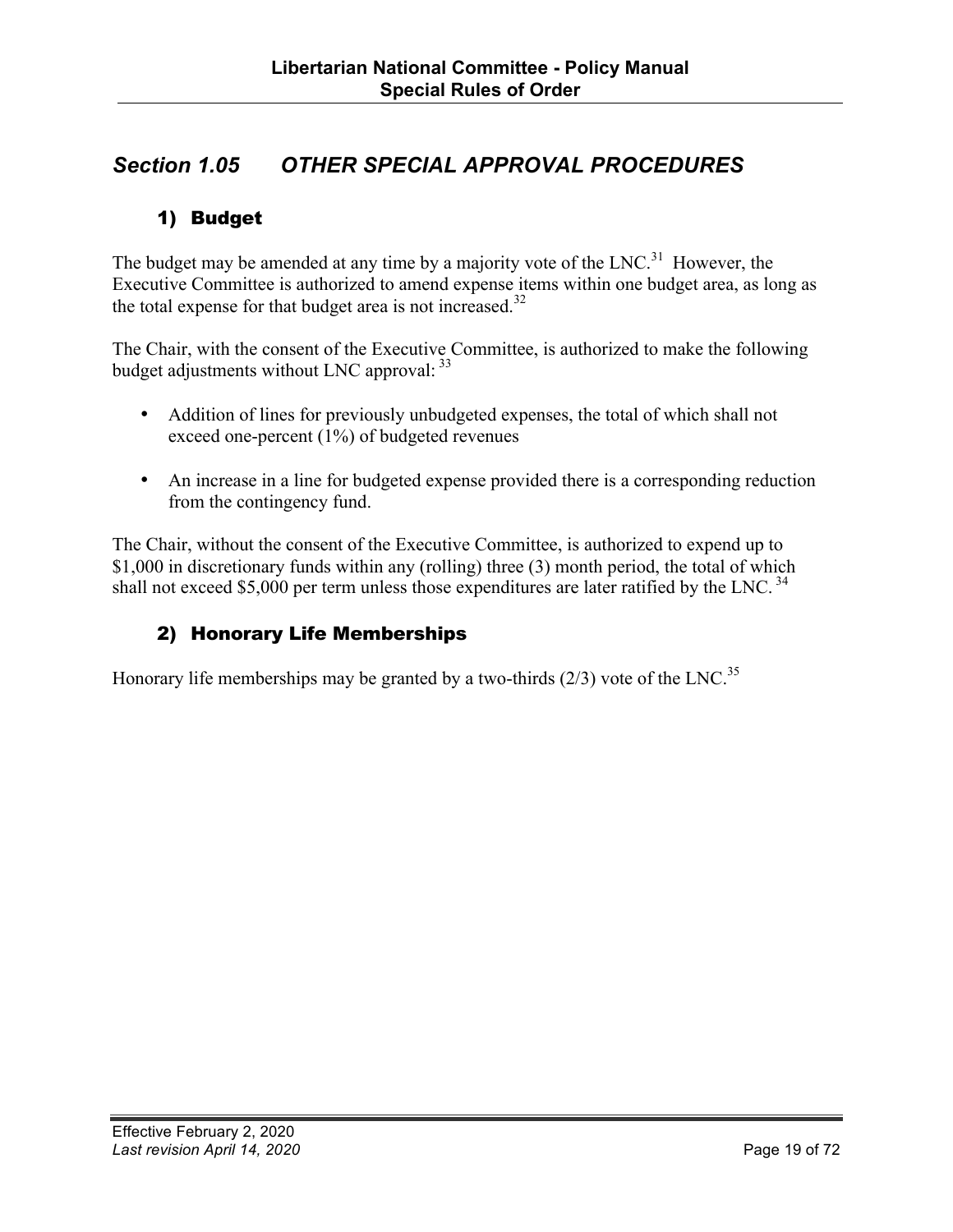#### <span id="page-18-0"></span>*Section 1.05 OTHER SPECIAL APPROVAL PROCEDURES*

#### 1) Budget

The budget may be amended at any time by a majority vote of the  $LNC<sup>31</sup>$  However, the Executive Committee is authorized to amend expense items within one budget area, as long as the total expense for that budget area is not increased.<sup>32</sup>

The Chair, with the consent of the Executive Committee, is authorized to make the following budget adjustments without LNC approval:  $33$ 

- Addition of lines for previously unbudgeted expenses, the total of which shall not exceed one-percent (1%) of budgeted revenues
- An increase in a line for budgeted expense provided there is a corresponding reduction from the contingency fund.

The Chair, without the consent of the Executive Committee, is authorized to expend up to \$1,000 in discretionary funds within any (rolling) three (3) month period, the total of which shall not exceed \$5,000 per term unless those expenditures are later ratified by the LNC.<sup>34</sup>

#### 2) Honorary Life Memberships

Honorary life memberships may be granted by a two-thirds  $(2/3)$  vote of the LNC.<sup>35</sup>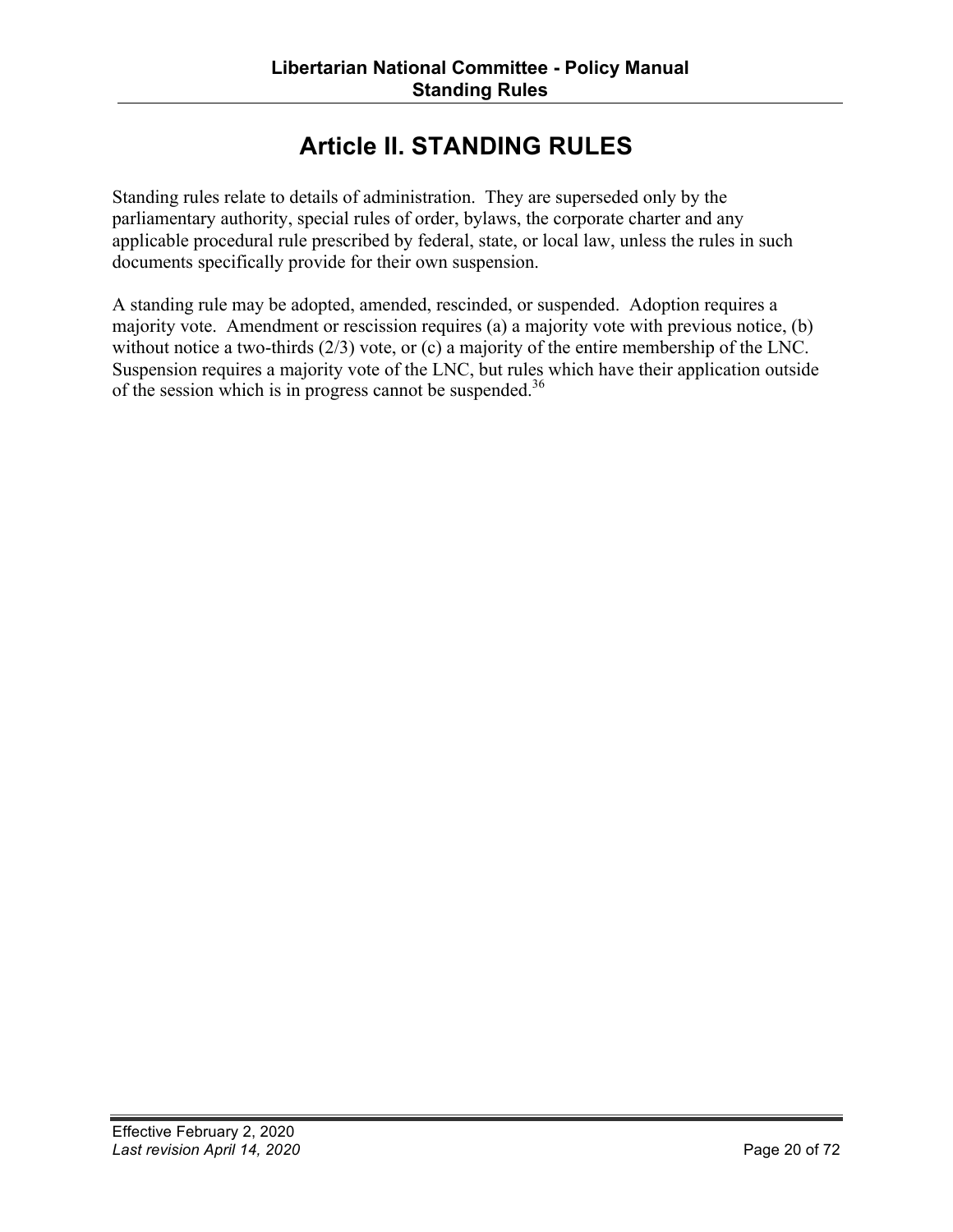## **Article II. STANDING RULES**

<span id="page-19-0"></span>Standing rules relate to details of administration. They are superseded only by the parliamentary authority, special rules of order, bylaws, the corporate charter and any applicable procedural rule prescribed by federal, state, or local law, unless the rules in such documents specifically provide for their own suspension.

A standing rule may be adopted, amended, rescinded, or suspended. Adoption requires a majority vote. Amendment or rescission requires (a) a majority vote with previous notice, (b) without notice a two-thirds (2/3) vote, or (c) a majority of the entire membership of the LNC. Suspension requires a majority vote of the LNC, but rules which have their application outside of the session which is in progress cannot be suspended.<sup>36</sup>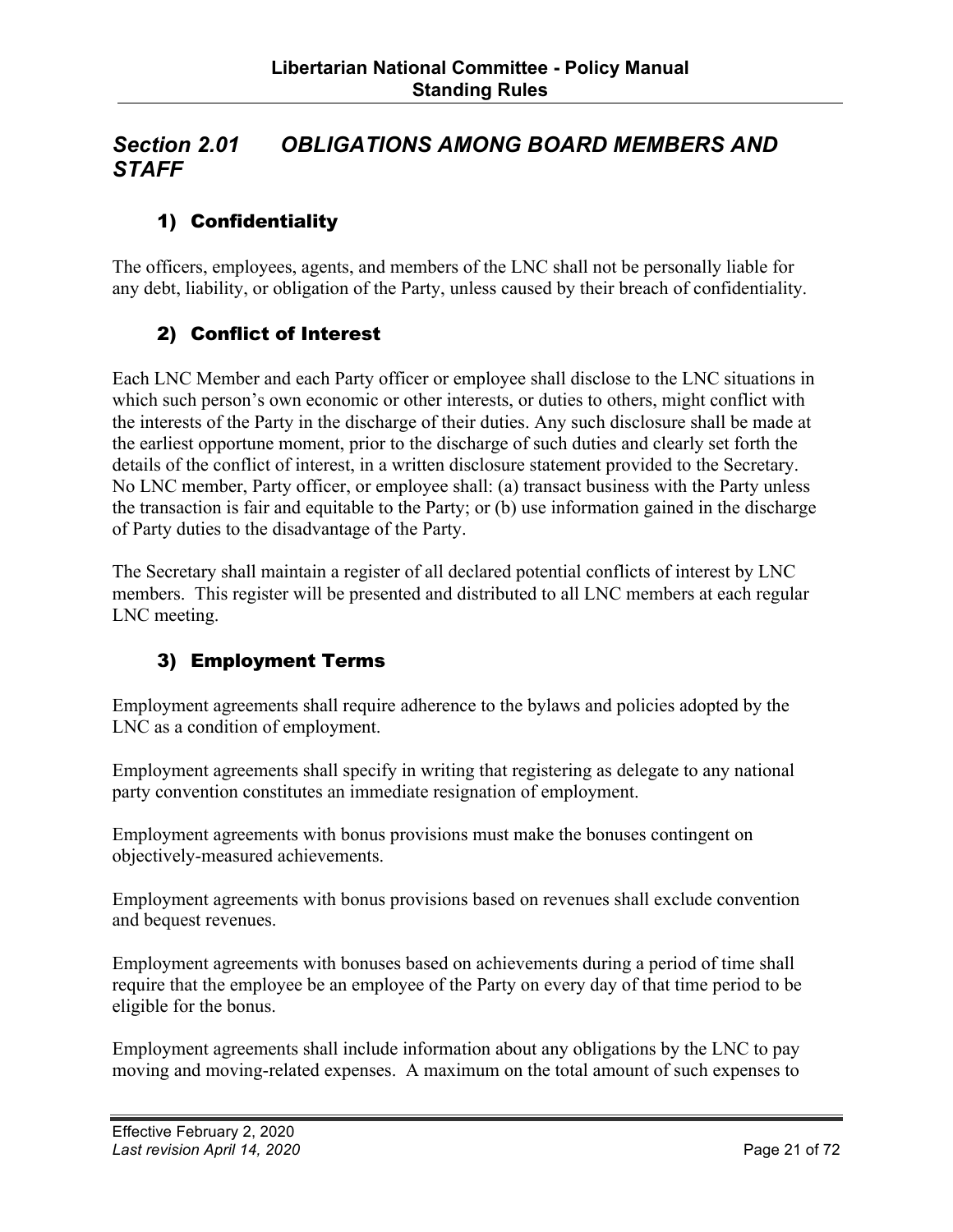#### <span id="page-20-0"></span>*Section 2.01 OBLIGATIONS AMONG BOARD MEMBERS AND STAFF*

#### 1) Confidentiality

The officers, employees, agents, and members of the LNC shall not be personally liable for any debt, liability, or obligation of the Party, unless caused by their breach of confidentiality.

#### 2) Conflict of Interest

Each LNC Member and each Party officer or employee shall disclose to the LNC situations in which such person's own economic or other interests, or duties to others, might conflict with the interests of the Party in the discharge of their duties. Any such disclosure shall be made at the earliest opportune moment, prior to the discharge of such duties and clearly set forth the details of the conflict of interest, in a written disclosure statement provided to the Secretary. No LNC member, Party officer, or employee shall: (a) transact business with the Party unless the transaction is fair and equitable to the Party; or (b) use information gained in the discharge of Party duties to the disadvantage of the Party.

The Secretary shall maintain a register of all declared potential conflicts of interest by LNC members. This register will be presented and distributed to all LNC members at each regular LNC meeting.

#### 3) Employment Terms

Employment agreements shall require adherence to the bylaws and policies adopted by the LNC as a condition of employment.

Employment agreements shall specify in writing that registering as delegate to any national party convention constitutes an immediate resignation of employment.

Employment agreements with bonus provisions must make the bonuses contingent on objectively-measured achievements.

Employment agreements with bonus provisions based on revenues shall exclude convention and bequest revenues.

Employment agreements with bonuses based on achievements during a period of time shall require that the employee be an employee of the Party on every day of that time period to be eligible for the bonus.

Employment agreements shall include information about any obligations by the LNC to pay moving and moving-related expenses. A maximum on the total amount of such expenses to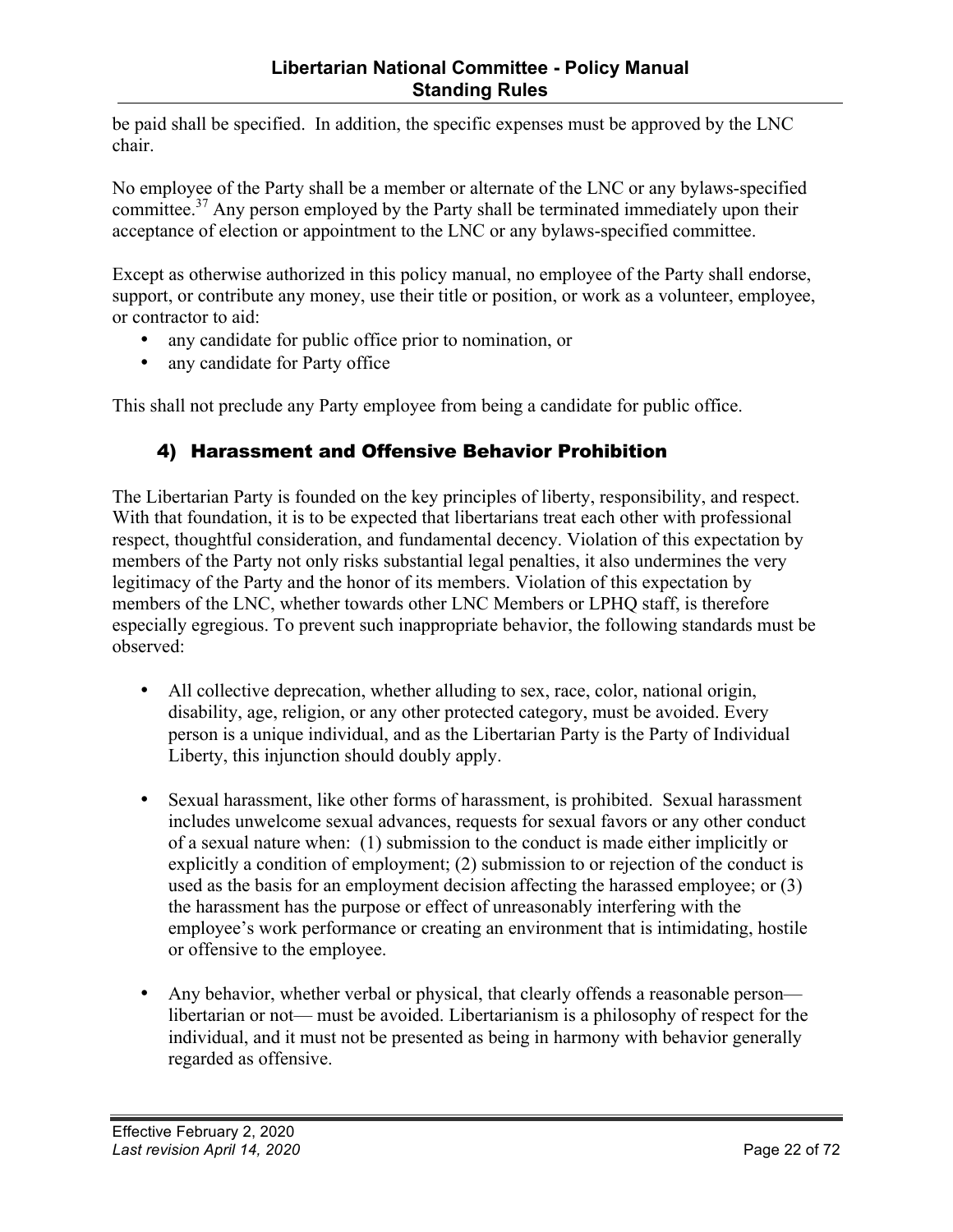<span id="page-21-0"></span>be paid shall be specified. In addition, the specific expenses must be approved by the LNC chair.

No employee of the Party shall be a member or alternate of the LNC or any bylaws-specified committee.<sup>37</sup> Any person employed by the Party shall be terminated immediately upon their acceptance of election or appointment to the LNC or any bylaws-specified committee.

Except as otherwise authorized in this policy manual, no employee of the Party shall endorse, support, or contribute any money, use their title or position, or work as a volunteer, employee, or contractor to aid:

- any candidate for public office prior to nomination, or
- any candidate for Party office

This shall not preclude any Party employee from being a candidate for public office.

#### 4) Harassment and Offensive Behavior Prohibition

The Libertarian Party is founded on the key principles of liberty, responsibility, and respect. With that foundation, it is to be expected that libertarians treat each other with professional respect, thoughtful consideration, and fundamental decency. Violation of this expectation by members of the Party not only risks substantial legal penalties, it also undermines the very legitimacy of the Party and the honor of its members. Violation of this expectation by members of the LNC, whether towards other LNC Members or LPHQ staff, is therefore especially egregious. To prevent such inappropriate behavior, the following standards must be observed:

- All collective deprecation, whether alluding to sex, race, color, national origin, disability, age, religion, or any other protected category, must be avoided. Every person is a unique individual, and as the Libertarian Party is the Party of Individual Liberty, this injunction should doubly apply.
- Sexual harassment, like other forms of harassment, is prohibited. Sexual harassment includes unwelcome sexual advances, requests for sexual favors or any other conduct of a sexual nature when: (1) submission to the conduct is made either implicitly or explicitly a condition of employment; (2) submission to or rejection of the conduct is used as the basis for an employment decision affecting the harassed employee; or (3) the harassment has the purpose or effect of unreasonably interfering with the employee's work performance or creating an environment that is intimidating, hostile or offensive to the employee.
- Any behavior, whether verbal or physical, that clearly offends a reasonable person libertarian or not— must be avoided. Libertarianism is a philosophy of respect for the individual, and it must not be presented as being in harmony with behavior generally regarded as offensive.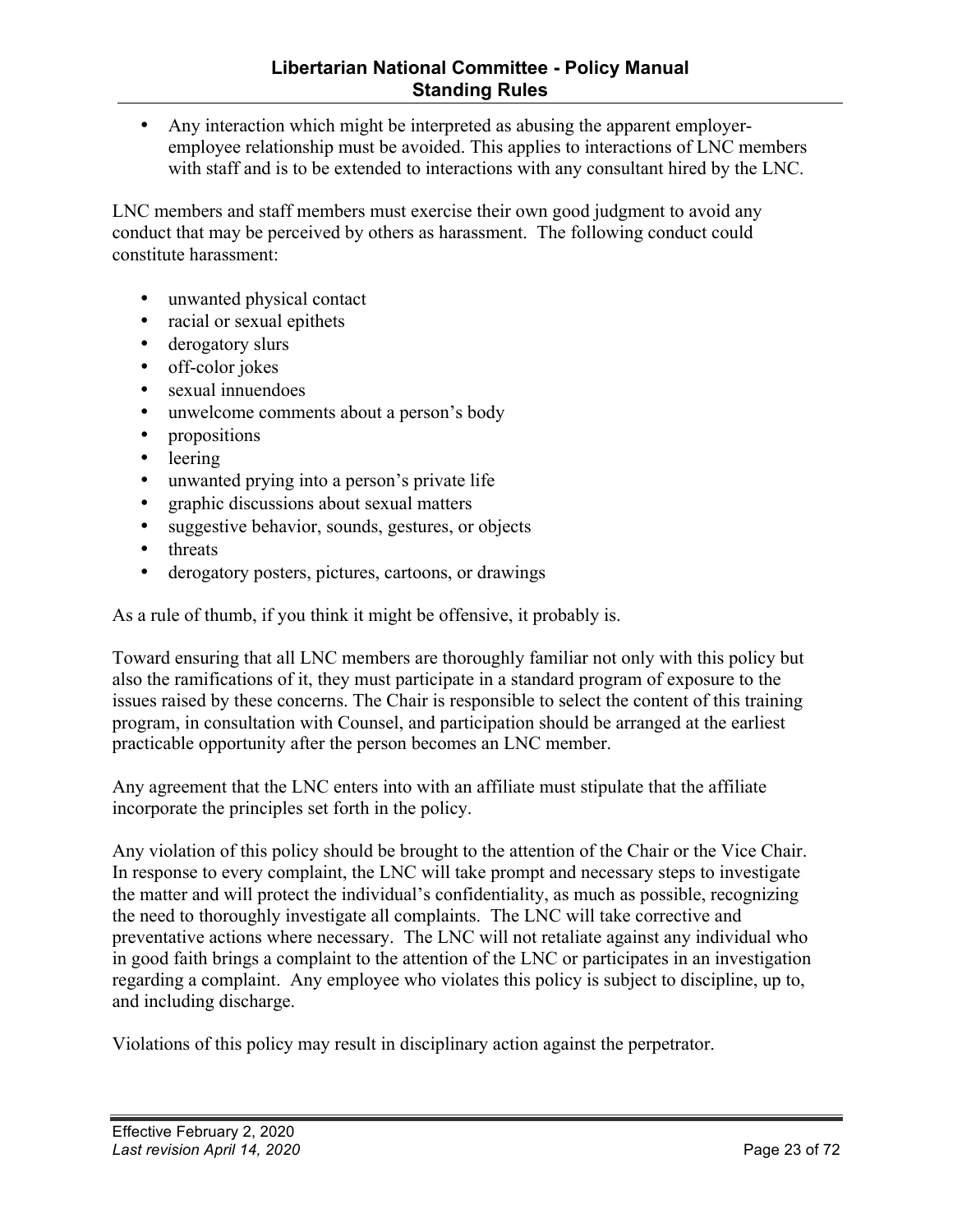• Any interaction which might be interpreted as abusing the apparent employeremployee relationship must be avoided. This applies to interactions of LNC members with staff and is to be extended to interactions with any consultant hired by the LNC.

LNC members and staff members must exercise their own good judgment to avoid any conduct that may be perceived by others as harassment. The following conduct could constitute harassment:

- unwanted physical contact
- racial or sexual epithets
- derogatory slurs
- off-color jokes
- sexual innuendoes
- unwelcome comments about a person's body
- propositions
- leering
- unwanted prying into a person's private life
- graphic discussions about sexual matters
- suggestive behavior, sounds, gestures, or objects
- threats
- derogatory posters, pictures, cartoons, or drawings

As a rule of thumb, if you think it might be offensive, it probably is.

Toward ensuring that all LNC members are thoroughly familiar not only with this policy but also the ramifications of it, they must participate in a standard program of exposure to the issues raised by these concerns. The Chair is responsible to select the content of this training program, in consultation with Counsel, and participation should be arranged at the earliest practicable opportunity after the person becomes an LNC member.

Any agreement that the LNC enters into with an affiliate must stipulate that the affiliate incorporate the principles set forth in the policy.

Any violation of this policy should be brought to the attention of the Chair or the Vice Chair. In response to every complaint, the LNC will take prompt and necessary steps to investigate the matter and will protect the individual's confidentiality, as much as possible, recognizing the need to thoroughly investigate all complaints. The LNC will take corrective and preventative actions where necessary. The LNC will not retaliate against any individual who in good faith brings a complaint to the attention of the LNC or participates in an investigation regarding a complaint. Any employee who violates this policy is subject to discipline, up to, and including discharge.

Violations of this policy may result in disciplinary action against the perpetrator.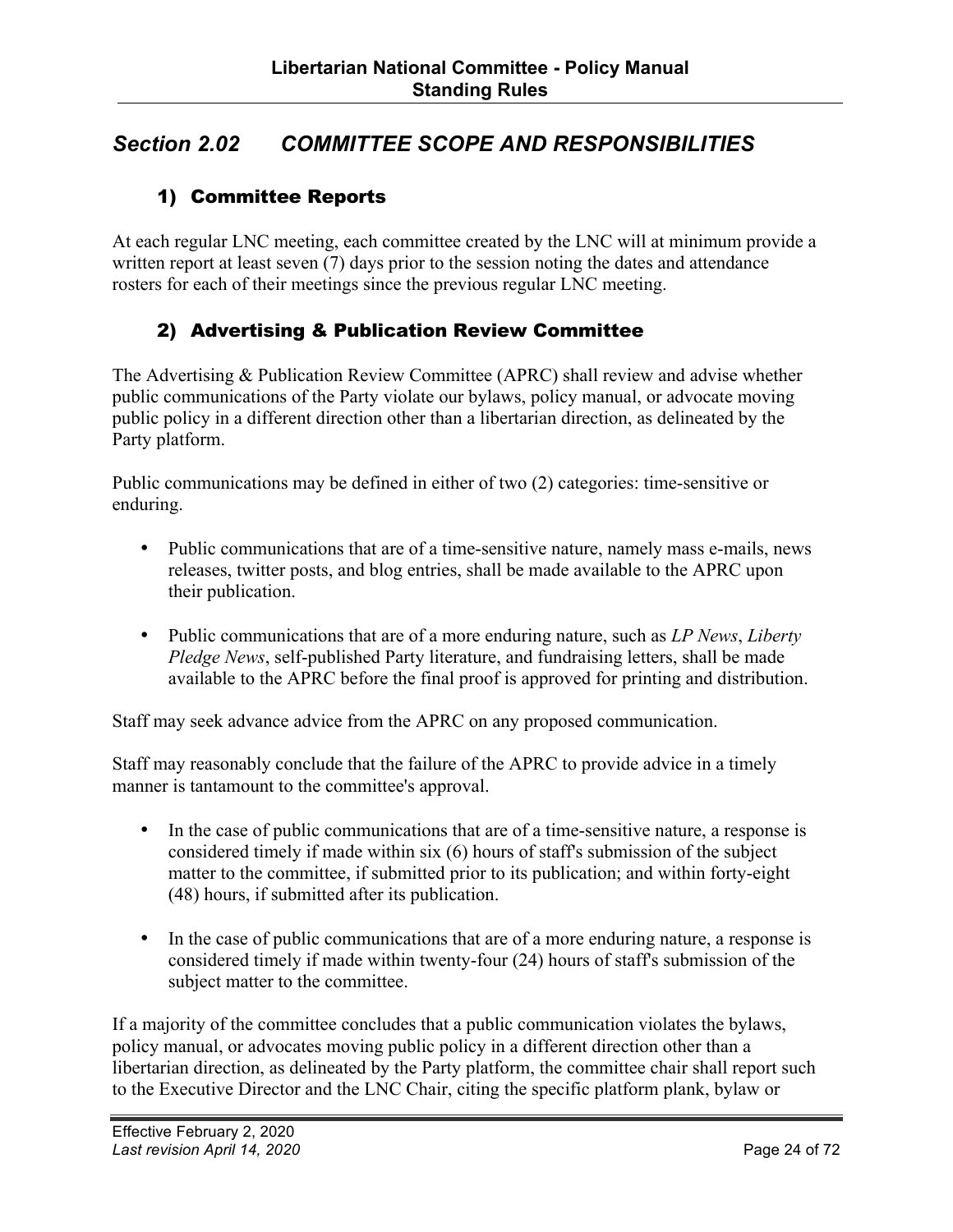#### <span id="page-23-0"></span>*Section 2.02 COMMITTEE SCOPE AND RESPONSIBILITIES*

#### 1) Committee Reports

At each regular LNC meeting, each committee created by the LNC will at minimum provide a written report at least seven (7) days prior to the session noting the dates and attendance rosters for each of their meetings since the previous regular LNC meeting.

#### 2) Advertising & Publication Review Committee

The Advertising & Publication Review Committee (APRC) shall review and advise whether public communications of the Party violate our bylaws, policy manual, or advocate moving public policy in a different direction other than a libertarian direction, as delineated by the Party platform.

Public communications may be defined in either of two (2) categories: time-sensitive or enduring.

- Public communications that are of a time-sensitive nature, namely mass e-mails, news releases, twitter posts, and blog entries, shall be made available to the APRC upon their publication.
- Public communications that are of a more enduring nature, such as *LP News*, *Liberty Pledge News*, self-published Party literature, and fundraising letters, shall be made available to the APRC before the final proof is approved for printing and distribution.

Staff may seek advance advice from the APRC on any proposed communication.

Staff may reasonably conclude that the failure of the APRC to provide advice in a timely manner is tantamount to the committee's approval.

- In the case of public communications that are of a time-sensitive nature, a response is considered timely if made within six (6) hours of staff's submission of the subject matter to the committee, if submitted prior to its publication; and within forty-eight (48) hours, if submitted after its publication.
- In the case of public communications that are of a more enduring nature, a response is considered timely if made within twenty-four (24) hours of staff's submission of the subject matter to the committee.

If a majority of the committee concludes that a public communication violates the bylaws, policy manual, or advocates moving public policy in a different direction other than a libertarian direction, as delineated by the Party platform, the committee chair shall report such to the Executive Director and the LNC Chair, citing the specific platform plank, bylaw or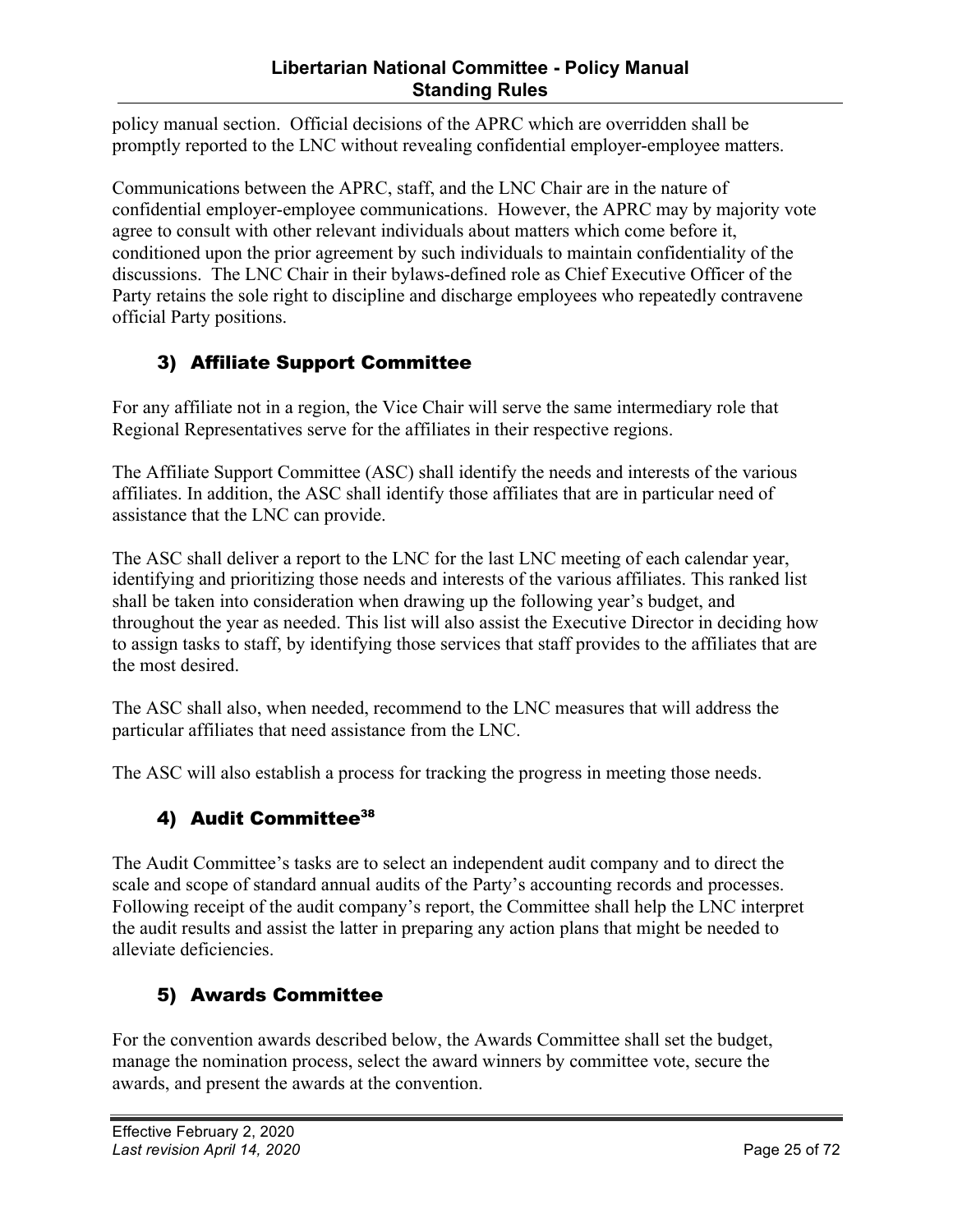#### **Libertarian National Committee - Policy Manual Standing Rules**

<span id="page-24-0"></span>policy manual section. Official decisions of the APRC which are overridden shall be promptly reported to the LNC without revealing confidential employer-employee matters.

Communications between the APRC, staff, and the LNC Chair are in the nature of confidential employer-employee communications. However, the APRC may by majority vote agree to consult with other relevant individuals about matters which come before it, conditioned upon the prior agreement by such individuals to maintain confidentiality of the discussions. The LNC Chair in their bylaws-defined role as Chief Executive Officer of the Party retains the sole right to discipline and discharge employees who repeatedly contravene official Party positions.

#### 3) Affiliate Support Committee

For any affiliate not in a region, the Vice Chair will serve the same intermediary role that Regional Representatives serve for the affiliates in their respective regions.

The Affiliate Support Committee (ASC) shall identify the needs and interests of the various affiliates. In addition, the ASC shall identify those affiliates that are in particular need of assistance that the LNC can provide.

The ASC shall deliver a report to the LNC for the last LNC meeting of each calendar year, identifying and prioritizing those needs and interests of the various affiliates. This ranked list shall be taken into consideration when drawing up the following year's budget, and throughout the year as needed. This list will also assist the Executive Director in deciding how to assign tasks to staff, by identifying those services that staff provides to the affiliates that are the most desired.

The ASC shall also, when needed, recommend to the LNC measures that will address the particular affiliates that need assistance from the LNC.

The ASC will also establish a process for tracking the progress in meeting those needs.

#### 4) Audit Committee<sup>38</sup>

The Audit Committee's tasks are to select an independent audit company and to direct the scale and scope of standard annual audits of the Party's accounting records and processes. Following receipt of the audit company's report, the Committee shall help the LNC interpret the audit results and assist the latter in preparing any action plans that might be needed to alleviate deficiencies.

#### 5) Awards Committee

For the convention awards described below, the Awards Committee shall set the budget, manage the nomination process, select the award winners by committee vote, secure the awards, and present the awards at the convention.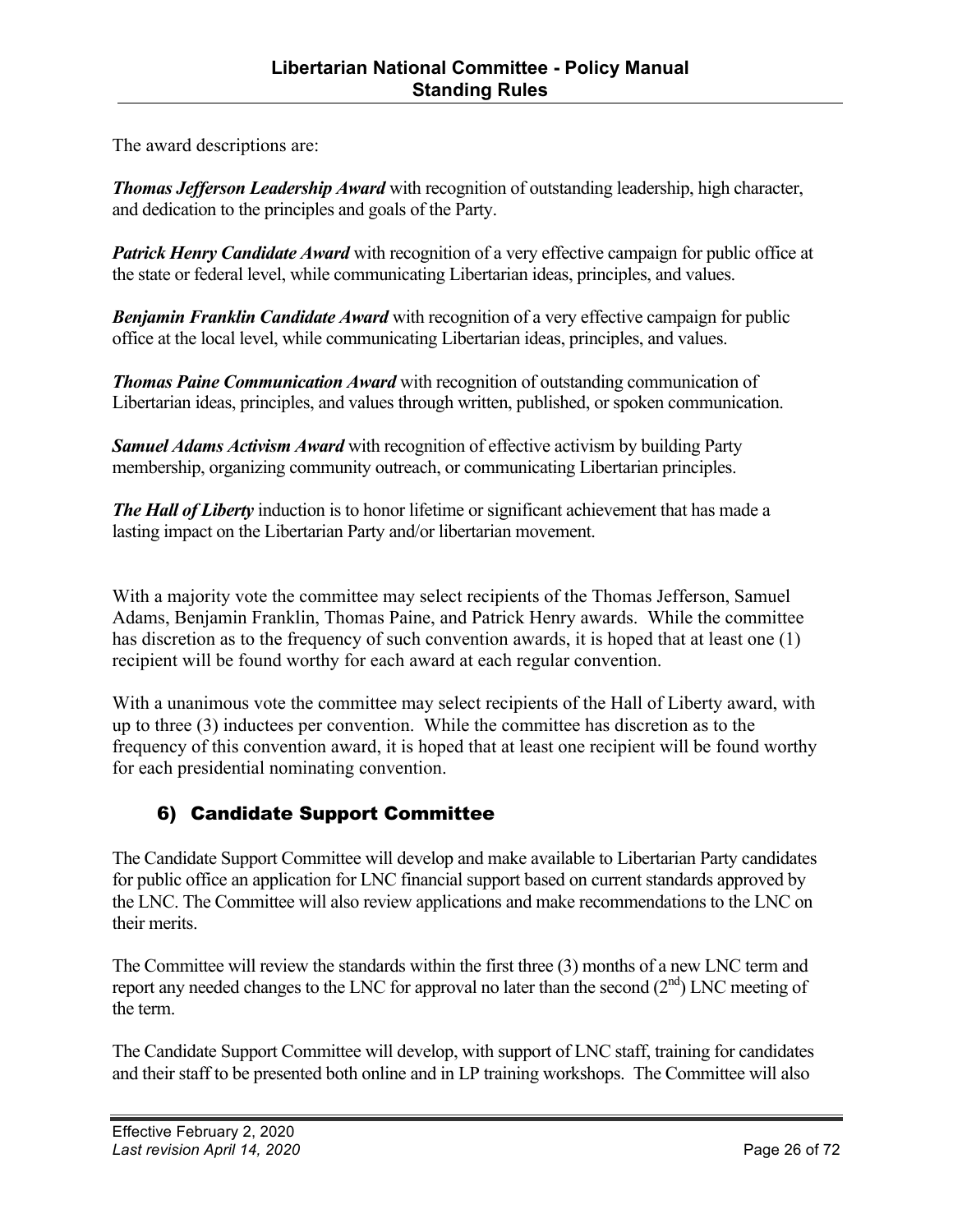<span id="page-25-0"></span>The award descriptions are:

*Thomas Jefferson Leadership Award* with recognition of outstanding leadership, high character, and dedication to the principles and goals of the Party.

*Patrick Henry Candidate Award* with recognition of a very effective campaign for public office at the state or federal level, while communicating Libertarian ideas, principles, and values.

*Benjamin Franklin Candidate Award* with recognition of a very effective campaign for public office at the local level, while communicating Libertarian ideas, principles, and values.

*Thomas Paine Communication Award* with recognition of outstanding communication of Libertarian ideas, principles, and values through written, published, or spoken communication.

*Samuel Adams Activism Award* with recognition of effective activism by building Party membership, organizing community outreach, or communicating Libertarian principles.

*The Hall of Liberty* induction is to honor lifetime or significant achievement that has made a lasting impact on the Libertarian Party and/or libertarian movement.

With a majority vote the committee may select recipients of the Thomas Jefferson, Samuel Adams, Benjamin Franklin, Thomas Paine, and Patrick Henry awards. While the committee has discretion as to the frequency of such convention awards, it is hoped that at least one (1) recipient will be found worthy for each award at each regular convention.

With a unanimous vote the committee may select recipients of the Hall of Liberty award, with up to three (3) inductees per convention. While the committee has discretion as to the frequency of this convention award, it is hoped that at least one recipient will be found worthy for each presidential nominating convention.

#### 6) Candidate Support Committee

The Candidate Support Committee will develop and make available to Libertarian Party candidates for public office an application for LNC financial support based on current standards approved by the LNC. The Committee will also review applications and make recommendations to the LNC on their merits.

The Committee will review the standards within the first three (3) months of a new LNC term and report any needed changes to the LNC for approval no later than the second  $(2<sup>nd</sup>)$  LNC meeting of the term.

The Candidate Support Committee will develop, with support of LNC staff, training for candidates and their staff to be presented both online and in LP training workshops. The Committee will also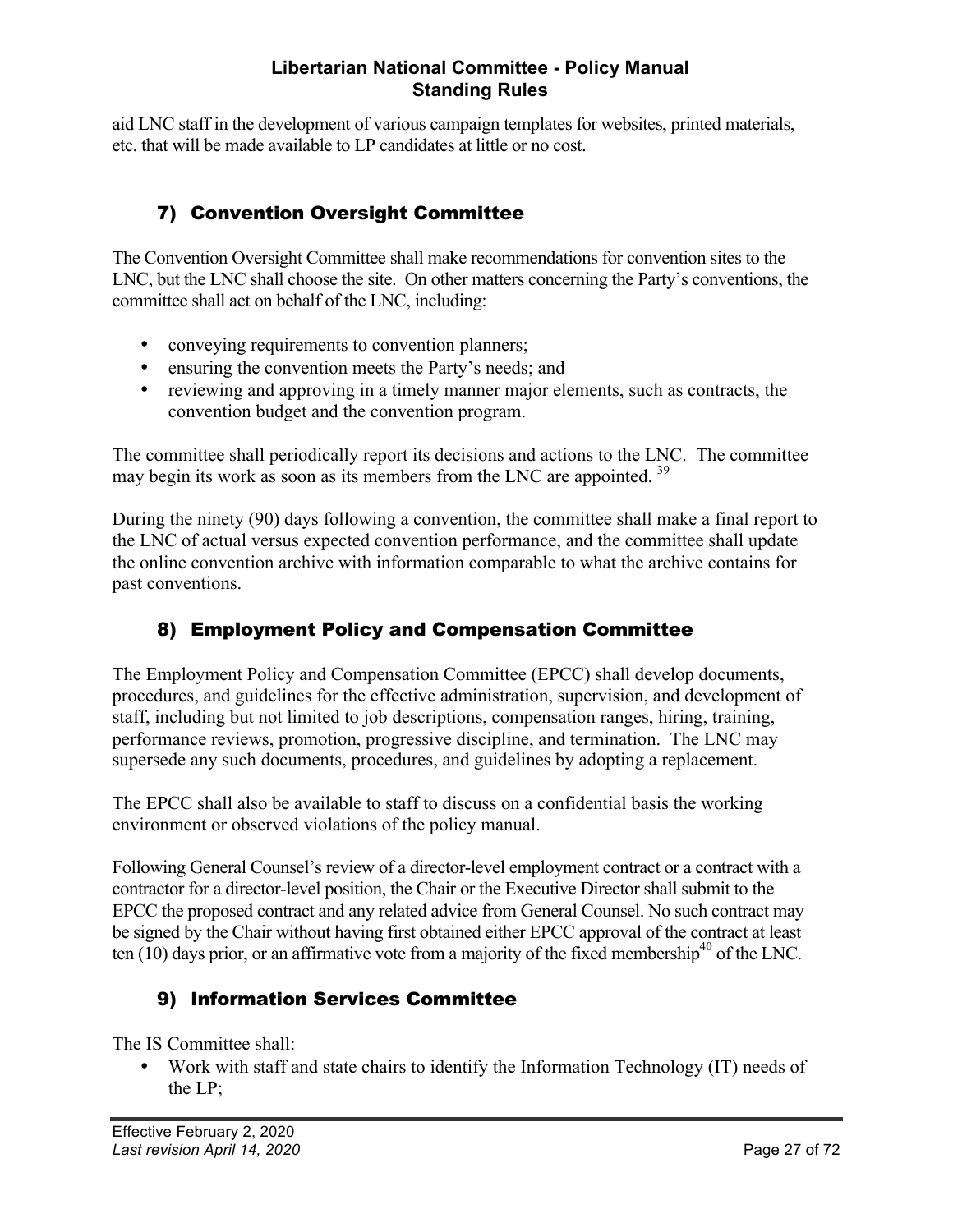<span id="page-26-0"></span>aid LNC staff in the development of various campaign templates for websites, printed materials, etc. that will be made available to LP candidates at little or no cost.

#### 7) Convention Oversight Committee

The Convention Oversight Committee shall make recommendations for convention sites to the LNC, but the LNC shall choose the site. On other matters concerning the Party's conventions, the committee shall act on behalf of the LNC, including:

- conveying requirements to convention planners;
- ensuring the convention meets the Party's needs; and
- reviewing and approving in a timely manner major elements, such as contracts, the convention budget and the convention program.

The committee shall periodically report its decisions and actions to the LNC. The committee may begin its work as soon as its members from the LNC are appointed.<sup>39</sup>

During the ninety (90) days following a convention, the committee shall make a final report to the LNC of actual versus expected convention performance, and the committee shall update the online convention archive with information comparable to what the archive contains for past conventions.

#### 8) Employment Policy and Compensation Committee

The Employment Policy and Compensation Committee (EPCC) shall develop documents, procedures, and guidelines for the effective administration, supervision, and development of staff, including but not limited to job descriptions, compensation ranges, hiring, training, performance reviews, promotion, progressive discipline, and termination. The LNC may supersede any such documents, procedures, and guidelines by adopting a replacement.

The EPCC shall also be available to staff to discuss on a confidential basis the working environment or observed violations of the policy manual.

Following General Counsel's review of a director-level employment contract or a contract with a contractor for a director-level position, the Chair or the Executive Director shall submit to the EPCC the proposed contract and any related advice from General Counsel. No such contract may be signed by the Chair without having first obtained either EPCC approval of the contract at least ten  $(10)$  days prior, or an affirmative vote from a majority of the fixed membership<sup>40</sup> of the LNC.

#### 9) Information Services Committee

The IS Committee shall:

• Work with staff and state chairs to identify the Information Technology (IT) needs of the LP;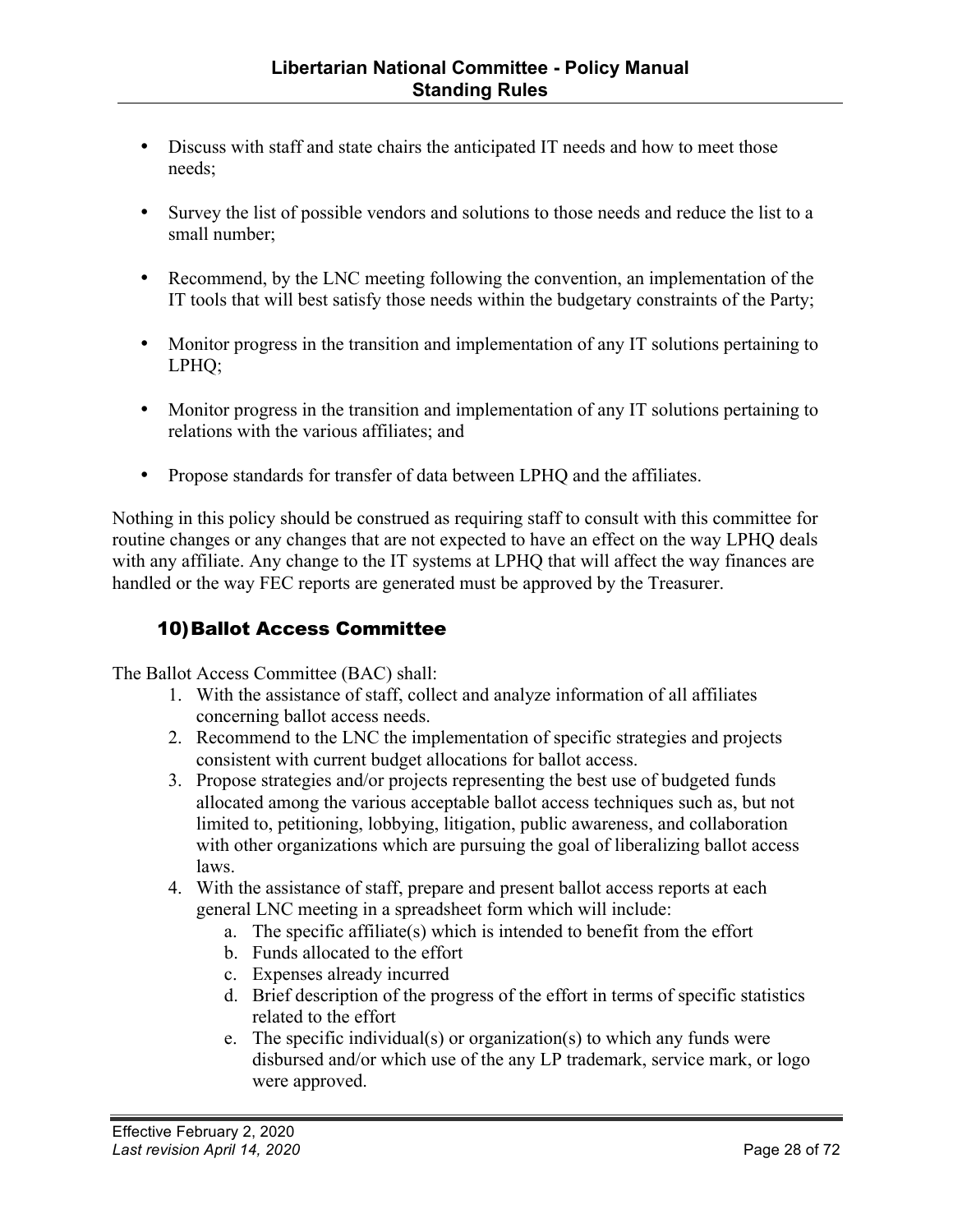- Discuss with staff and state chairs the anticipated IT needs and how to meet those needs;
- Survey the list of possible vendors and solutions to those needs and reduce the list to a small number;
- Recommend, by the LNC meeting following the convention, an implementation of the IT tools that will best satisfy those needs within the budgetary constraints of the Party;
- Monitor progress in the transition and implementation of any IT solutions pertaining to LPHQ;
- Monitor progress in the transition and implementation of any IT solutions pertaining to relations with the various affiliates; and
- Propose standards for transfer of data between LPHQ and the affiliates.

Nothing in this policy should be construed as requiring staff to consult with this committee for routine changes or any changes that are not expected to have an effect on the way LPHQ deals with any affiliate. Any change to the IT systems at LPHQ that will affect the way finances are handled or the way FEC reports are generated must be approved by the Treasurer.

#### 10)Ballot Access Committee

The Ballot Access Committee (BAC) shall:

- 1. With the assistance of staff, collect and analyze information of all affiliates concerning ballot access needs.
- 2. Recommend to the LNC the implementation of specific strategies and projects consistent with current budget allocations for ballot access.
- 3. Propose strategies and/or projects representing the best use of budgeted funds allocated among the various acceptable ballot access techniques such as, but not limited to, petitioning, lobbying, litigation, public awareness, and collaboration with other organizations which are pursuing the goal of liberalizing ballot access laws.
- 4. With the assistance of staff, prepare and present ballot access reports at each general LNC meeting in a spreadsheet form which will include:
	- a. The specific affiliate(s) which is intended to benefit from the effort
	- b. Funds allocated to the effort
	- c. Expenses already incurred
	- d. Brief description of the progress of the effort in terms of specific statistics related to the effort
	- e. The specific individual(s) or organization(s) to which any funds were disbursed and/or which use of the any LP trademark, service mark, or logo were approved.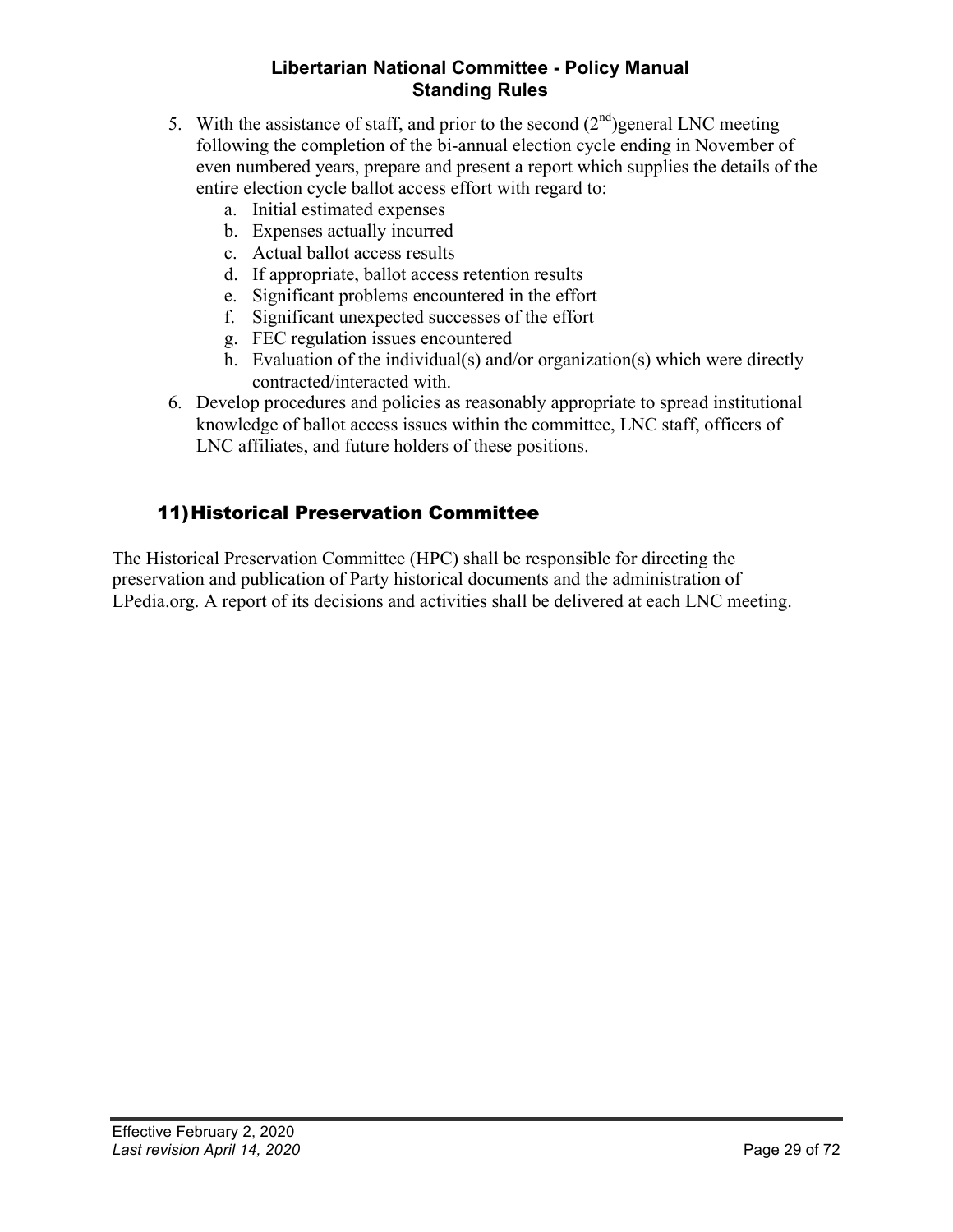- <span id="page-28-0"></span>5. With the assistance of staff, and prior to the second  $(2<sup>nd</sup>)$  general LNC meeting following the completion of the bi-annual election cycle ending in November of even numbered years, prepare and present a report which supplies the details of the entire election cycle ballot access effort with regard to:
	- a. Initial estimated expenses
	- b. Expenses actually incurred
	- c. Actual ballot access results
	- d. If appropriate, ballot access retention results
	- e. Significant problems encountered in the effort
	- f. Significant unexpected successes of the effort
	- g. FEC regulation issues encountered
	- h. Evaluation of the individual(s) and/or organization(s) which were directly contracted/interacted with.
- 6. Develop procedures and policies as reasonably appropriate to spread institutional knowledge of ballot access issues within the committee, LNC staff, officers of LNC affiliates, and future holders of these positions.

#### 11)Historical Preservation Committee

The Historical Preservation Committee (HPC) shall be responsible for directing the preservation and publication of Party historical documents and the administration of LPedia.org. A report of its decisions and activities shall be delivered at each LNC meeting.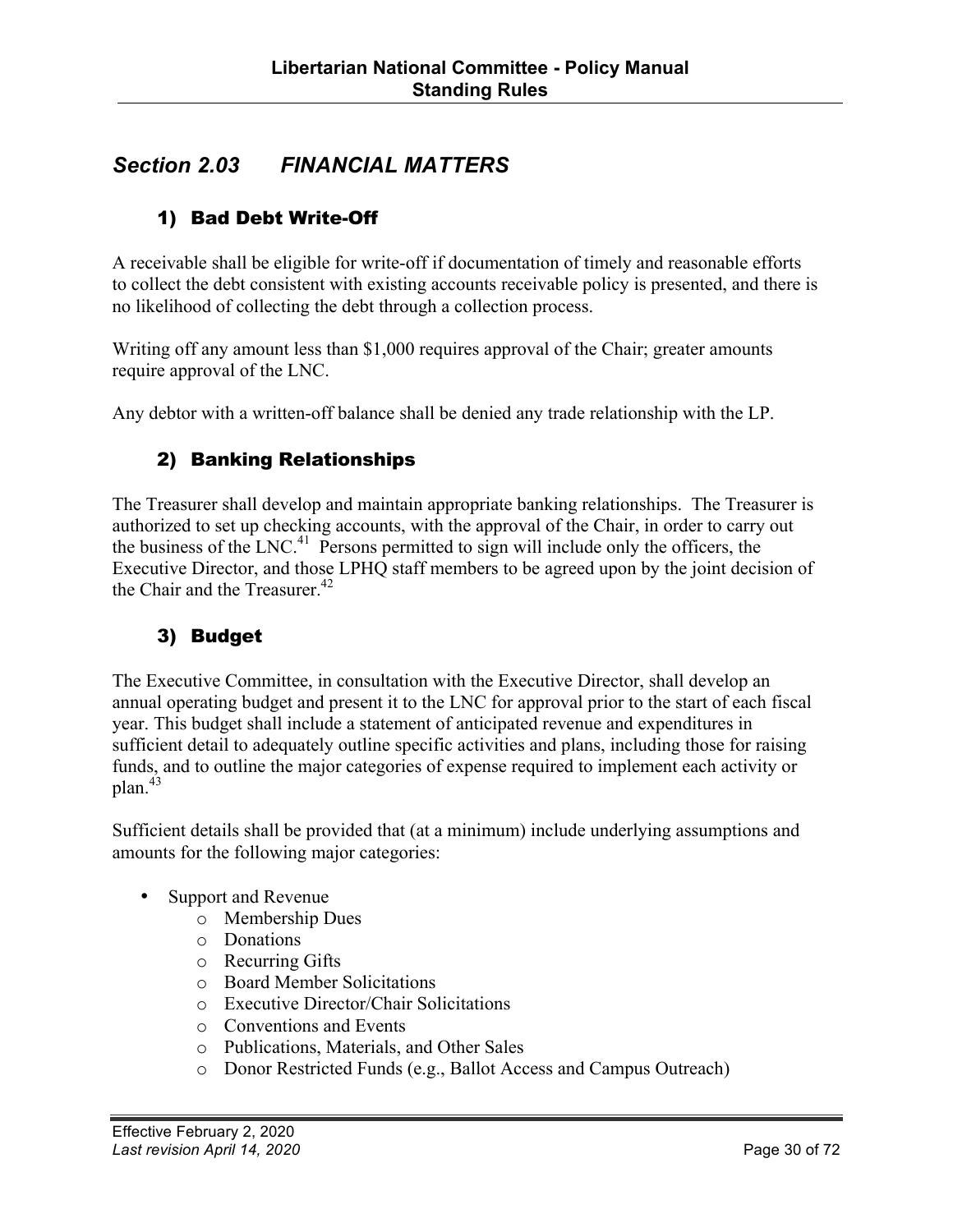#### <span id="page-29-0"></span>*Section 2.03 FINANCIAL MATTERS*

#### 1) Bad Debt Write-Off

A receivable shall be eligible for write-off if documentation of timely and reasonable efforts to collect the debt consistent with existing accounts receivable policy is presented, and there is no likelihood of collecting the debt through a collection process.

Writing off any amount less than \$1,000 requires approval of the Chair; greater amounts require approval of the LNC.

Any debtor with a written-off balance shall be denied any trade relationship with the LP.

#### 2) Banking Relationships

The Treasurer shall develop and maintain appropriate banking relationships. The Treasurer is authorized to set up checking accounts, with the approval of the Chair, in order to carry out the business of the LNC.<sup>41</sup> Persons permitted to sign will include only the officers, the Executive Director, and those LPHQ staff members to be agreed upon by the joint decision of the Chair and the Treasurer.<sup>42</sup>

#### 3) Budget

The Executive Committee, in consultation with the Executive Director, shall develop an annual operating budget and present it to the LNC for approval prior to the start of each fiscal year. This budget shall include a statement of anticipated revenue and expenditures in sufficient detail to adequately outline specific activities and plans, including those for raising funds, and to outline the major categories of expense required to implement each activity or  $plan.<sup>43</sup>$ 

Sufficient details shall be provided that (at a minimum) include underlying assumptions and amounts for the following major categories:

- Support and Revenue
	- o Membership Dues
	- o Donations
	- o Recurring Gifts
	- o Board Member Solicitations
	- o Executive Director/Chair Solicitations
	- o Conventions and Events
	- o Publications, Materials, and Other Sales
	- o Donor Restricted Funds (e.g., Ballot Access and Campus Outreach)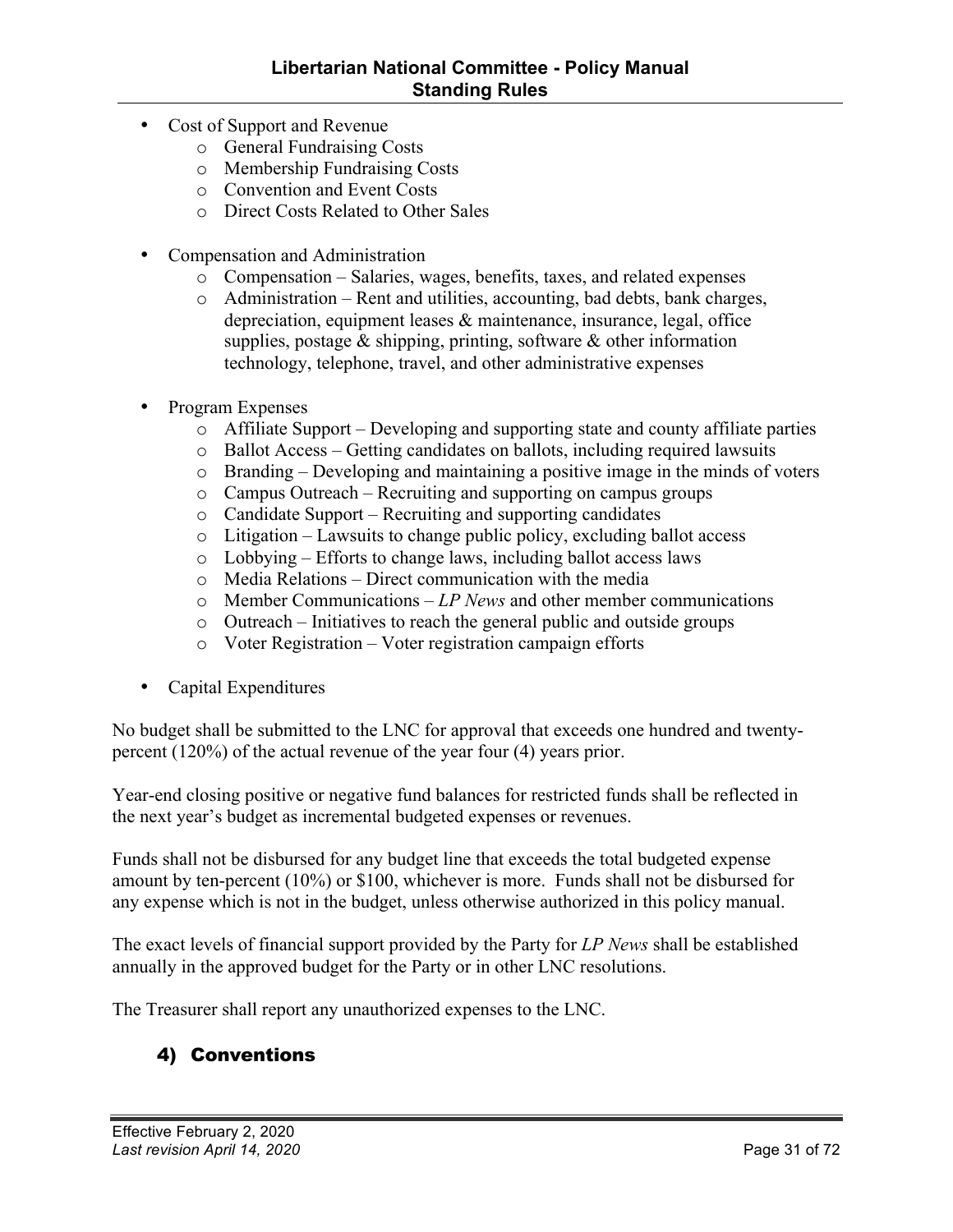- <span id="page-30-0"></span>• Cost of Support and Revenue
	- o General Fundraising Costs
	- o Membership Fundraising Costs
	- o Convention and Event Costs
	- o Direct Costs Related to Other Sales
- Compensation and Administration
	- o Compensation Salaries, wages, benefits, taxes, and related expenses
	- o Administration Rent and utilities, accounting, bad debts, bank charges, depreciation, equipment leases & maintenance, insurance, legal, office supplies, postage & shipping, printing, software & other information technology, telephone, travel, and other administrative expenses
- Program Expenses
	- o Affiliate Support Developing and supporting state and county affiliate parties
	- o Ballot Access Getting candidates on ballots, including required lawsuits
	- o Branding Developing and maintaining a positive image in the minds of voters
	- o Campus Outreach Recruiting and supporting on campus groups
	- o Candidate Support Recruiting and supporting candidates
	- o Litigation Lawsuits to change public policy, excluding ballot access
	- o Lobbying Efforts to change laws, including ballot access laws
	- $\circ$  Media Relations Direct communication with the media
	- o Member Communications *LP News* and other member communications
	- o Outreach Initiatives to reach the general public and outside groups
	- o Voter Registration Voter registration campaign efforts
- Capital Expenditures

No budget shall be submitted to the LNC for approval that exceeds one hundred and twentypercent (120%) of the actual revenue of the year four (4) years prior.

Year-end closing positive or negative fund balances for restricted funds shall be reflected in the next year's budget as incremental budgeted expenses or revenues.

Funds shall not be disbursed for any budget line that exceeds the total budgeted expense amount by ten-percent (10%) or \$100, whichever is more. Funds shall not be disbursed for any expense which is not in the budget, unless otherwise authorized in this policy manual.

The exact levels of financial support provided by the Party for *LP News* shall be established annually in the approved budget for the Party or in other LNC resolutions.

The Treasurer shall report any unauthorized expenses to the LNC.

#### 4) Conventions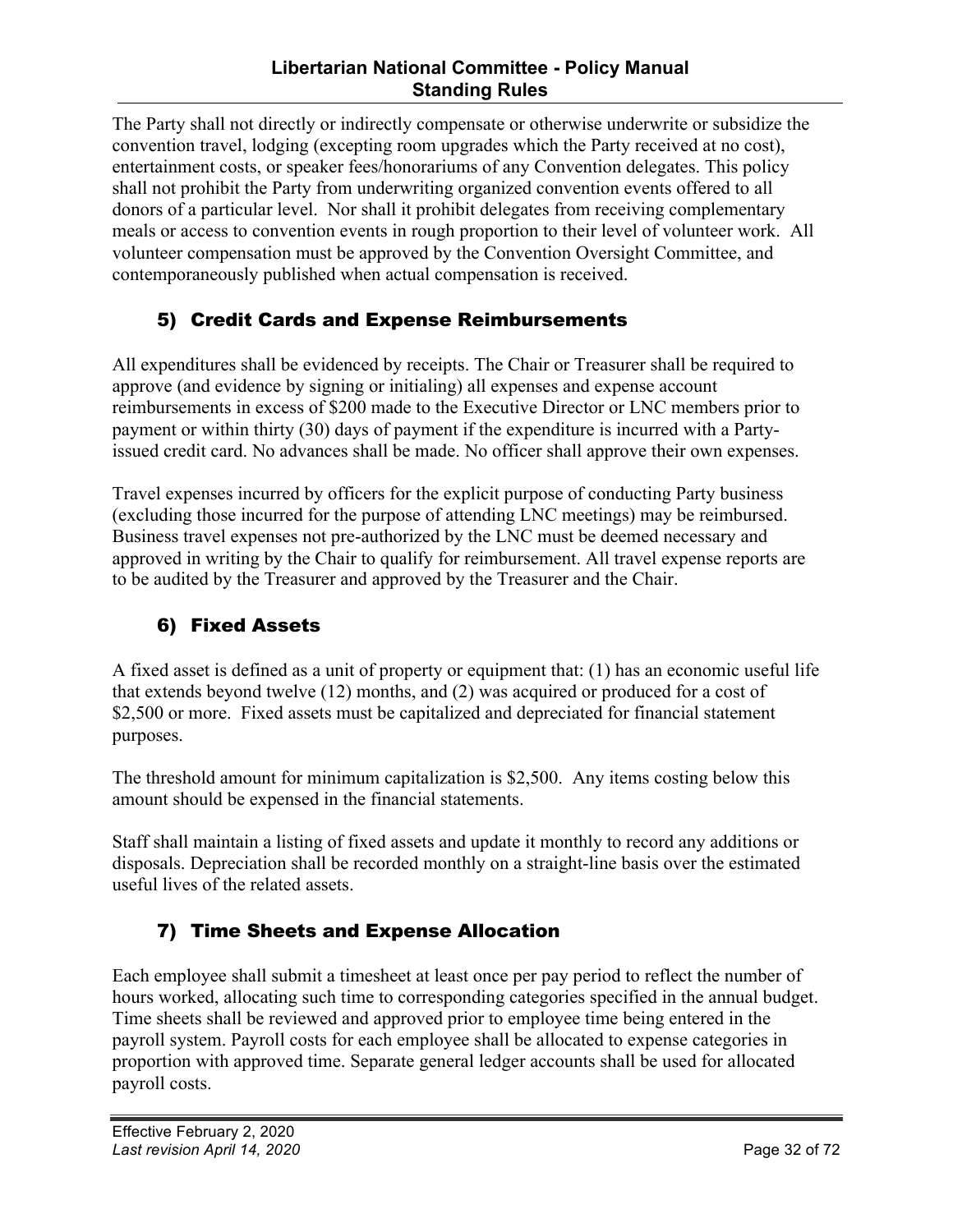#### **Libertarian National Committee - Policy Manual Standing Rules**

<span id="page-31-0"></span>The Party shall not directly or indirectly compensate or otherwise underwrite or subsidize the convention travel, lodging (excepting room upgrades which the Party received at no cost), entertainment costs, or speaker fees/honorariums of any Convention delegates. This policy shall not prohibit the Party from underwriting organized convention events offered to all donors of a particular level. Nor shall it prohibit delegates from receiving complementary meals or access to convention events in rough proportion to their level of volunteer work. All volunteer compensation must be approved by the Convention Oversight Committee, and contemporaneously published when actual compensation is received.

#### 5) Credit Cards and Expense Reimbursements

All expenditures shall be evidenced by receipts. The Chair or Treasurer shall be required to approve (and evidence by signing or initialing) all expenses and expense account reimbursements in excess of \$200 made to the Executive Director or LNC members prior to payment or within thirty (30) days of payment if the expenditure is incurred with a Partyissued credit card. No advances shall be made. No officer shall approve their own expenses.

Travel expenses incurred by officers for the explicit purpose of conducting Party business (excluding those incurred for the purpose of attending LNC meetings) may be reimbursed. Business travel expenses not pre-authorized by the LNC must be deemed necessary and approved in writing by the Chair to qualify for reimbursement. All travel expense reports are to be audited by the Treasurer and approved by the Treasurer and the Chair.

#### 6) Fixed Assets

A fixed asset is defined as a unit of property or equipment that: (1) has an economic useful life that extends beyond twelve (12) months, and (2) was acquired or produced for a cost of \$2,500 or more. Fixed assets must be capitalized and depreciated for financial statement purposes.

The threshold amount for minimum capitalization is \$2,500. Any items costing below this amount should be expensed in the financial statements.

Staff shall maintain a listing of fixed assets and update it monthly to record any additions or disposals. Depreciation shall be recorded monthly on a straight-line basis over the estimated useful lives of the related assets.

#### 7) Time Sheets and Expense Allocation

Each employee shall submit a timesheet at least once per pay period to reflect the number of hours worked, allocating such time to corresponding categories specified in the annual budget. Time sheets shall be reviewed and approved prior to employee time being entered in the payroll system. Payroll costs for each employee shall be allocated to expense categories in proportion with approved time. Separate general ledger accounts shall be used for allocated payroll costs.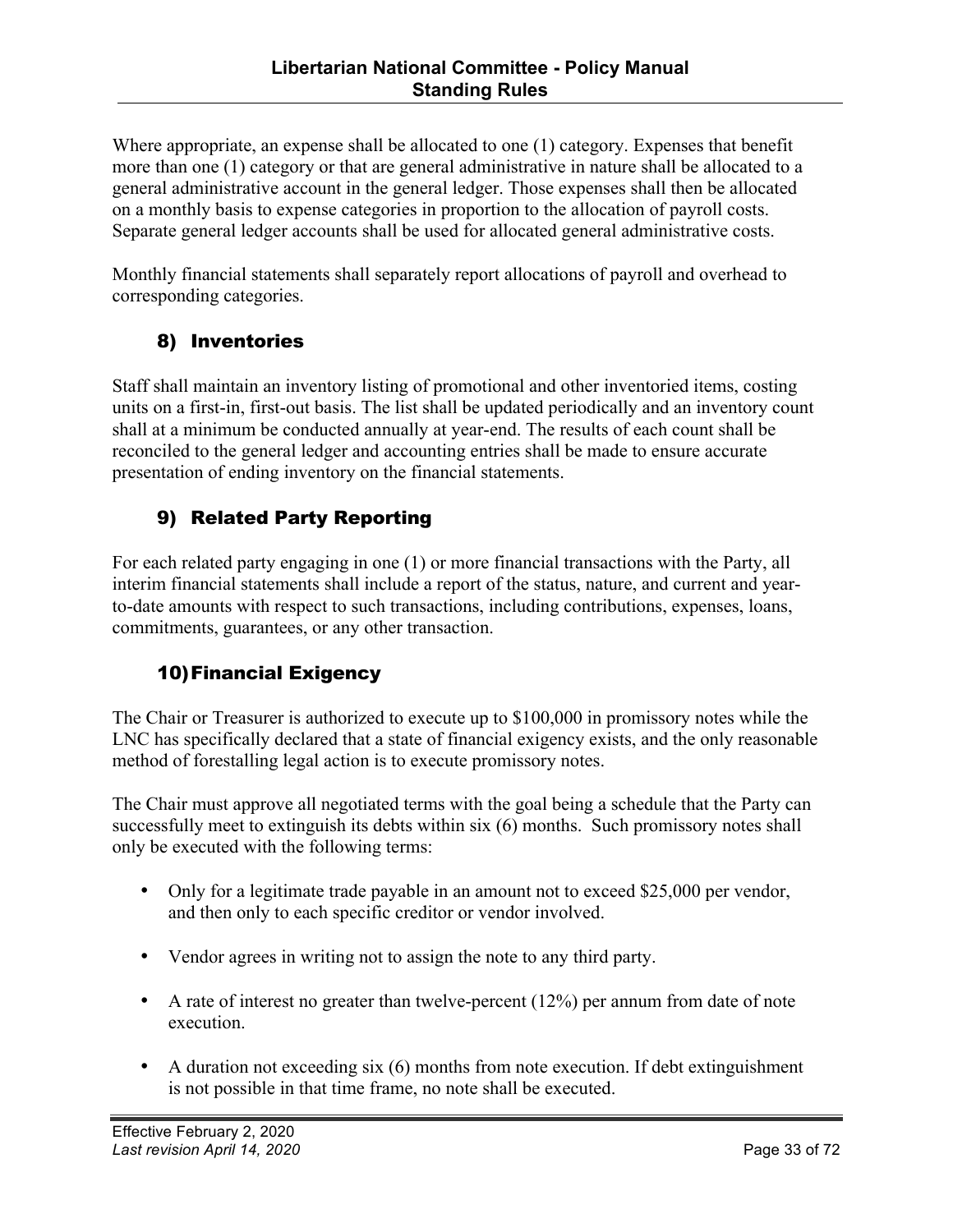<span id="page-32-0"></span>Where appropriate, an expense shall be allocated to one (1) category. Expenses that benefit more than one (1) category or that are general administrative in nature shall be allocated to a general administrative account in the general ledger. Those expenses shall then be allocated on a monthly basis to expense categories in proportion to the allocation of payroll costs. Separate general ledger accounts shall be used for allocated general administrative costs.

Monthly financial statements shall separately report allocations of payroll and overhead to corresponding categories.

#### 8) Inventories

Staff shall maintain an inventory listing of promotional and other inventoried items, costing units on a first-in, first-out basis. The list shall be updated periodically and an inventory count shall at a minimum be conducted annually at year-end. The results of each count shall be reconciled to the general ledger and accounting entries shall be made to ensure accurate presentation of ending inventory on the financial statements.

#### 9) Related Party Reporting

For each related party engaging in one (1) or more financial transactions with the Party, all interim financial statements shall include a report of the status, nature, and current and yearto-date amounts with respect to such transactions, including contributions, expenses, loans, commitments, guarantees, or any other transaction.

#### 10)Financial Exigency

The Chair or Treasurer is authorized to execute up to \$100,000 in promissory notes while the LNC has specifically declared that a state of financial exigency exists, and the only reasonable method of forestalling legal action is to execute promissory notes.

The Chair must approve all negotiated terms with the goal being a schedule that the Party can successfully meet to extinguish its debts within six (6) months. Such promissory notes shall only be executed with the following terms:

- Only for a legitimate trade payable in an amount not to exceed \$25,000 per vendor, and then only to each specific creditor or vendor involved.
- Vendor agrees in writing not to assign the note to any third party.
- A rate of interest no greater than twelve-percent  $(12%)$  per annum from date of note execution.
- A duration not exceeding six (6) months from note execution. If debt extinguishment is not possible in that time frame, no note shall be executed.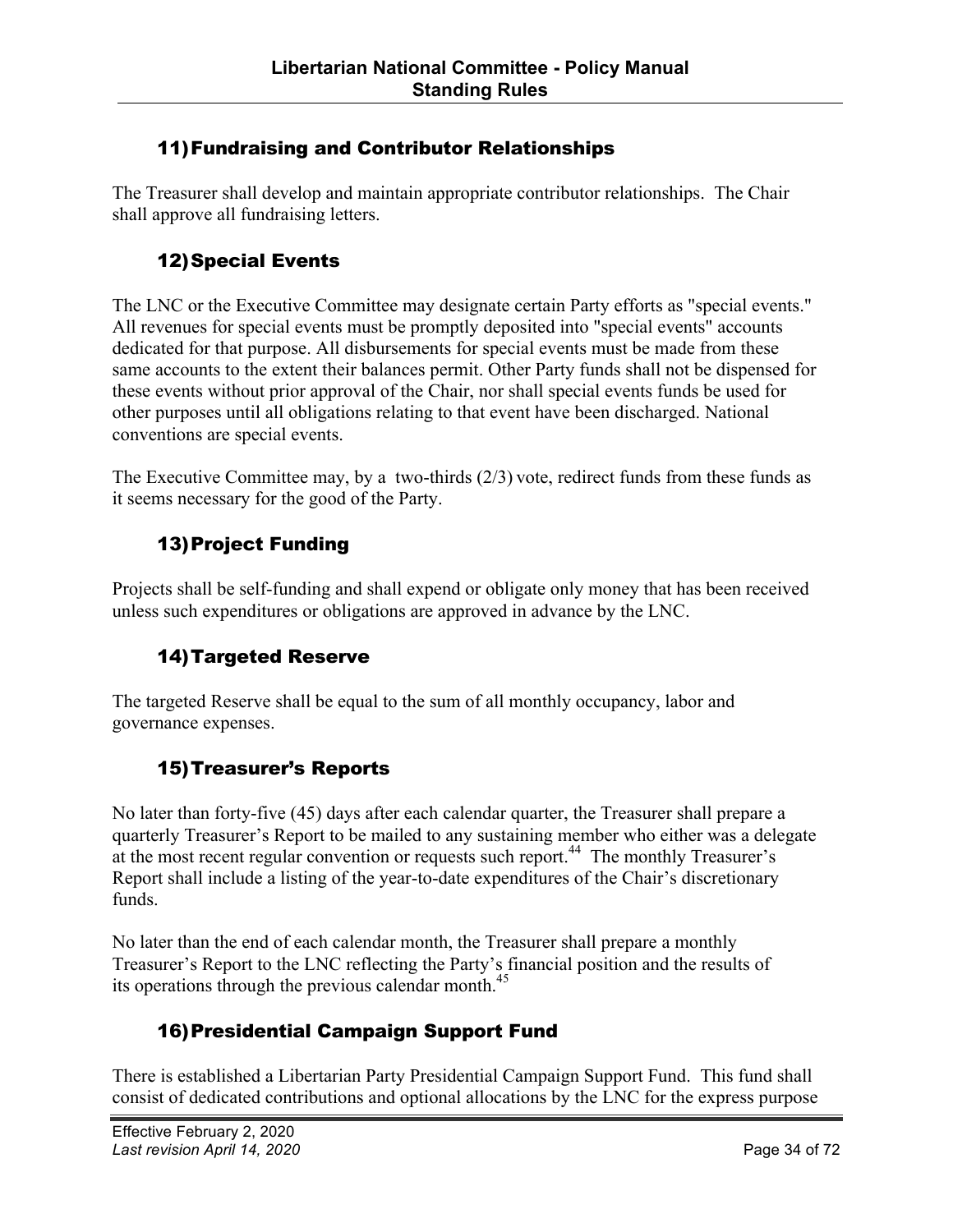#### 11)Fundraising and Contributor Relationships

The Treasurer shall develop and maintain appropriate contributor relationships. The Chair shall approve all fundraising letters.

#### 12)Special Events

The LNC or the Executive Committee may designate certain Party efforts as "special events." All revenues for special events must be promptly deposited into "special events" accounts dedicated for that purpose. All disbursements for special events must be made from these same accounts to the extent their balances permit. Other Party funds shall not be dispensed for these events without prior approval of the Chair, nor shall special events funds be used for other purposes until all obligations relating to that event have been discharged. National conventions are special events.

The Executive Committee may, by a two-thirds  $(2/3)$  vote, redirect funds from these funds as it seems necessary for the good of the Party.

#### 13)Project Funding

Projects shall be self-funding and shall expend or obligate only money that has been received unless such expenditures or obligations are approved in advance by the LNC.

#### 14)Targeted Reserve

The targeted Reserve shall be equal to the sum of all monthly occupancy, labor and governance expenses.

#### 15)Treasurer's Reports

No later than forty-five (45) days after each calendar quarter, the Treasurer shall prepare a quarterly Treasurer's Report to be mailed to any sustaining member who either was a delegate at the most recent regular convention or requests such report.<sup>44</sup> The monthly Treasurer's Report shall include a listing of the year-to-date expenditures of the Chair's discretionary funds.

No later than the end of each calendar month, the Treasurer shall prepare a monthly Treasurer's Report to the LNC reflecting the Party's financial position and the results of its operations through the previous calendar month. $45$ 

#### 16)Presidential Campaign Support Fund

There is established a Libertarian Party Presidential Campaign Support Fund. This fund shall consist of dedicated contributions and optional allocations by the LNC for the express purpose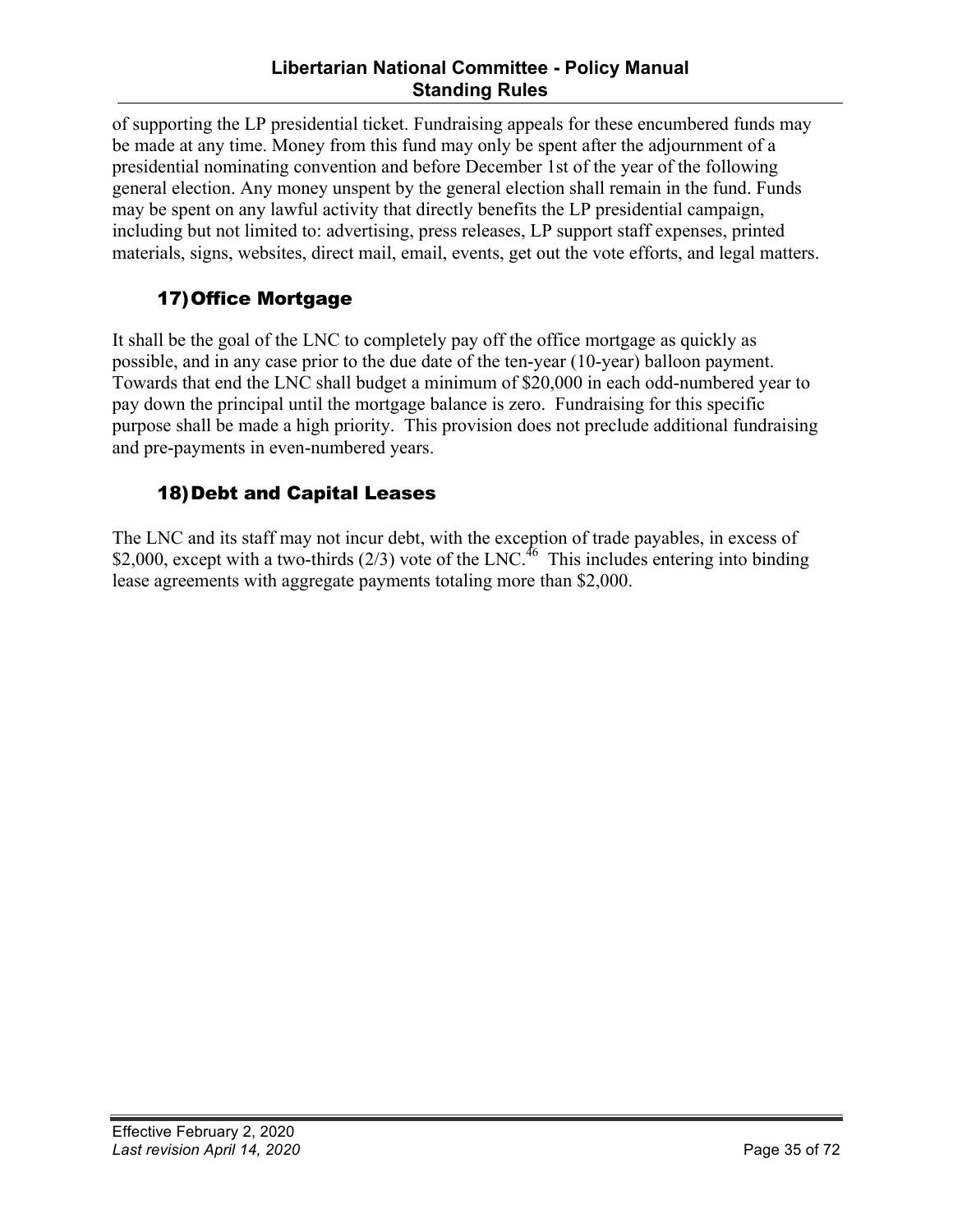#### **Libertarian National Committee - Policy Manual Standing Rules**

<span id="page-34-0"></span>of supporting the LP presidential ticket. Fundraising appeals for these encumbered funds may be made at any time. Money from this fund may only be spent after the adjournment of a presidential nominating convention and before December 1st of the year of the following general election. Any money unspent by the general election shall remain in the fund. Funds may be spent on any lawful activity that directly benefits the LP presidential campaign, including but not limited to: advertising, press releases, LP support staff expenses, printed materials, signs, websites, direct mail, email, events, get out the vote efforts, and legal matters.

#### 17)Office Mortgage

It shall be the goal of the LNC to completely pay off the office mortgage as quickly as possible, and in any case prior to the due date of the ten-year (10-year) balloon payment. Towards that end the LNC shall budget a minimum of \$20,000 in each odd-numbered year to pay down the principal until the mortgage balance is zero. Fundraising for this specific purpose shall be made a high priority. This provision does not preclude additional fundraising and pre-payments in even-numbered years.

#### 18)Debt and Capital Leases

The LNC and its staff may not incur debt, with the exception of trade payables, in excess of \$2,000, except with a two-thirds  $(2/3)$  vote of the LNC.<sup>46</sup> This includes entering into binding lease agreements with aggregate payments totaling more than \$2,000.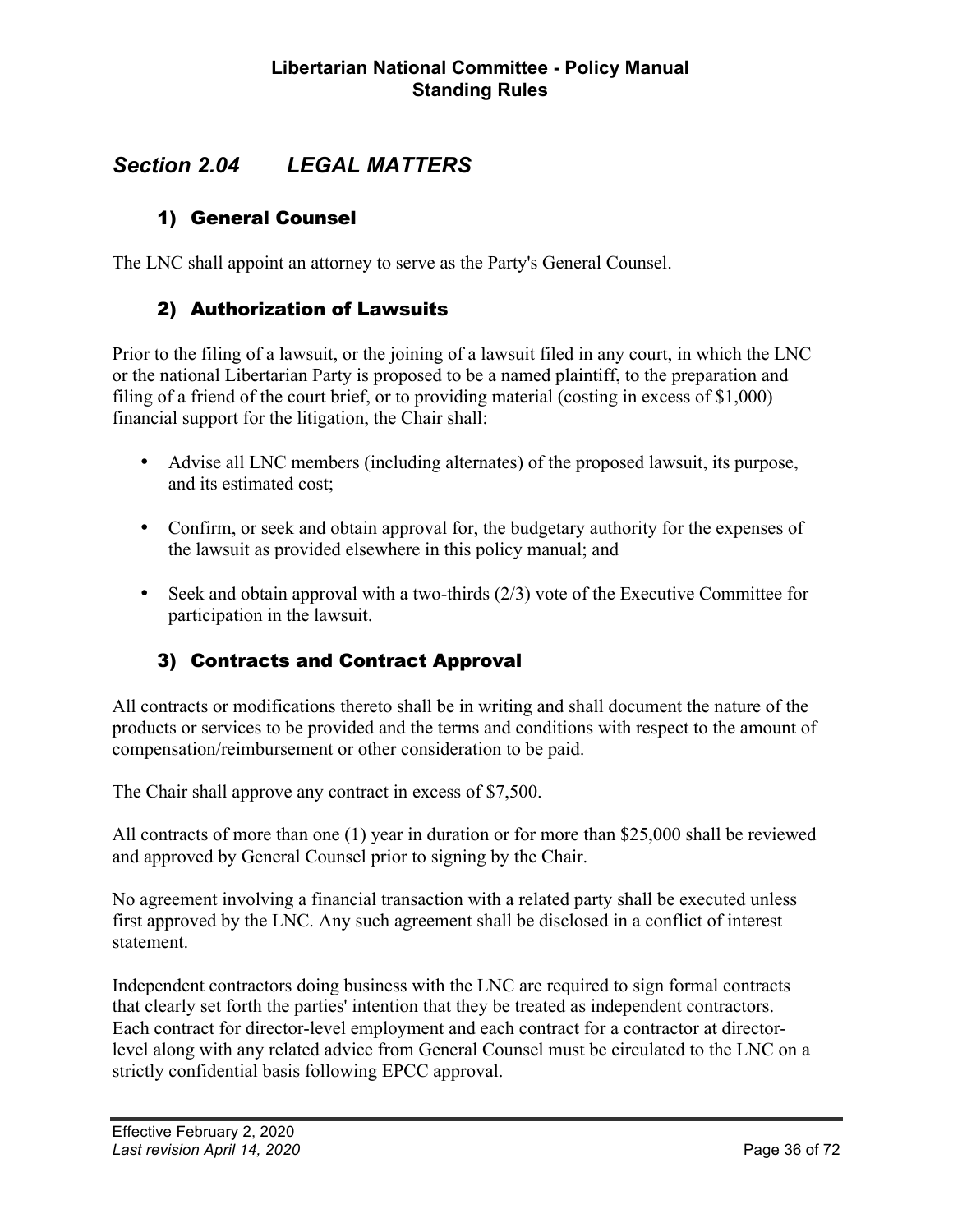#### <span id="page-35-0"></span>*Section 2.04 LEGAL MATTERS*

#### 1) General Counsel

The LNC shall appoint an attorney to serve as the Party's General Counsel.

#### 2) Authorization of Lawsuits

Prior to the filing of a lawsuit, or the joining of a lawsuit filed in any court, in which the LNC or the national Libertarian Party is proposed to be a named plaintiff, to the preparation and filing of a friend of the court brief, or to providing material (costing in excess of \$1,000) financial support for the litigation, the Chair shall:

- Advise all LNC members (including alternates) of the proposed lawsuit, its purpose, and its estimated cost;
- Confirm, or seek and obtain approval for, the budgetary authority for the expenses of the lawsuit as provided elsewhere in this policy manual; and
- Seek and obtain approval with a two-thirds (2/3) vote of the Executive Committee for participation in the lawsuit.

#### 3) Contracts and Contract Approval

All contracts or modifications thereto shall be in writing and shall document the nature of the products or services to be provided and the terms and conditions with respect to the amount of compensation/reimbursement or other consideration to be paid.

The Chair shall approve any contract in excess of \$7,500.

All contracts of more than one (1) year in duration or for more than \$25,000 shall be reviewed and approved by General Counsel prior to signing by the Chair.

No agreement involving a financial transaction with a related party shall be executed unless first approved by the LNC. Any such agreement shall be disclosed in a conflict of interest statement.

Independent contractors doing business with the LNC are required to sign formal contracts that clearly set forth the parties' intention that they be treated as independent contractors. Each contract for director-level employment and each contract for a contractor at directorlevel along with any related advice from General Counsel must be circulated to the LNC on a strictly confidential basis following EPCC approval.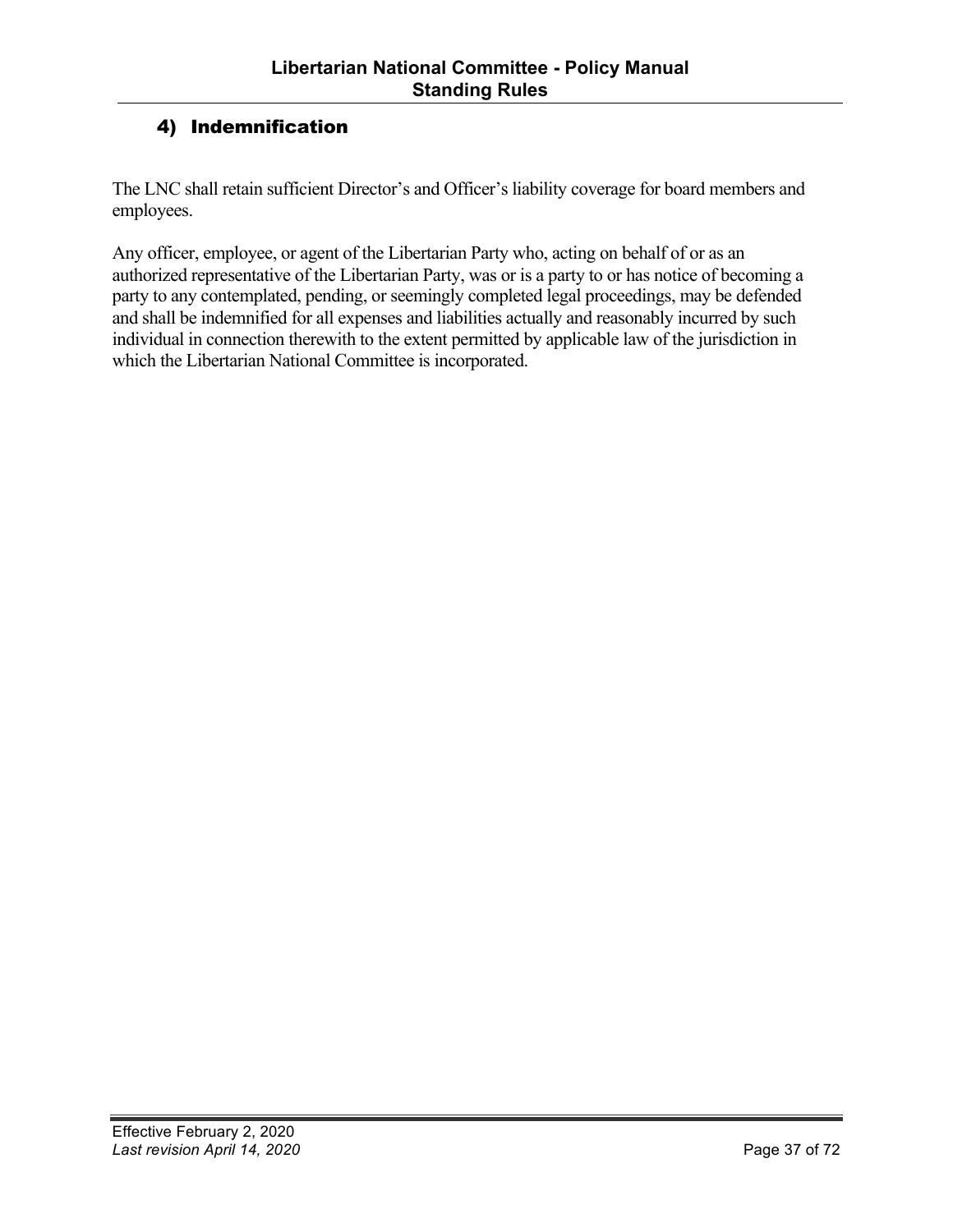## 4) Indemnification

The LNC shall retain sufficient Director's and Officer's liability coverage for board members and employees.

Any officer, employee, or agent of the Libertarian Party who, acting on behalf of or as an authorized representative of the Libertarian Party, was or is a party to or has notice of becoming a party to any contemplated, pending, or seemingly completed legal proceedings, may be defended and shall be indemnified for all expenses and liabilities actually and reasonably incurred by such individual in connection therewith to the extent permitted by applicable law of the jurisdiction in which the Libertarian National Committee is incorporated.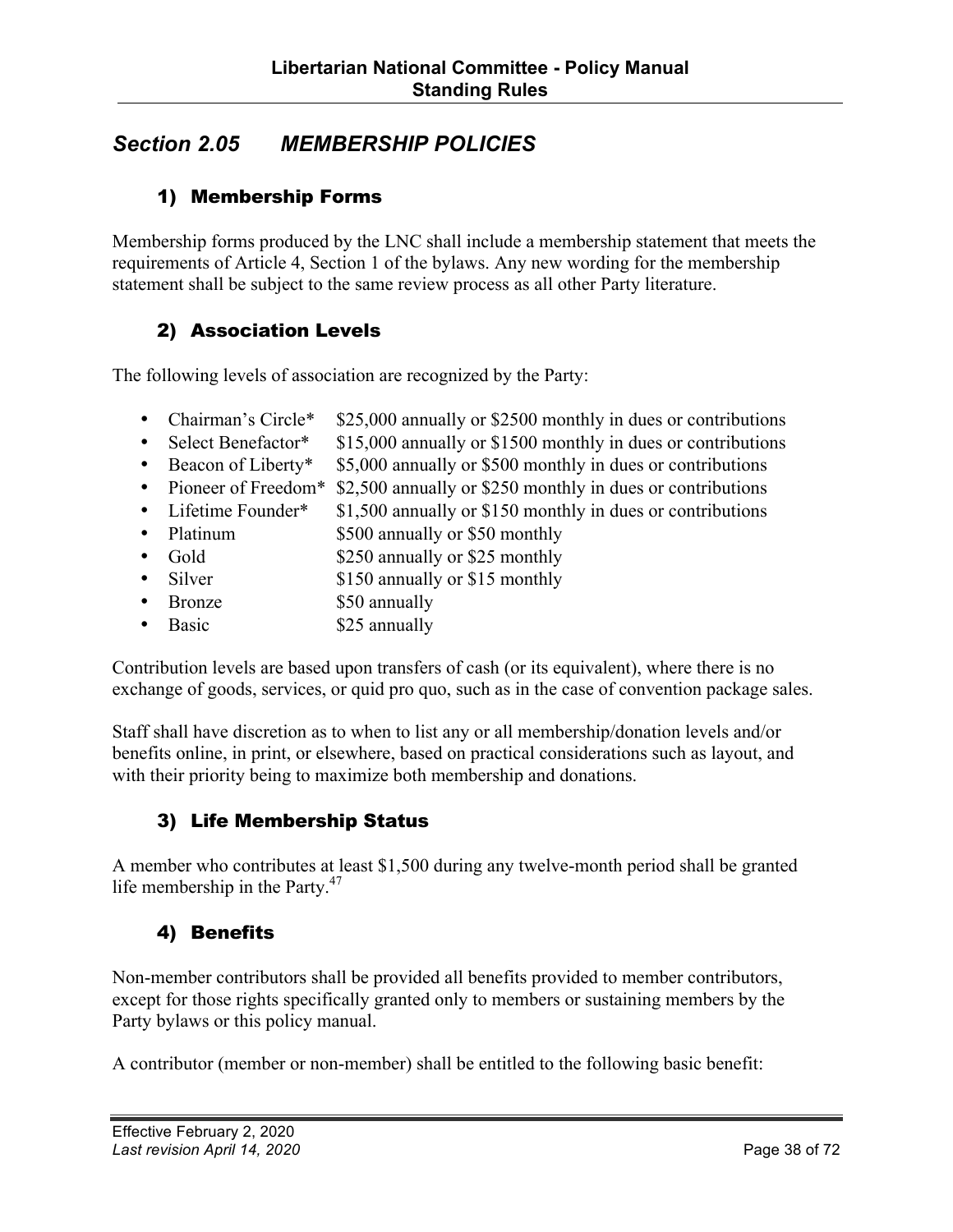## *Section 2.05 MEMBERSHIP POLICIES*

### 1) Membership Forms

Membership forms produced by the LNC shall include a membership statement that meets the requirements of Article 4, Section 1 of the bylaws. Any new wording for the membership statement shall be subject to the same review process as all other Party literature.

### 2) Association Levels

The following levels of association are recognized by the Party:

- Chairman's Circle\* \$25,000 annually or \$2500 monthly in dues or contributions
- Select Benefactor\* \$15,000 annually or \$1500 monthly in dues or contributions
- Beacon of Liberty\* \$5,000 annually or \$500 monthly in dues or contributions
- Pioneer of Freedom<sup>\*</sup> \$2,500 annually or \$250 monthly in dues or contributions
- Lifetime Founder\*  $$1,500$  annually or \$150 monthly in dues or contributions
- Platinum \$500 annually or \$50 monthly
- Gold \$250 annually or \$25 monthly
- Silver \$150 annually or \$15 monthly
- Bronze \$50 annually
- Basic \$25 annually

Contribution levels are based upon transfers of cash (or its equivalent), where there is no exchange of goods, services, or quid pro quo, such as in the case of convention package sales.

Staff shall have discretion as to when to list any or all membership/donation levels and/or benefits online, in print, or elsewhere, based on practical considerations such as layout, and with their priority being to maximize both membership and donations.

## 3) Life Membership Status

A member who contributes at least \$1,500 during any twelve-month period shall be granted life membership in the Party. $47$ 

## 4) Benefits

Non-member contributors shall be provided all benefits provided to member contributors, except for those rights specifically granted only to members or sustaining members by the Party bylaws or this policy manual.

A contributor (member or non-member) shall be entitled to the following basic benefit: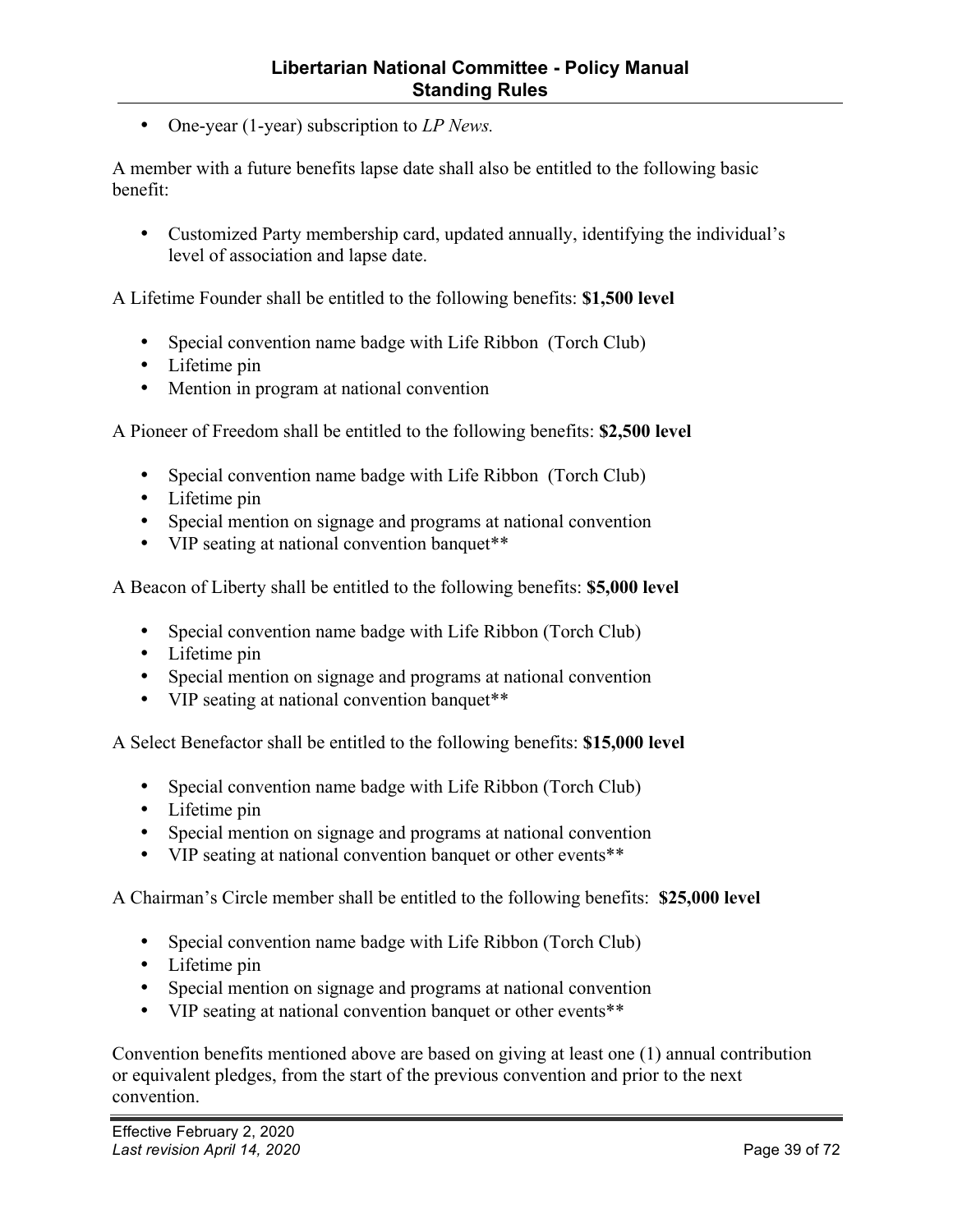• One-year (1-year) subscription to *LP News.*

A member with a future benefits lapse date shall also be entitled to the following basic benefit:

• Customized Party membership card, updated annually, identifying the individual's level of association and lapse date.

A Lifetime Founder shall be entitled to the following benefits: **\$1,500 level** 

- Special convention name badge with Life Ribbon (Torch Club)
- Lifetime pin
- Mention in program at national convention

A Pioneer of Freedom shall be entitled to the following benefits: **\$2,500 level**

- Special convention name badge with Life Ribbon (Torch Club)
- Lifetime pin
- Special mention on signage and programs at national convention
- VIP seating at national convention banquet\*\*

A Beacon of Liberty shall be entitled to the following benefits: **\$5,000 level**

- Special convention name badge with Life Ribbon (Torch Club)
- Lifetime pin
- Special mention on signage and programs at national convention
- VIP seating at national convention banquet\*\*

A Select Benefactor shall be entitled to the following benefits: **\$15,000 level** 

- Special convention name badge with Life Ribbon (Torch Club)
- Lifetime pin
- Special mention on signage and programs at national convention
- VIP seating at national convention banquet or other events\*\*

A Chairman's Circle member shall be entitled to the following benefits: **\$25,000 level** 

- Special convention name badge with Life Ribbon (Torch Club)
- Lifetime pin
- Special mention on signage and programs at national convention
- VIP seating at national convention banquet or other events\*\*

Convention benefits mentioned above are based on giving at least one (1) annual contribution or equivalent pledges, from the start of the previous convention and prior to the next convention.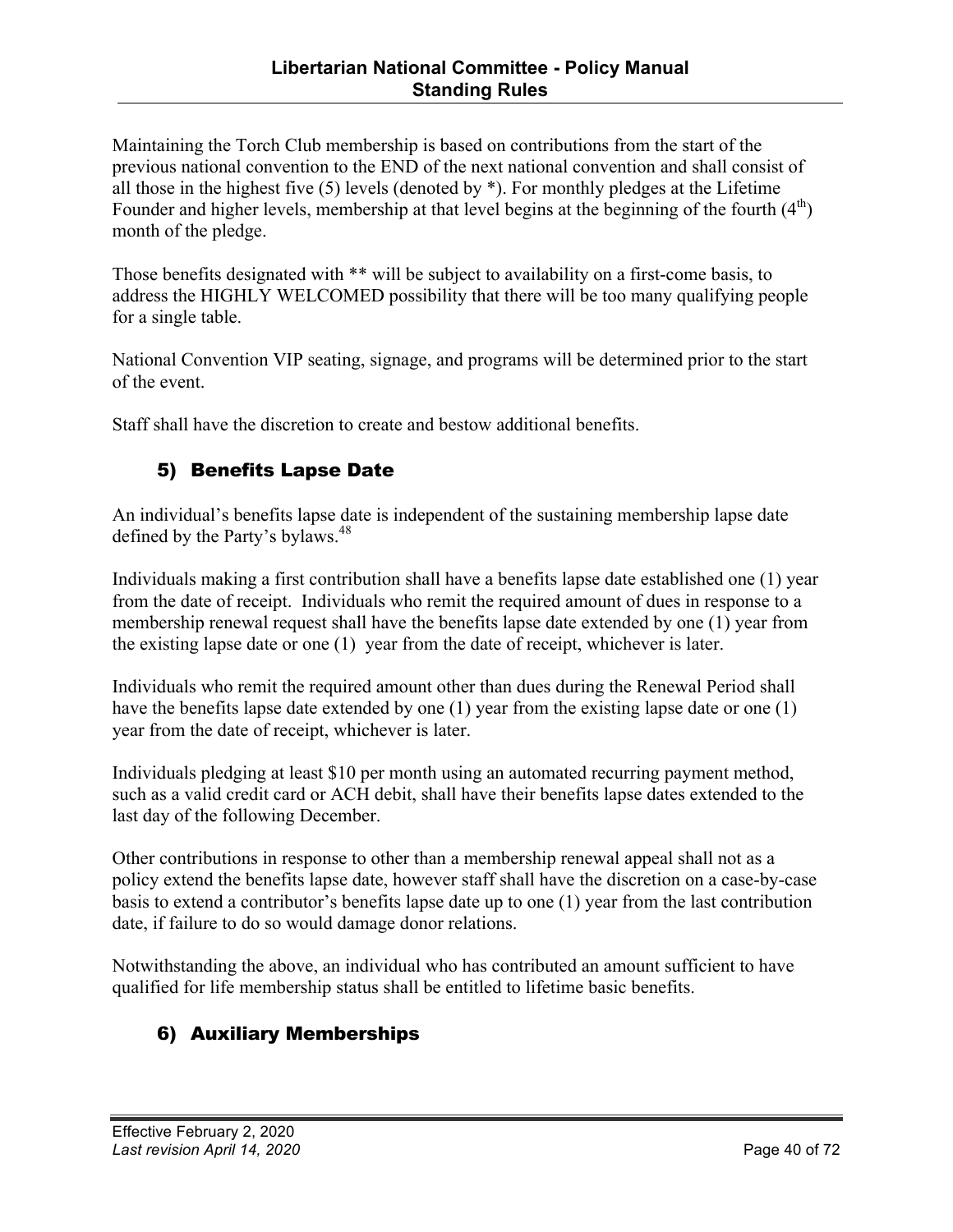Maintaining the Torch Club membership is based on contributions from the start of the previous national convention to the END of the next national convention and shall consist of all those in the highest five (5) levels (denoted by \*). For monthly pledges at the Lifetime Founder and higher levels, membership at that level begins at the beginning of the fourth  $(4<sup>th</sup>)$ month of the pledge.

Those benefits designated with \*\* will be subject to availability on a first-come basis, to address the HIGHLY WELCOMED possibility that there will be too many qualifying people for a single table.

National Convention VIP seating, signage, and programs will be determined prior to the start of the event.

Staff shall have the discretion to create and bestow additional benefits.

## 5) Benefits Lapse Date

An individual's benefits lapse date is independent of the sustaining membership lapse date defined by the Party's bylaws.<sup>48</sup>

Individuals making a first contribution shall have a benefits lapse date established one (1) year from the date of receipt. Individuals who remit the required amount of dues in response to a membership renewal request shall have the benefits lapse date extended by one (1) year from the existing lapse date or one (1) year from the date of receipt, whichever is later.

Individuals who remit the required amount other than dues during the Renewal Period shall have the benefits lapse date extended by one (1) year from the existing lapse date or one (1) year from the date of receipt, whichever is later.

Individuals pledging at least \$10 per month using an automated recurring payment method, such as a valid credit card or ACH debit, shall have their benefits lapse dates extended to the last day of the following December.

Other contributions in response to other than a membership renewal appeal shall not as a policy extend the benefits lapse date, however staff shall have the discretion on a case-by-case basis to extend a contributor's benefits lapse date up to one (1) year from the last contribution date, if failure to do so would damage donor relations.

Notwithstanding the above, an individual who has contributed an amount sufficient to have qualified for life membership status shall be entitled to lifetime basic benefits.

## 6) Auxiliary Memberships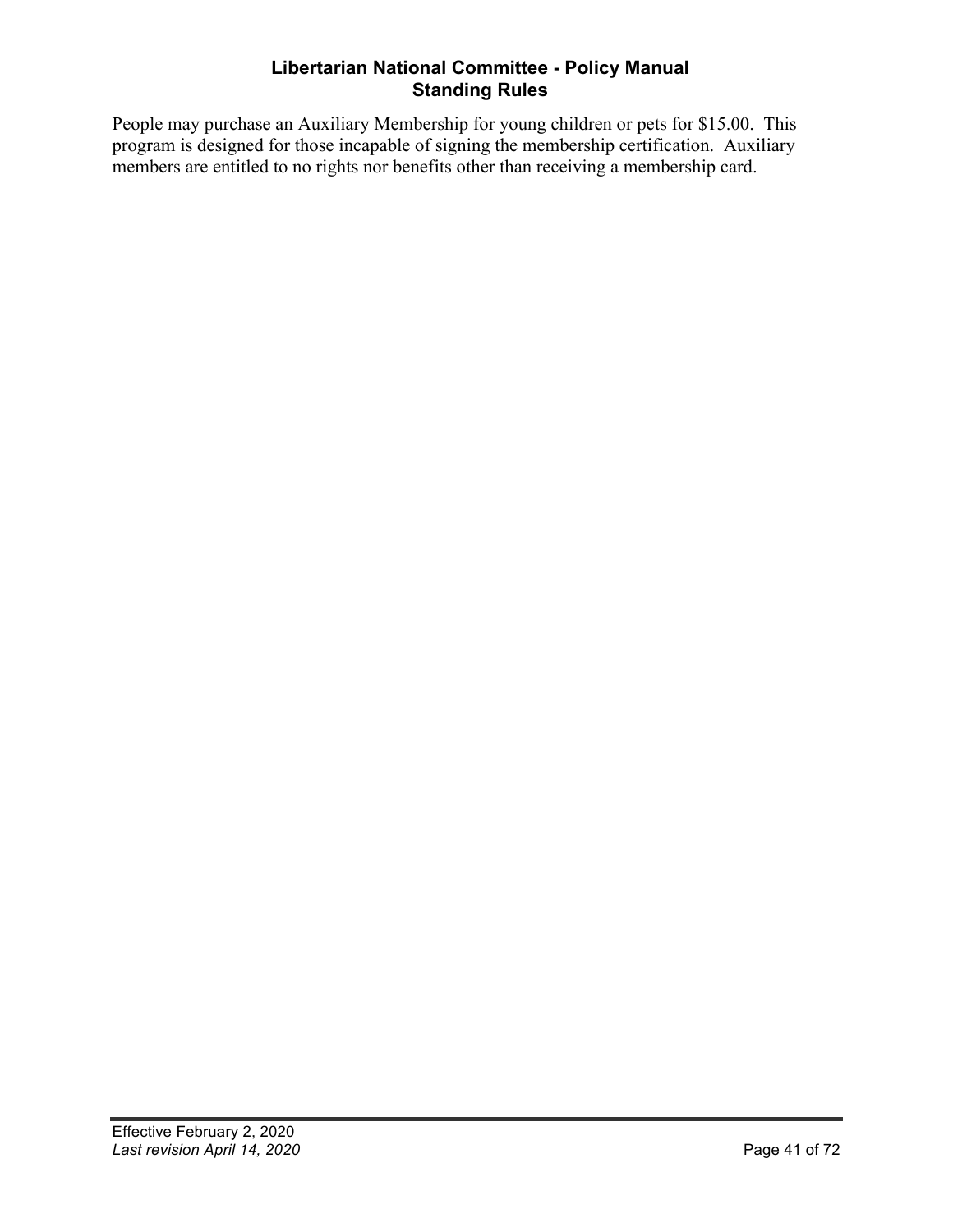### **Libertarian National Committee - Policy Manual Standing Rules**

People may purchase an Auxiliary Membership for young children or pets for \$15.00. This program is designed for those incapable of signing the membership certification. Auxiliary members are entitled to no rights nor benefits other than receiving a membership card.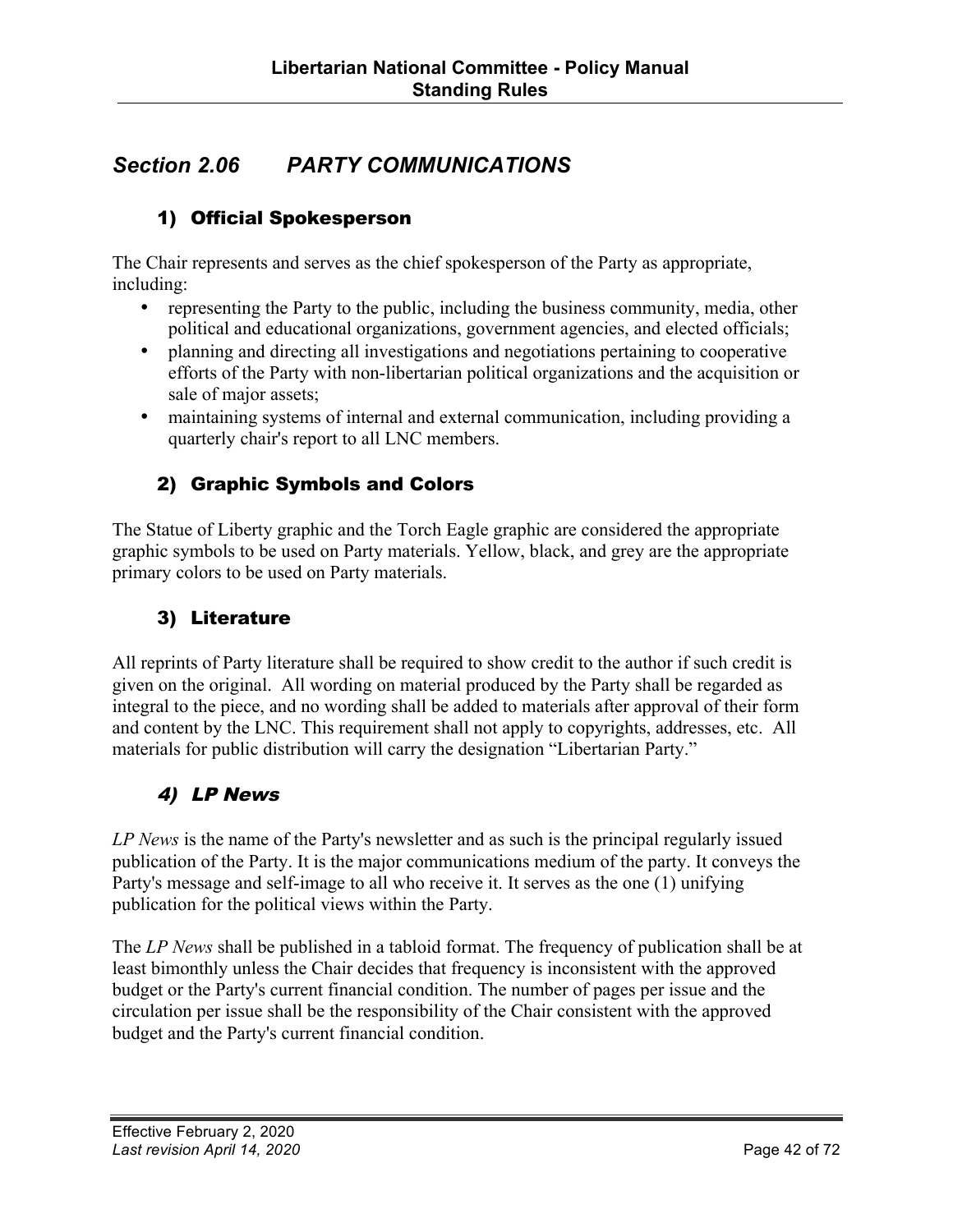## *Section 2.06 PARTY COMMUNICATIONS*

## 1) Official Spokesperson

The Chair represents and serves as the chief spokesperson of the Party as appropriate, including:

- representing the Party to the public, including the business community, media, other political and educational organizations, government agencies, and elected officials;
- planning and directing all investigations and negotiations pertaining to cooperative efforts of the Party with non-libertarian political organizations and the acquisition or sale of major assets;
- maintaining systems of internal and external communication, including providing a quarterly chair's report to all LNC members.

### 2) Graphic Symbols and Colors

The Statue of Liberty graphic and the Torch Eagle graphic are considered the appropriate graphic symbols to be used on Party materials. Yellow, black, and grey are the appropriate primary colors to be used on Party materials.

### 3) Literature

All reprints of Party literature shall be required to show credit to the author if such credit is given on the original. All wording on material produced by the Party shall be regarded as integral to the piece, and no wording shall be added to materials after approval of their form and content by the LNC. This requirement shall not apply to copyrights, addresses, etc. All materials for public distribution will carry the designation "Libertarian Party."

### 4) LP News

*LP News* is the name of the Party's newsletter and as such is the principal regularly issued publication of the Party. It is the major communications medium of the party. It conveys the Party's message and self-image to all who receive it. It serves as the one (1) unifying publication for the political views within the Party.

The *LP News* shall be published in a tabloid format. The frequency of publication shall be at least bimonthly unless the Chair decides that frequency is inconsistent with the approved budget or the Party's current financial condition. The number of pages per issue and the circulation per issue shall be the responsibility of the Chair consistent with the approved budget and the Party's current financial condition.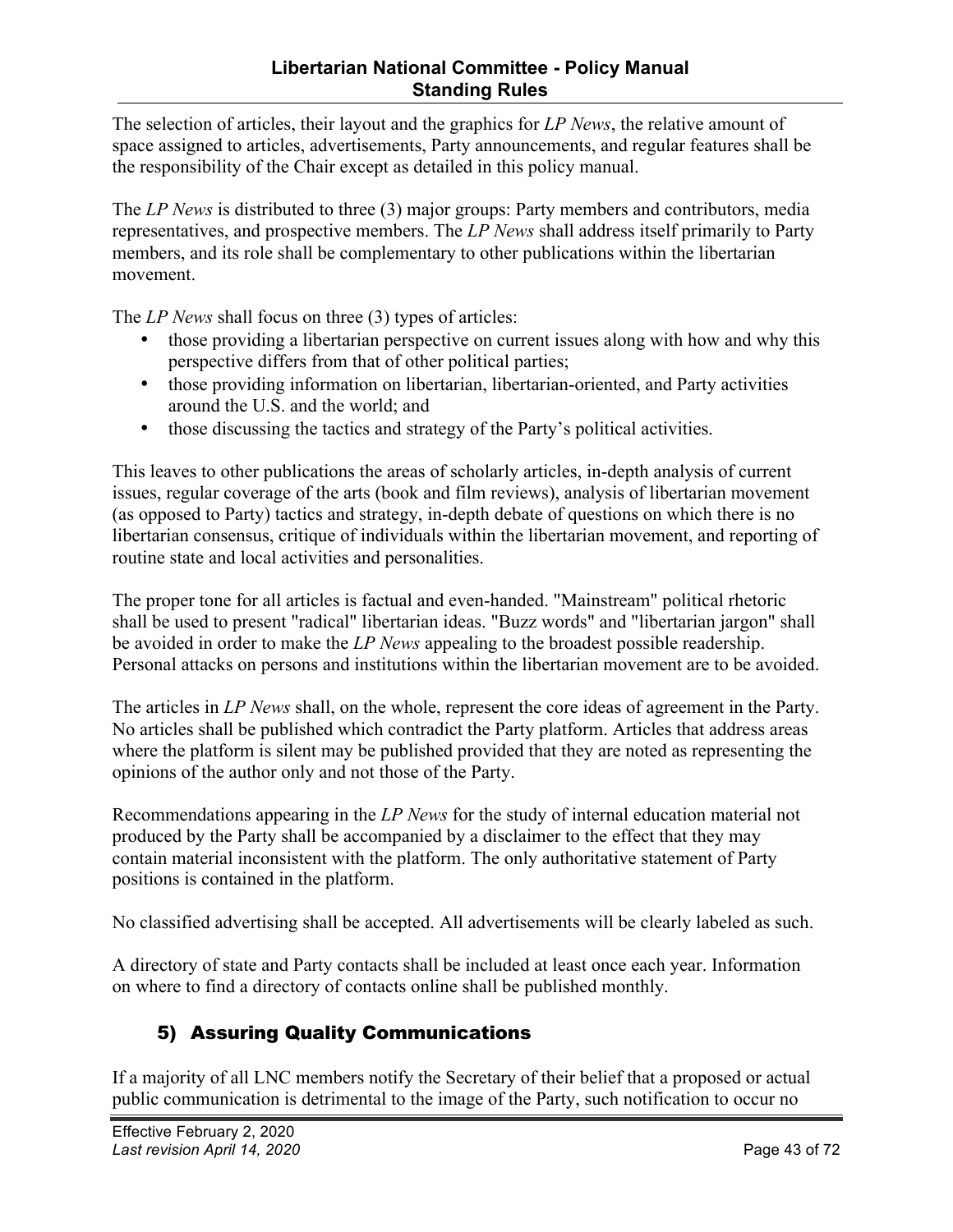The selection of articles, their layout and the graphics for *LP News*, the relative amount of space assigned to articles, advertisements, Party announcements, and regular features shall be the responsibility of the Chair except as detailed in this policy manual.

The *LP News* is distributed to three (3) major groups: Party members and contributors, media representatives, and prospective members. The *LP News* shall address itself primarily to Party members, and its role shall be complementary to other publications within the libertarian movement.

The *LP News* shall focus on three (3) types of articles:

- those providing a libertarian perspective on current issues along with how and why this perspective differs from that of other political parties;
- those providing information on libertarian, libertarian-oriented, and Party activities around the U.S. and the world; and
- those discussing the tactics and strategy of the Party's political activities.

This leaves to other publications the areas of scholarly articles, in-depth analysis of current issues, regular coverage of the arts (book and film reviews), analysis of libertarian movement (as opposed to Party) tactics and strategy, in-depth debate of questions on which there is no libertarian consensus, critique of individuals within the libertarian movement, and reporting of routine state and local activities and personalities.

The proper tone for all articles is factual and even-handed. "Mainstream" political rhetoric shall be used to present "radical" libertarian ideas. "Buzz words" and "libertarian jargon" shall be avoided in order to make the *LP News* appealing to the broadest possible readership. Personal attacks on persons and institutions within the libertarian movement are to be avoided.

The articles in *LP News* shall, on the whole, represent the core ideas of agreement in the Party. No articles shall be published which contradict the Party platform. Articles that address areas where the platform is silent may be published provided that they are noted as representing the opinions of the author only and not those of the Party.

Recommendations appearing in the *LP News* for the study of internal education material not produced by the Party shall be accompanied by a disclaimer to the effect that they may contain material inconsistent with the platform. The only authoritative statement of Party positions is contained in the platform.

No classified advertising shall be accepted. All advertisements will be clearly labeled as such.

A directory of state and Party contacts shall be included at least once each year. Information on where to find a directory of contacts online shall be published monthly.

## 5) Assuring Quality Communications

If a majority of all LNC members notify the Secretary of their belief that a proposed or actual public communication is detrimental to the image of the Party, such notification to occur no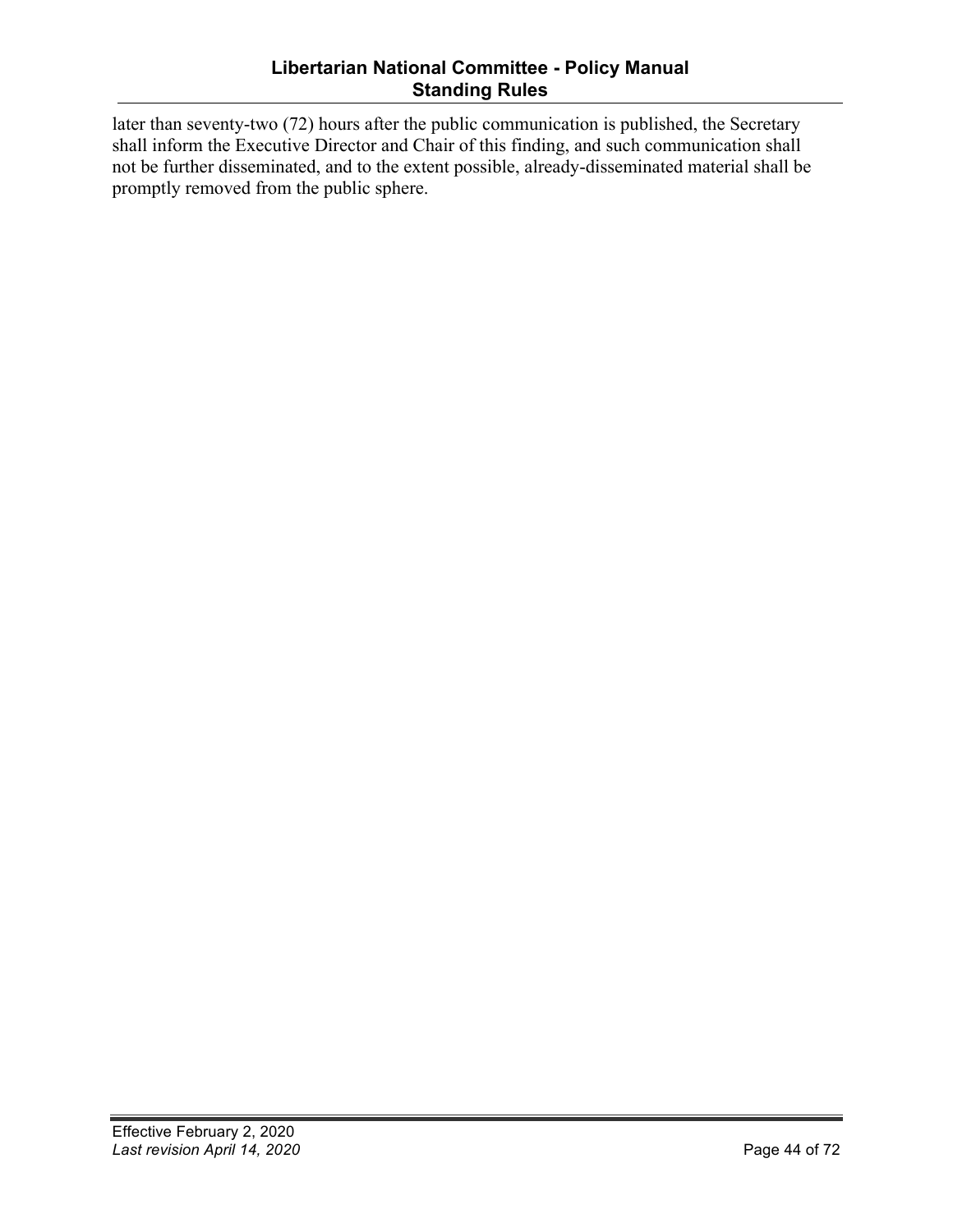### **Libertarian National Committee - Policy Manual Standing Rules**

later than seventy-two (72) hours after the public communication is published, the Secretary shall inform the Executive Director and Chair of this finding, and such communication shall not be further disseminated, and to the extent possible, already-disseminated material shall be promptly removed from the public sphere.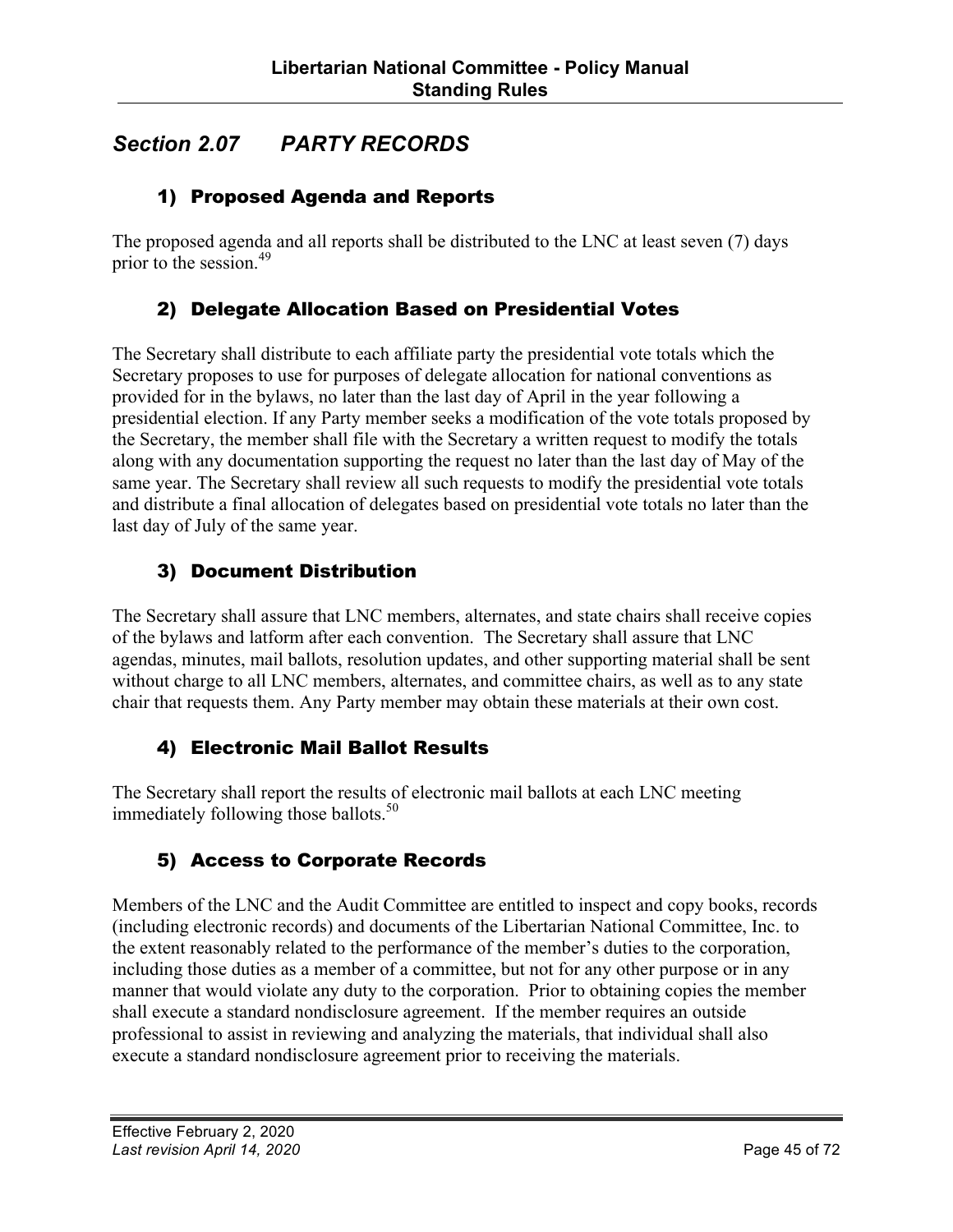## *Section 2.07 PARTY RECORDS*

## 1) Proposed Agenda and Reports

The proposed agenda and all reports shall be distributed to the LNC at least seven (7) days prior to the session. 49

### 2) Delegate Allocation Based on Presidential Votes

The Secretary shall distribute to each affiliate party the presidential vote totals which the Secretary proposes to use for purposes of delegate allocation for national conventions as provided for in the bylaws, no later than the last day of April in the year following a presidential election. If any Party member seeks a modification of the vote totals proposed by the Secretary, the member shall file with the Secretary a written request to modify the totals along with any documentation supporting the request no later than the last day of May of the same year. The Secretary shall review all such requests to modify the presidential vote totals and distribute a final allocation of delegates based on presidential vote totals no later than the last day of July of the same year.

## 3) Document Distribution

The Secretary shall assure that LNC members, alternates, and state chairs shall receive copies of the bylaws and latform after each convention. The Secretary shall assure that LNC agendas, minutes, mail ballots, resolution updates, and other supporting material shall be sent without charge to all LNC members, alternates, and committee chairs, as well as to any state chair that requests them. Any Party member may obtain these materials at their own cost.

### 4) Electronic Mail Ballot Results

The Secretary shall report the results of electronic mail ballots at each LNC meeting immediately following those ballots.<sup>50</sup>

## 5) Access to Corporate Records

Members of the LNC and the Audit Committee are entitled to inspect and copy books, records (including electronic records) and documents of the Libertarian National Committee, Inc. to the extent reasonably related to the performance of the member's duties to the corporation, including those duties as a member of a committee, but not for any other purpose or in any manner that would violate any duty to the corporation. Prior to obtaining copies the member shall execute a standard nondisclosure agreement. If the member requires an outside professional to assist in reviewing and analyzing the materials, that individual shall also execute a standard nondisclosure agreement prior to receiving the materials.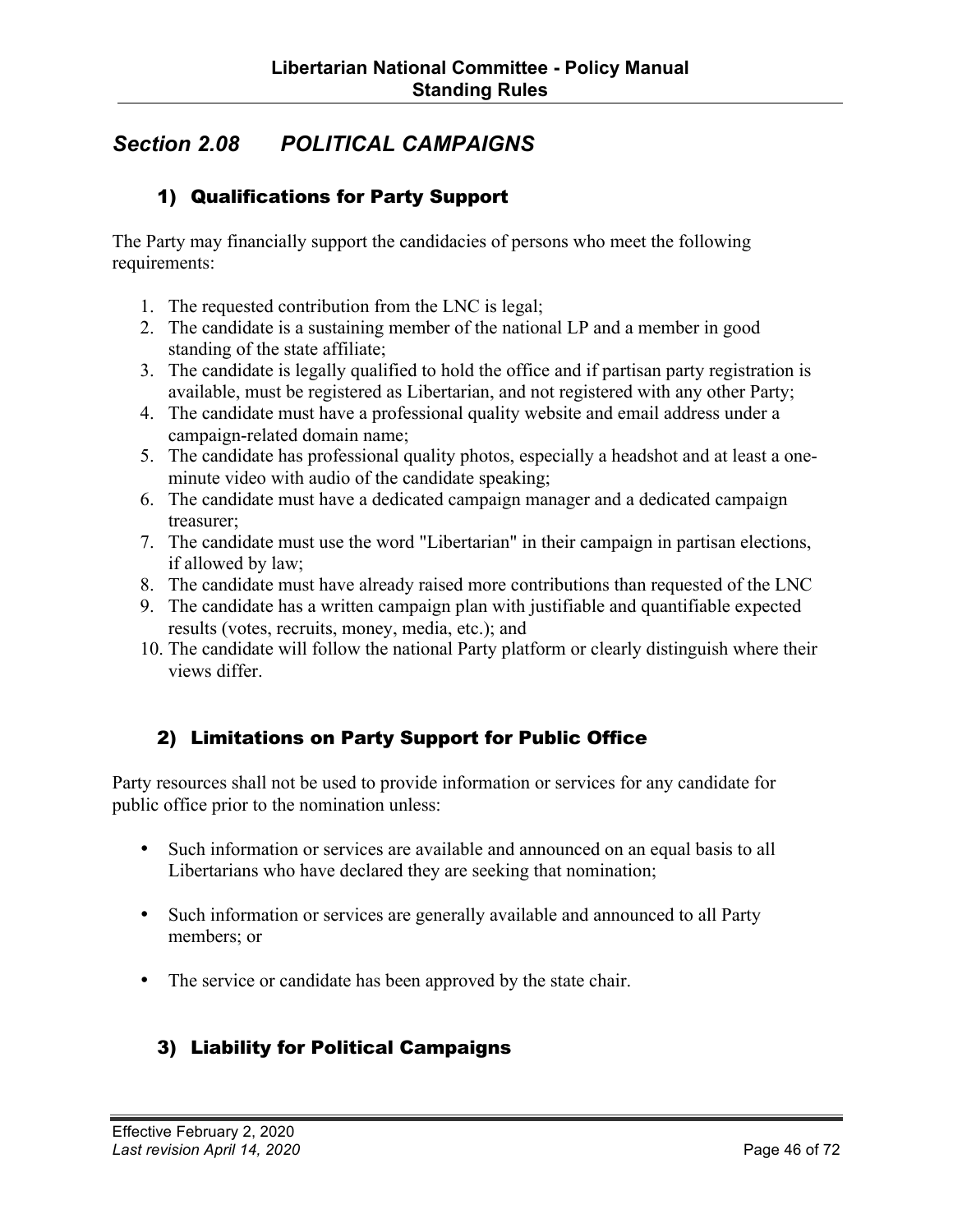## *Section 2.08 POLITICAL CAMPAIGNS*

### 1) Qualifications for Party Support

The Party may financially support the candidacies of persons who meet the following requirements:

- 1. The requested contribution from the LNC is legal;
- 2. The candidate is a sustaining member of the national LP and a member in good standing of the state affiliate;
- 3. The candidate is legally qualified to hold the office and if partisan party registration is available, must be registered as Libertarian, and not registered with any other Party;
- 4. The candidate must have a professional quality website and email address under a campaign-related domain name;
- 5. The candidate has professional quality photos, especially a headshot and at least a oneminute video with audio of the candidate speaking;
- 6. The candidate must have a dedicated campaign manager and a dedicated campaign treasurer;
- 7. The candidate must use the word "Libertarian" in their campaign in partisan elections, if allowed by law;
- 8. The candidate must have already raised more contributions than requested of the LNC
- 9. The candidate has a written campaign plan with justifiable and quantifiable expected results (votes, recruits, money, media, etc.); and
- 10. The candidate will follow the national Party platform or clearly distinguish where their views differ.

## 2) Limitations on Party Support for Public Office

Party resources shall not be used to provide information or services for any candidate for public office prior to the nomination unless:

- Such information or services are available and announced on an equal basis to all Libertarians who have declared they are seeking that nomination;
- Such information or services are generally available and announced to all Party members; or
- The service or candidate has been approved by the state chair.

## 3) Liability for Political Campaigns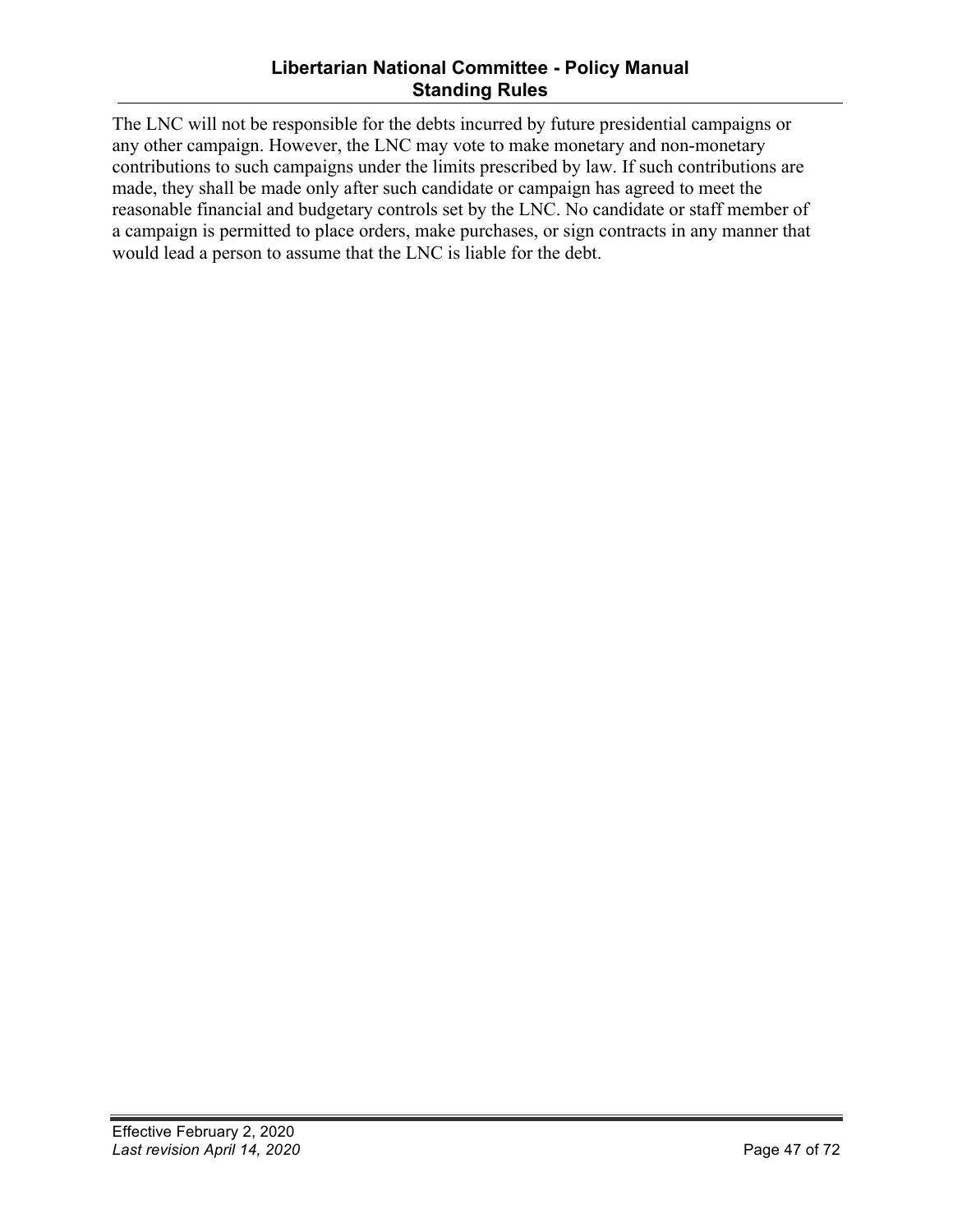### **Libertarian National Committee - Policy Manual Standing Rules**

The LNC will not be responsible for the debts incurred by future presidential campaigns or any other campaign. However, the LNC may vote to make monetary and non-monetary contributions to such campaigns under the limits prescribed by law. If such contributions are made, they shall be made only after such candidate or campaign has agreed to meet the reasonable financial and budgetary controls set by the LNC. No candidate or staff member of a campaign is permitted to place orders, make purchases, or sign contracts in any manner that would lead a person to assume that the LNC is liable for the debt.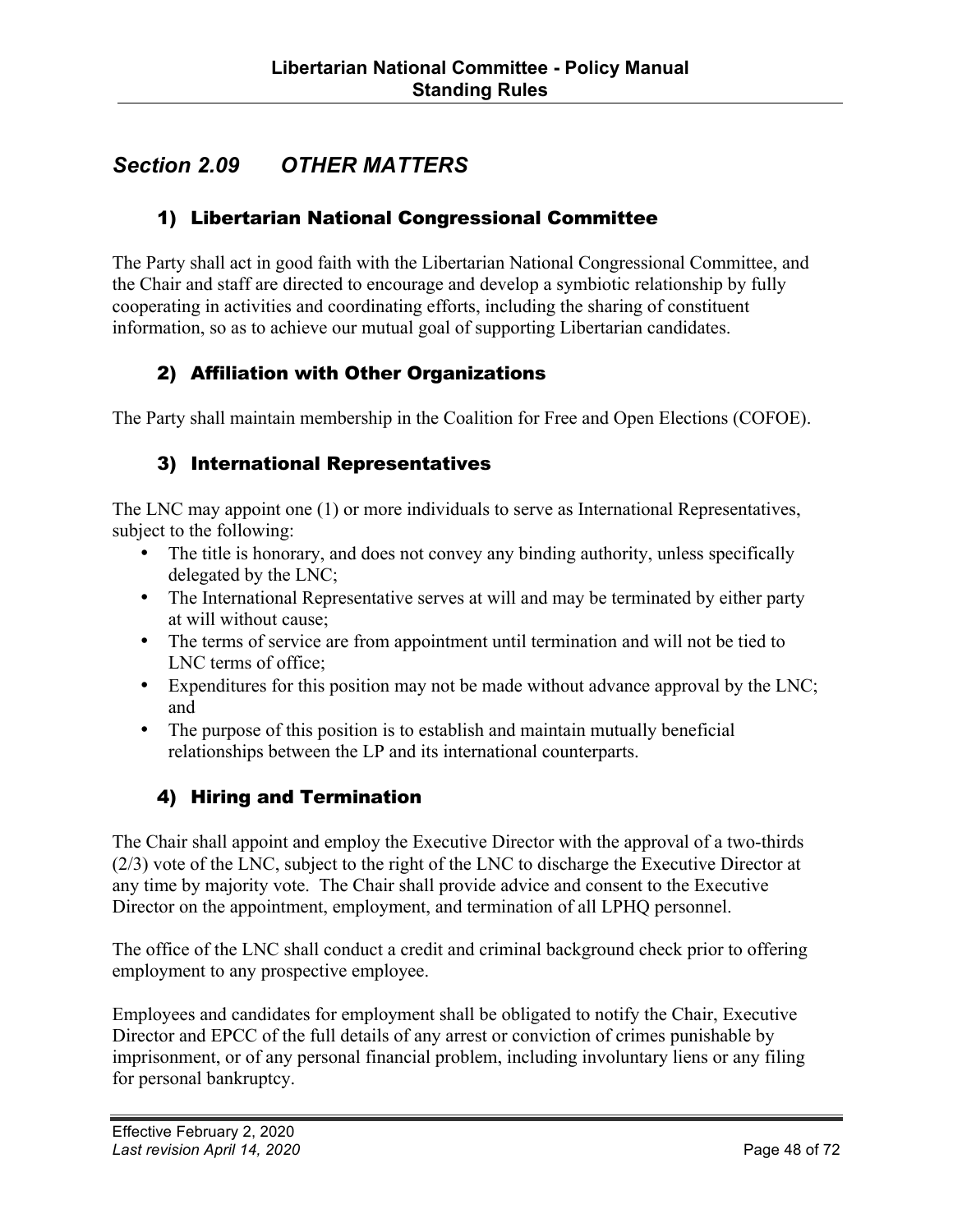## *Section 2.09 OTHER MATTERS*

## 1) Libertarian National Congressional Committee

The Party shall act in good faith with the Libertarian National Congressional Committee, and the Chair and staff are directed to encourage and develop a symbiotic relationship by fully cooperating in activities and coordinating efforts, including the sharing of constituent information, so as to achieve our mutual goal of supporting Libertarian candidates.

## 2) Affiliation with Other Organizations

The Party shall maintain membership in the Coalition for Free and Open Elections (COFOE).

### 3) International Representatives

The LNC may appoint one (1) or more individuals to serve as International Representatives, subject to the following:

- The title is honorary, and does not convey any binding authority, unless specifically delegated by the LNC;
- The International Representative serves at will and may be terminated by either party at will without cause;
- The terms of service are from appointment until termination and will not be tied to LNC terms of office;
- Expenditures for this position may not be made without advance approval by the LNC; and
- The purpose of this position is to establish and maintain mutually beneficial relationships between the LP and its international counterparts.

### 4) Hiring and Termination

The Chair shall appoint and employ the Executive Director with the approval of a two-thirds (2/3) vote of the LNC, subject to the right of the LNC to discharge the Executive Director at any time by majority vote. The Chair shall provide advice and consent to the Executive Director on the appointment, employment, and termination of all LPHQ personnel.

The office of the LNC shall conduct a credit and criminal background check prior to offering employment to any prospective employee.

Employees and candidates for employment shall be obligated to notify the Chair, Executive Director and EPCC of the full details of any arrest or conviction of crimes punishable by imprisonment, or of any personal financial problem, including involuntary liens or any filing for personal bankruptcy.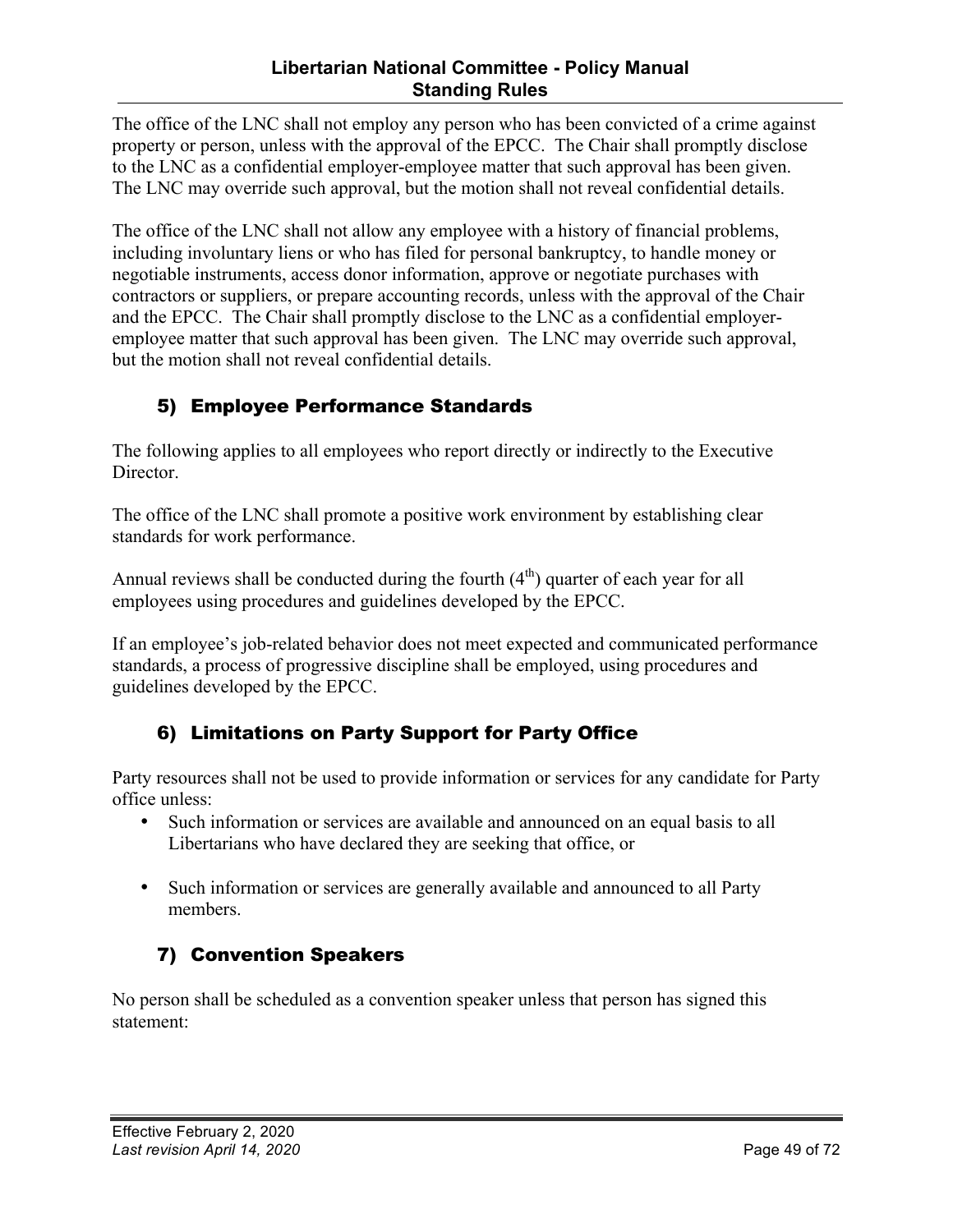### **Libertarian National Committee - Policy Manual Standing Rules**

The office of the LNC shall not employ any person who has been convicted of a crime against property or person, unless with the approval of the EPCC. The Chair shall promptly disclose to the LNC as a confidential employer-employee matter that such approval has been given. The LNC may override such approval, but the motion shall not reveal confidential details.

The office of the LNC shall not allow any employee with a history of financial problems, including involuntary liens or who has filed for personal bankruptcy, to handle money or negotiable instruments, access donor information, approve or negotiate purchases with contractors or suppliers, or prepare accounting records, unless with the approval of the Chair and the EPCC. The Chair shall promptly disclose to the LNC as a confidential employeremployee matter that such approval has been given. The LNC may override such approval, but the motion shall not reveal confidential details.

## 5) Employee Performance Standards

The following applies to all employees who report directly or indirectly to the Executive Director.

The office of the LNC shall promote a positive work environment by establishing clear standards for work performance.

Annual reviews shall be conducted during the fourth  $(4<sup>th</sup>)$  quarter of each year for all employees using procedures and guidelines developed by the EPCC.

If an employee's job-related behavior does not meet expected and communicated performance standards, a process of progressive discipline shall be employed, using procedures and guidelines developed by the EPCC.

## 6) Limitations on Party Support for Party Office

Party resources shall not be used to provide information or services for any candidate for Party office unless:

- Such information or services are available and announced on an equal basis to all Libertarians who have declared they are seeking that office, or
- Such information or services are generally available and announced to all Party members.

## 7) Convention Speakers

No person shall be scheduled as a convention speaker unless that person has signed this statement: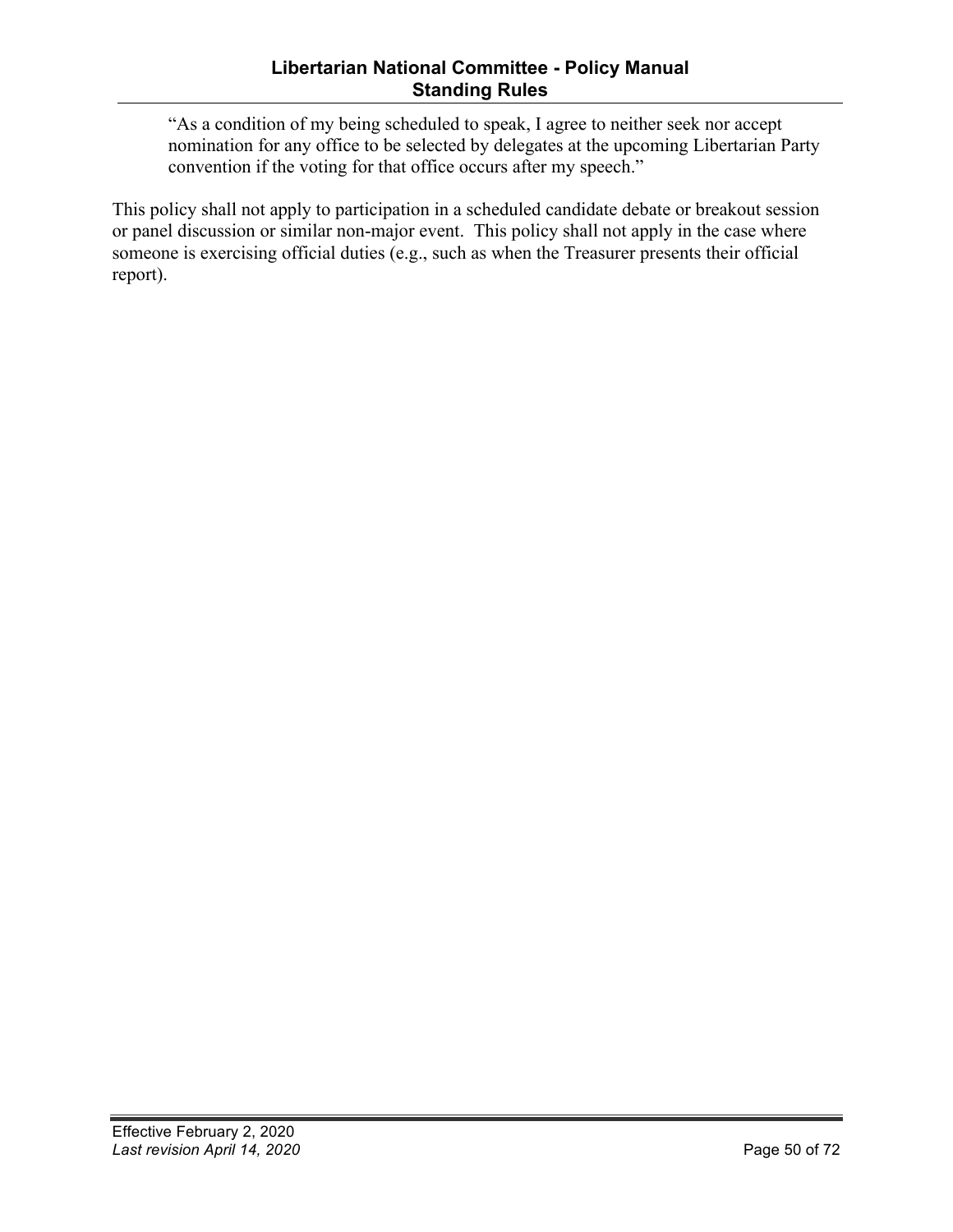"As a condition of my being scheduled to speak, I agree to neither seek nor accept nomination for any office to be selected by delegates at the upcoming Libertarian Party convention if the voting for that office occurs after my speech."

This policy shall not apply to participation in a scheduled candidate debate or breakout session or panel discussion or similar non-major event. This policy shall not apply in the case where someone is exercising official duties (e.g., such as when the Treasurer presents their official report).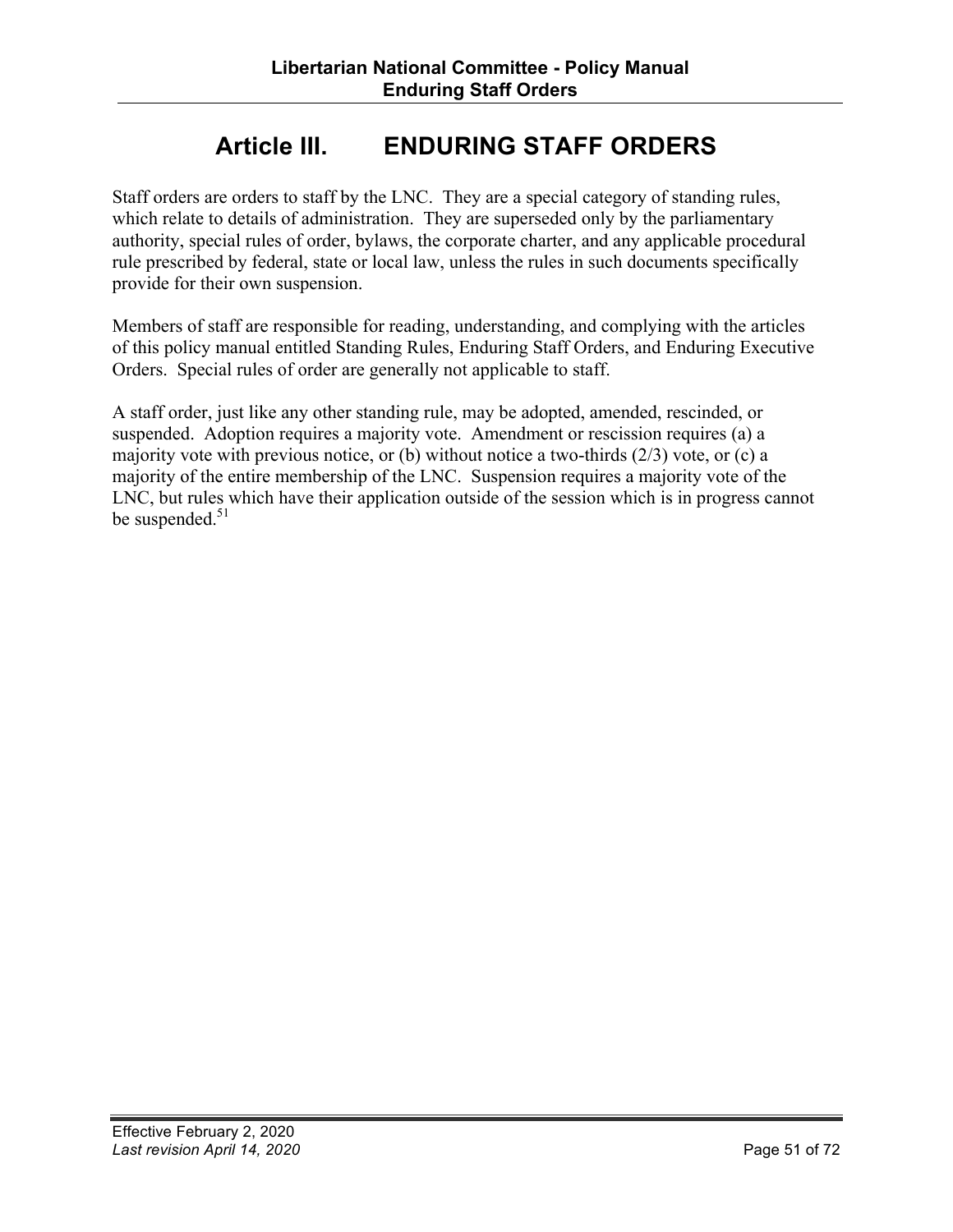# **Article III. ENDURING STAFF ORDERS**

Staff orders are orders to staff by the LNC. They are a special category of standing rules, which relate to details of administration. They are superseded only by the parliamentary authority, special rules of order, bylaws, the corporate charter, and any applicable procedural rule prescribed by federal, state or local law, unless the rules in such documents specifically provide for their own suspension.

Members of staff are responsible for reading, understanding, and complying with the articles of this policy manual entitled Standing Rules, Enduring Staff Orders, and Enduring Executive Orders. Special rules of order are generally not applicable to staff.

A staff order, just like any other standing rule, may be adopted, amended, rescinded, or suspended. Adoption requires a majority vote. Amendment or rescission requires (a) a majority vote with previous notice, or (b) without notice a two-thirds (2/3) vote, or (c) a majority of the entire membership of the LNC. Suspension requires a majority vote of the LNC, but rules which have their application outside of the session which is in progress cannot be suspended.<sup>51</sup>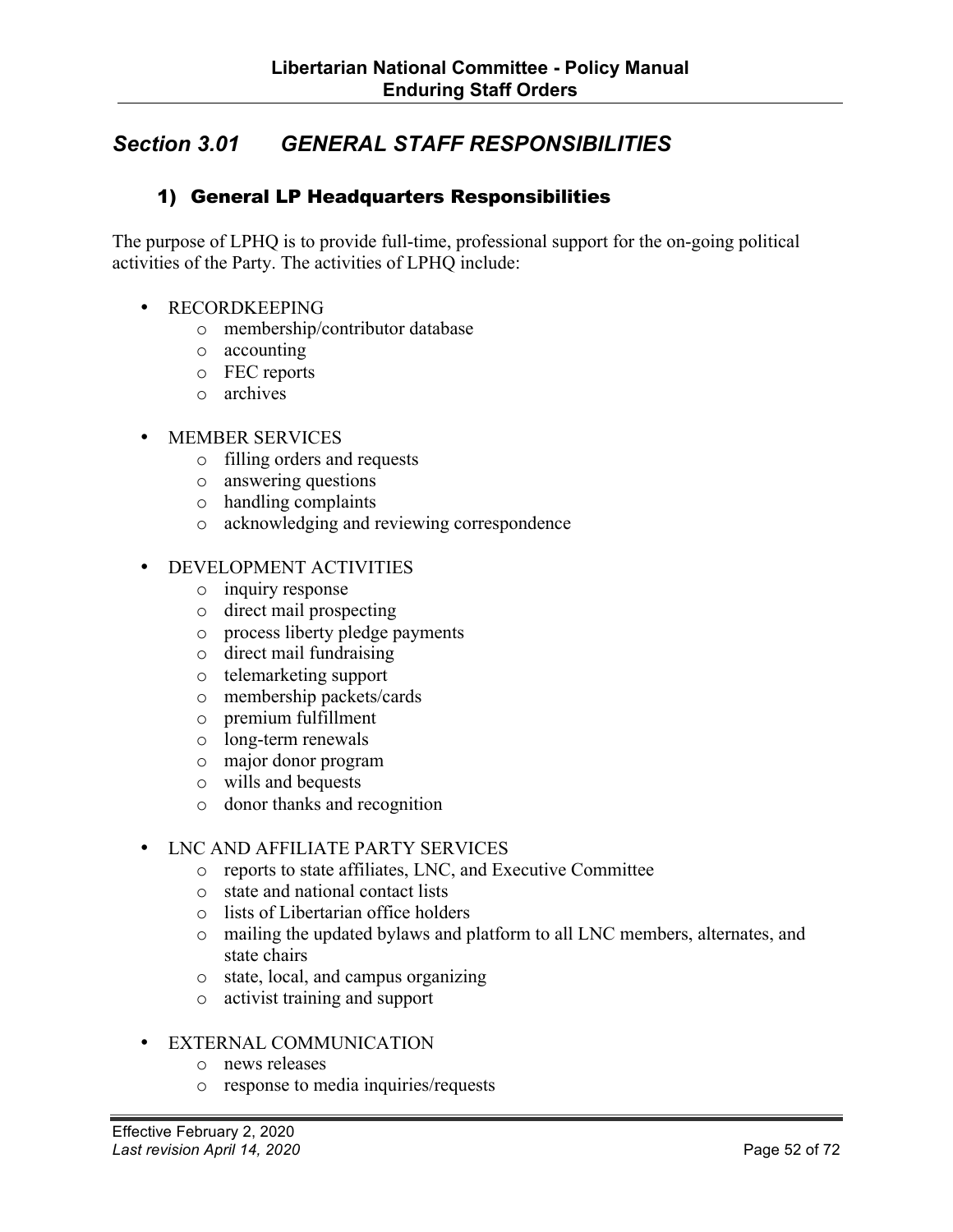## *Section 3.01 GENERAL STAFF RESPONSIBILITIES*

### 1) General LP Headquarters Responsibilities

The purpose of LPHQ is to provide full-time, professional support for the on-going political activities of the Party. The activities of LPHQ include:

- RECORDKEEPING
	- o membership/contributor database
	- o accounting
	- o FEC reports
	- o archives
- MEMBER SERVICES
	- o filling orders and requests
	- o answering questions
	- o handling complaints
	- o acknowledging and reviewing correspondence
- DEVELOPMENT ACTIVITIES
	- o inquiry response
	- o direct mail prospecting
	- o process liberty pledge payments
	- o direct mail fundraising
	- o telemarketing support
	- o membership packets/cards
	- o premium fulfillment
	- o long-term renewals
	- o major donor program
	- o wills and bequests
	- o donor thanks and recognition

#### • LNC AND AFFILIATE PARTY SERVICES

- o reports to state affiliates, LNC, and Executive Committee
- o state and national contact lists
- o lists of Libertarian office holders
- o mailing the updated bylaws and platform to all LNC members, alternates, and state chairs
- o state, local, and campus organizing
- o activist training and support

#### • EXTERNAL COMMUNICATION

- o news releases
- o response to media inquiries/requests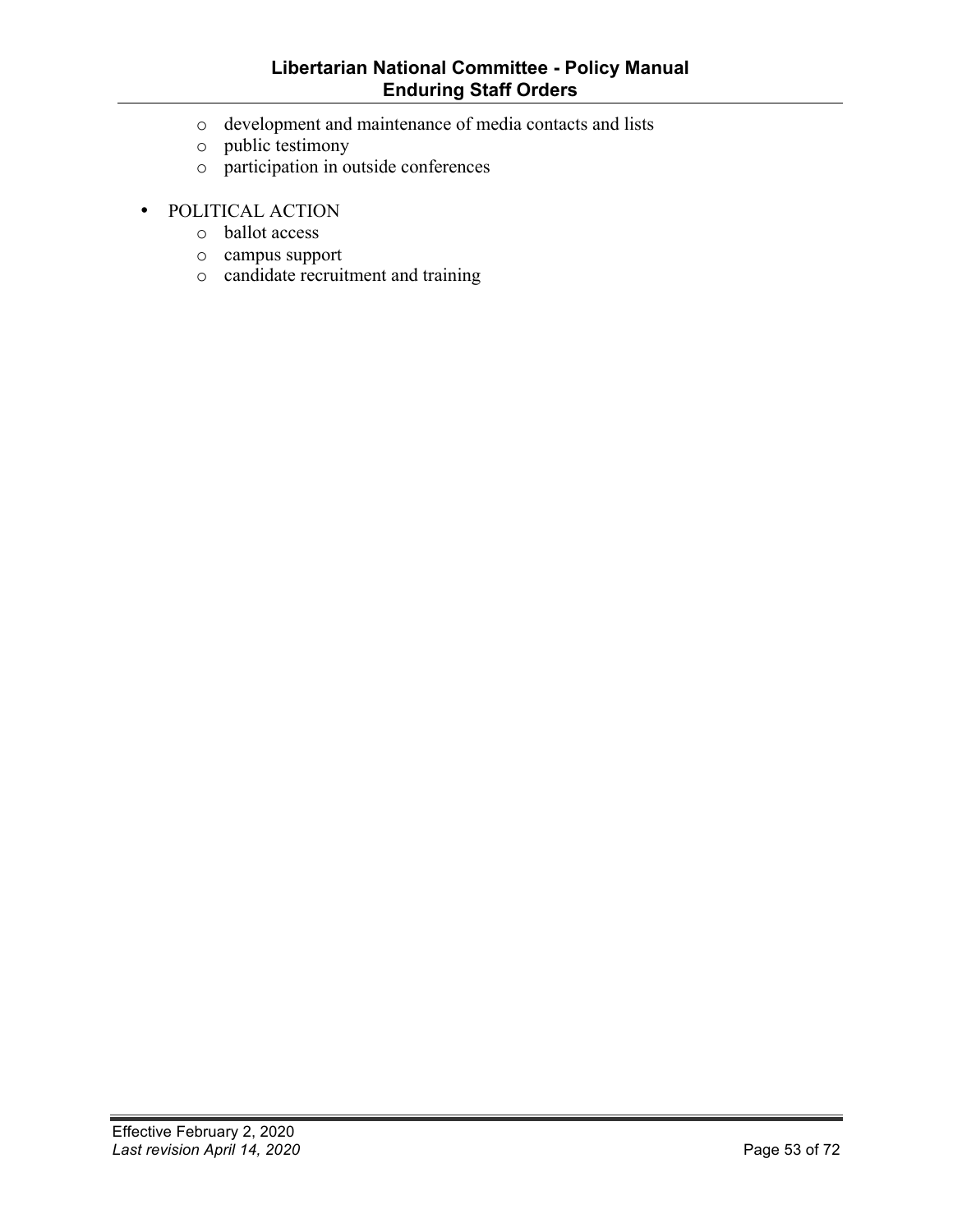#### **Libertarian National Committee - Policy Manual Enduring Staff Orders**

- o development and maintenance of media contacts and lists
- o public testimony
- o participation in outside conferences
- POLITICAL ACTION
	- o ballot access
	- o campus support
	- o candidate recruitment and training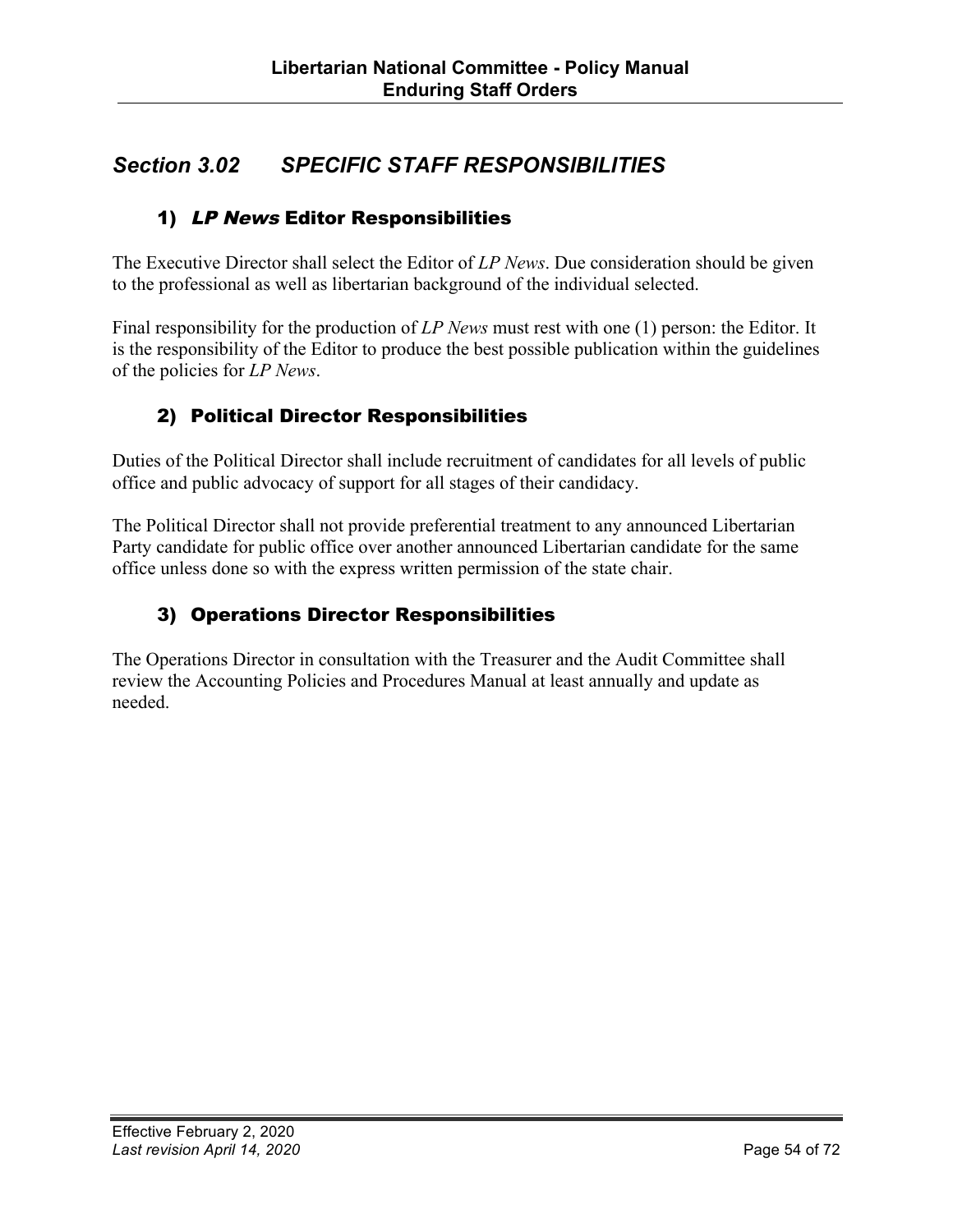## *Section 3.02 SPECIFIC STAFF RESPONSIBILITIES*

## 1) LP News Editor Responsibilities

The Executive Director shall select the Editor of *LP News*. Due consideration should be given to the professional as well as libertarian background of the individual selected.

Final responsibility for the production of *LP News* must rest with one (1) person: the Editor. It is the responsibility of the Editor to produce the best possible publication within the guidelines of the policies for *LP News*.

## 2) Political Director Responsibilities

Duties of the Political Director shall include recruitment of candidates for all levels of public office and public advocacy of support for all stages of their candidacy.

The Political Director shall not provide preferential treatment to any announced Libertarian Party candidate for public office over another announced Libertarian candidate for the same office unless done so with the express written permission of the state chair.

## 3) Operations Director Responsibilities

The Operations Director in consultation with the Treasurer and the Audit Committee shall review the Accounting Policies and Procedures Manual at least annually and update as needed.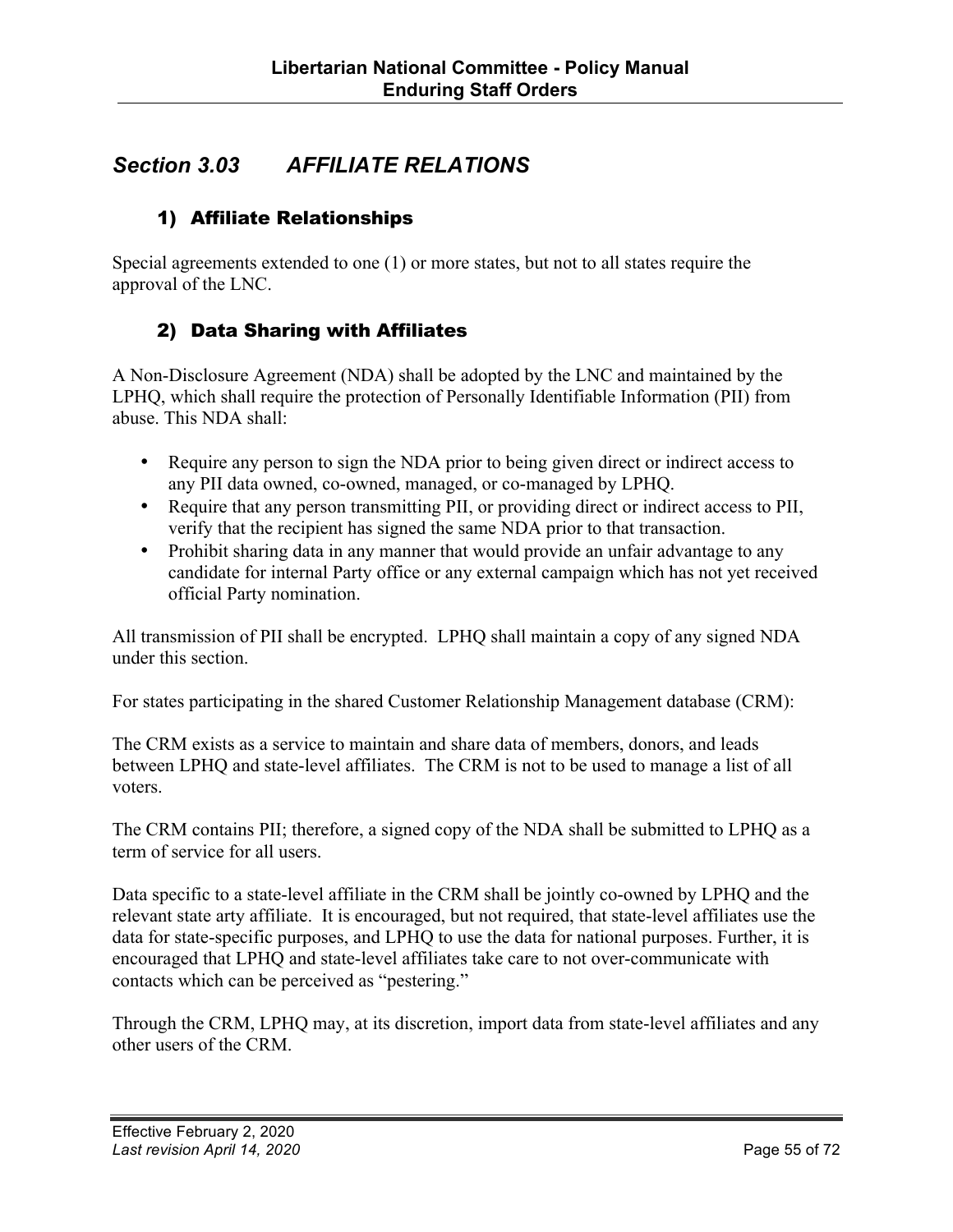## *Section 3.03 AFFILIATE RELATIONS*

### 1) Affiliate Relationships

Special agreements extended to one (1) or more states, but not to all states require the approval of the LNC.

### 2) Data Sharing with Affiliates

A Non-Disclosure Agreement (NDA) shall be adopted by the LNC and maintained by the LPHQ, which shall require the protection of Personally Identifiable Information (PII) from abuse. This NDA shall:

- Require any person to sign the NDA prior to being given direct or indirect access to any PII data owned, co-owned, managed, or co-managed by LPHQ.
- Require that any person transmitting PII, or providing direct or indirect access to PII, verify that the recipient has signed the same NDA prior to that transaction.
- Prohibit sharing data in any manner that would provide an unfair advantage to any candidate for internal Party office or any external campaign which has not yet received official Party nomination.

All transmission of PII shall be encrypted. LPHQ shall maintain a copy of any signed NDA under this section.

For states participating in the shared Customer Relationship Management database (CRM):

The CRM exists as a service to maintain and share data of members, donors, and leads between LPHQ and state-level affiliates. The CRM is not to be used to manage a list of all voters.

The CRM contains PII; therefore, a signed copy of the NDA shall be submitted to LPHQ as a term of service for all users.

Data specific to a state-level affiliate in the CRM shall be jointly co-owned by LPHQ and the relevant state arty affiliate. It is encouraged, but not required, that state-level affiliates use the data for state-specific purposes, and LPHQ to use the data for national purposes. Further, it is encouraged that LPHQ and state-level affiliates take care to not over-communicate with contacts which can be perceived as "pestering."

Through the CRM, LPHQ may, at its discretion, import data from state-level affiliates and any other users of the CRM.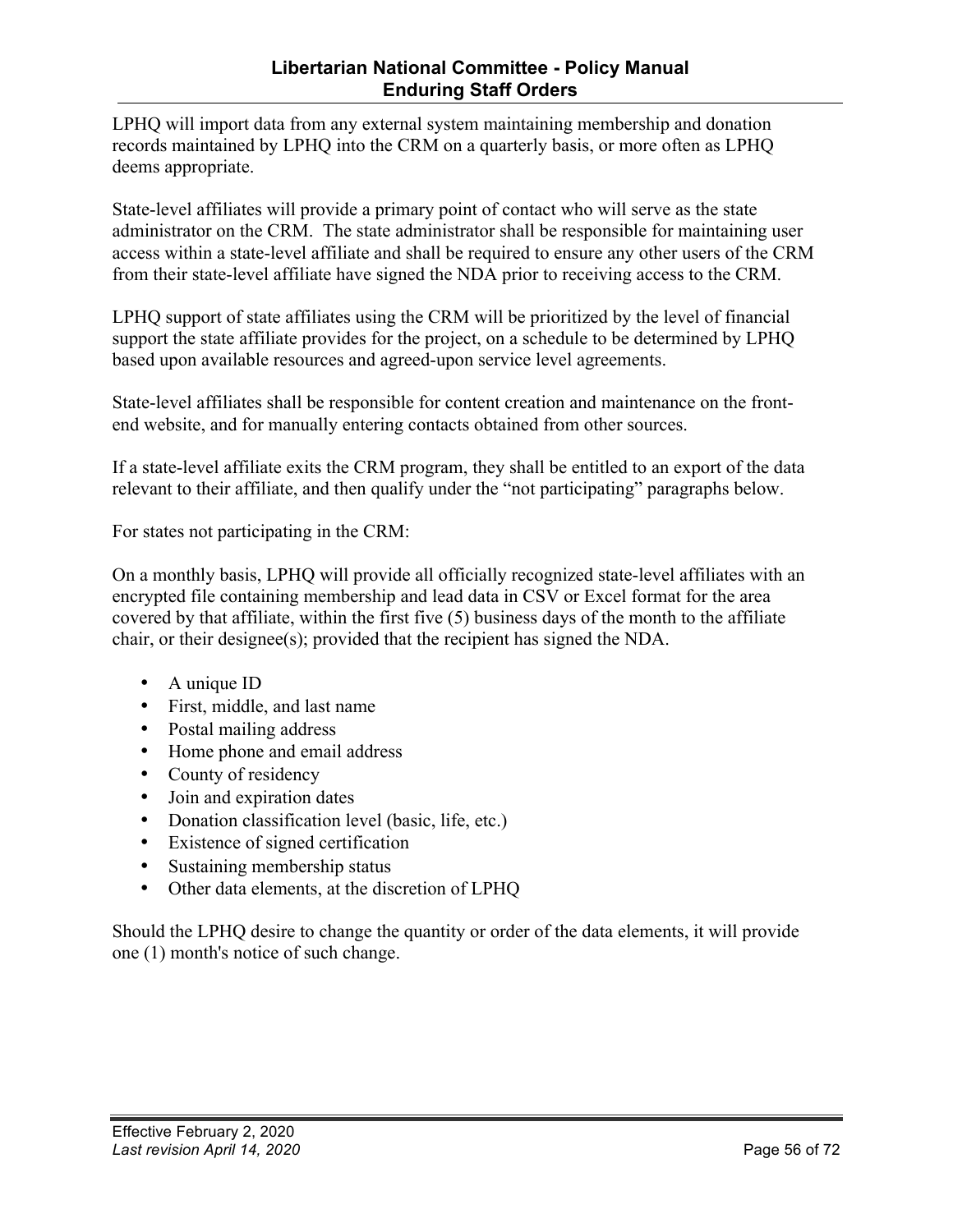### **Libertarian National Committee - Policy Manual Enduring Staff Orders**

LPHQ will import data from any external system maintaining membership and donation records maintained by LPHQ into the CRM on a quarterly basis, or more often as LPHQ deems appropriate.

State-level affiliates will provide a primary point of contact who will serve as the state administrator on the CRM. The state administrator shall be responsible for maintaining user access within a state-level affiliate and shall be required to ensure any other users of the CRM from their state-level affiliate have signed the NDA prior to receiving access to the CRM.

LPHQ support of state affiliates using the CRM will be prioritized by the level of financial support the state affiliate provides for the project, on a schedule to be determined by LPHQ based upon available resources and agreed-upon service level agreements.

State-level affiliates shall be responsible for content creation and maintenance on the frontend website, and for manually entering contacts obtained from other sources.

If a state-level affiliate exits the CRM program, they shall be entitled to an export of the data relevant to their affiliate, and then qualify under the "not participating" paragraphs below.

For states not participating in the CRM:

On a monthly basis, LPHQ will provide all officially recognized state-level affiliates with an encrypted file containing membership and lead data in CSV or Excel format for the area covered by that affiliate, within the first five (5) business days of the month to the affiliate chair, or their designee(s); provided that the recipient has signed the NDA.

- A unique ID
- First, middle, and last name
- Postal mailing address
- Home phone and email address
- County of residency
- Join and expiration dates
- Donation classification level (basic, life, etc.)
- Existence of signed certification
- Sustaining membership status
- Other data elements, at the discretion of LPHQ

Should the LPHQ desire to change the quantity or order of the data elements, it will provide one (1) month's notice of such change.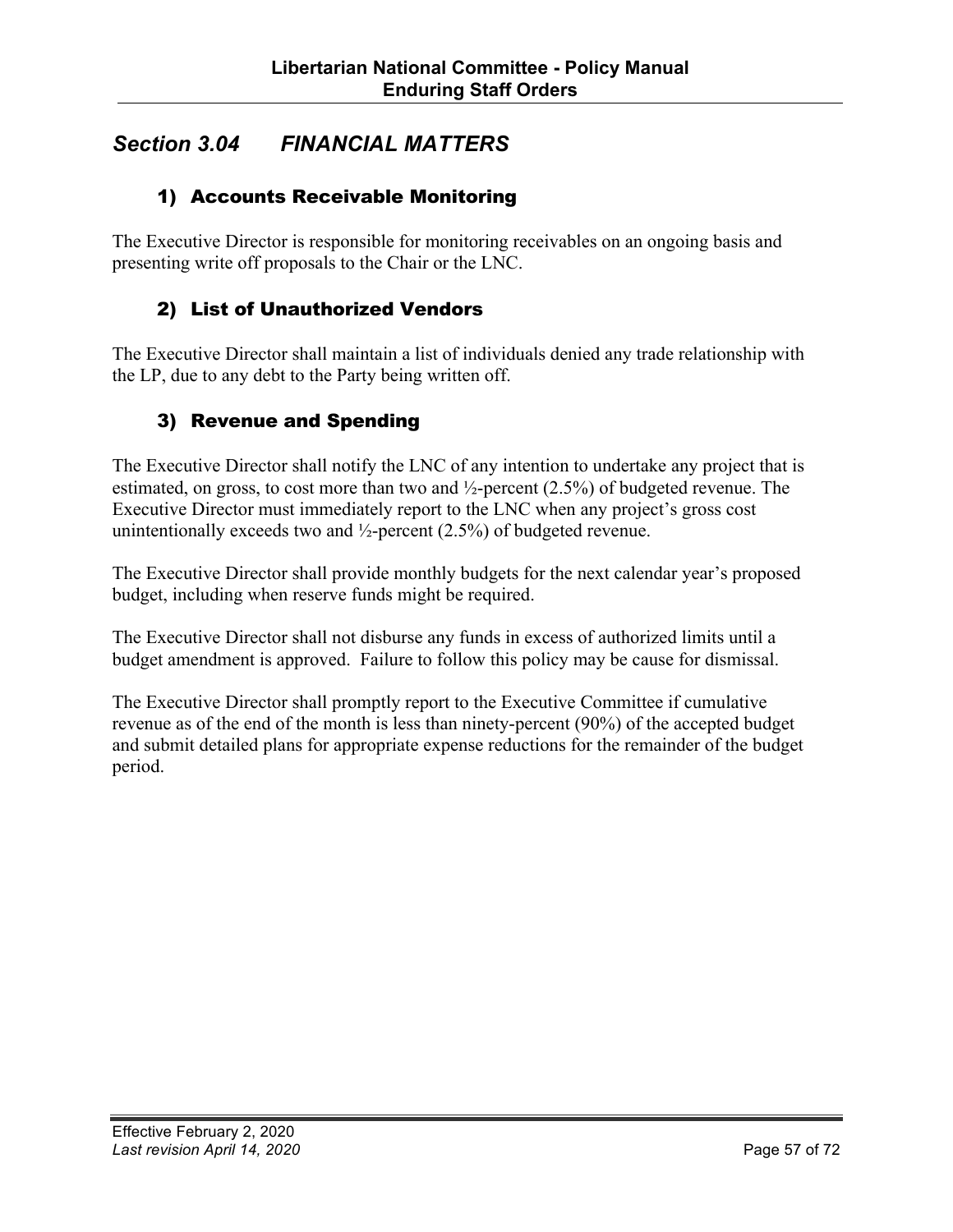## *Section 3.04 FINANCIAL MATTERS*

### 1) Accounts Receivable Monitoring

The Executive Director is responsible for monitoring receivables on an ongoing basis and presenting write off proposals to the Chair or the LNC.

### 2) List of Unauthorized Vendors

The Executive Director shall maintain a list of individuals denied any trade relationship with the LP, due to any debt to the Party being written off.

### 3) Revenue and Spending

The Executive Director shall notify the LNC of any intention to undertake any project that is estimated, on gross, to cost more than two and ½-percent (2.5%) of budgeted revenue. The Executive Director must immediately report to the LNC when any project's gross cost unintentionally exceeds two and  $\frac{1}{2}$ -percent (2.5%) of budgeted revenue.

The Executive Director shall provide monthly budgets for the next calendar year's proposed budget, including when reserve funds might be required.

The Executive Director shall not disburse any funds in excess of authorized limits until a budget amendment is approved. Failure to follow this policy may be cause for dismissal.

The Executive Director shall promptly report to the Executive Committee if cumulative revenue as of the end of the month is less than ninety-percent (90%) of the accepted budget and submit detailed plans for appropriate expense reductions for the remainder of the budget period.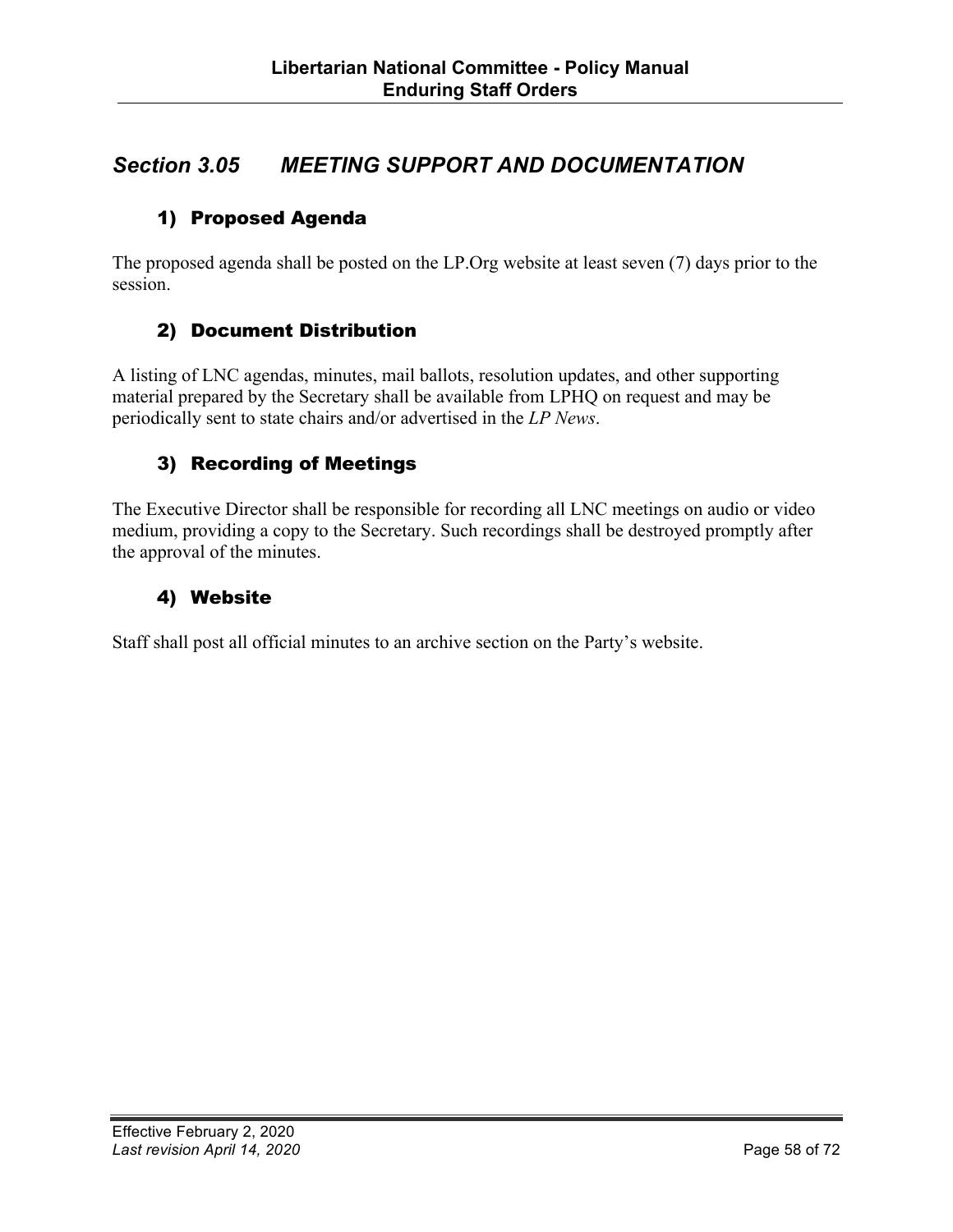## *Section 3.05 MEETING SUPPORT AND DOCUMENTATION*

## 1) Proposed Agenda

The proposed agenda shall be posted on the LP.Org website at least seven (7) days prior to the session.

### 2) Document Distribution

A listing of LNC agendas, minutes, mail ballots, resolution updates, and other supporting material prepared by the Secretary shall be available from LPHQ on request and may be periodically sent to state chairs and/or advertised in the *LP News*.

### 3) Recording of Meetings

The Executive Director shall be responsible for recording all LNC meetings on audio or video medium, providing a copy to the Secretary. Such recordings shall be destroyed promptly after the approval of the minutes.

## 4) Website

Staff shall post all official minutes to an archive section on the Party's website.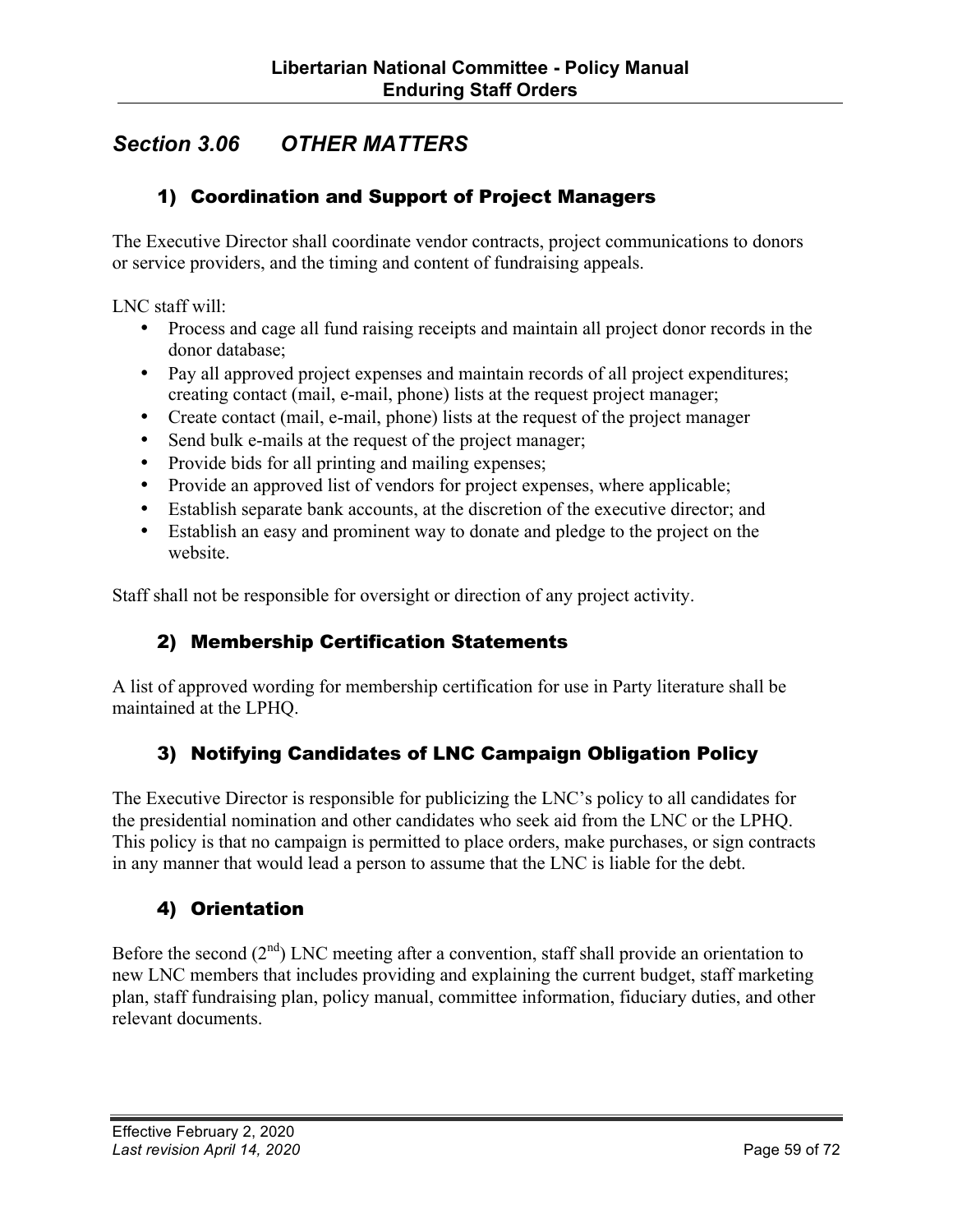## *Section 3.06 OTHER MATTERS*

## 1) Coordination and Support of Project Managers

The Executive Director shall coordinate vendor contracts, project communications to donors or service providers, and the timing and content of fundraising appeals.

LNC staff will:

- Process and cage all fund raising receipts and maintain all project donor records in the donor database;
- Pay all approved project expenses and maintain records of all project expenditures; creating contact (mail, e-mail, phone) lists at the request project manager;
- Create contact (mail, e-mail, phone) lists at the request of the project manager
- Send bulk e-mails at the request of the project manager;
- Provide bids for all printing and mailing expenses;
- Provide an approved list of vendors for project expenses, where applicable;
- Establish separate bank accounts, at the discretion of the executive director; and
- Establish an easy and prominent way to donate and pledge to the project on the website.

Staff shall not be responsible for oversight or direction of any project activity.

### 2) Membership Certification Statements

A list of approved wording for membership certification for use in Party literature shall be maintained at the LPHQ.

## 3) Notifying Candidates of LNC Campaign Obligation Policy

The Executive Director is responsible for publicizing the LNC's policy to all candidates for the presidential nomination and other candidates who seek aid from the LNC or the LPHQ. This policy is that no campaign is permitted to place orders, make purchases, or sign contracts in any manner that would lead a person to assume that the LNC is liable for the debt.

## 4) Orientation

Before the second  $(2<sup>nd</sup>)$  LNC meeting after a convention, staff shall provide an orientation to new LNC members that includes providing and explaining the current budget, staff marketing plan, staff fundraising plan, policy manual, committee information, fiduciary duties, and other relevant documents.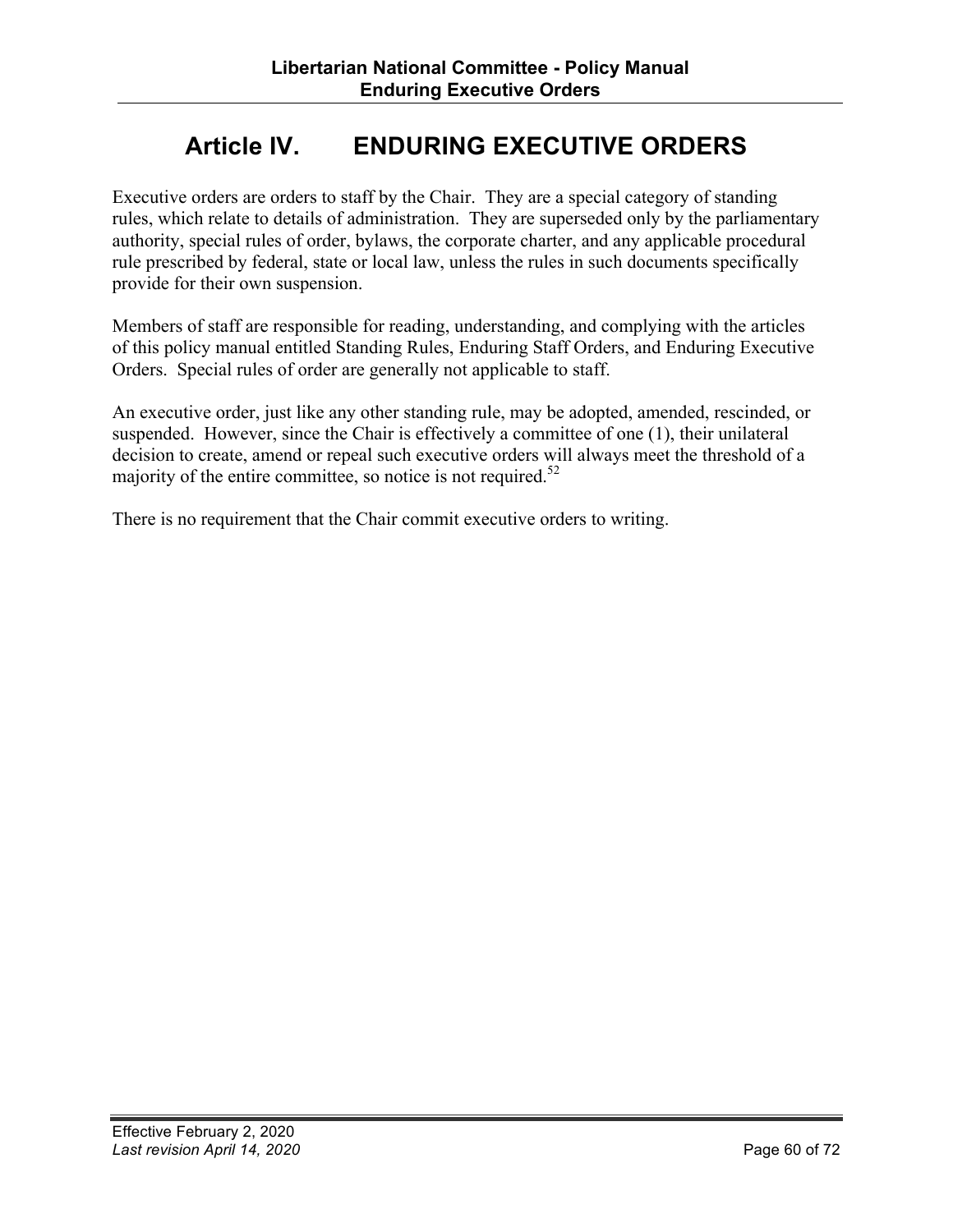# **Article IV. ENDURING EXECUTIVE ORDERS**

Executive orders are orders to staff by the Chair. They are a special category of standing rules, which relate to details of administration. They are superseded only by the parliamentary authority, special rules of order, bylaws, the corporate charter, and any applicable procedural rule prescribed by federal, state or local law, unless the rules in such documents specifically provide for their own suspension.

Members of staff are responsible for reading, understanding, and complying with the articles of this policy manual entitled Standing Rules, Enduring Staff Orders, and Enduring Executive Orders. Special rules of order are generally not applicable to staff.

An executive order, just like any other standing rule, may be adopted, amended, rescinded, or suspended. However, since the Chair is effectively a committee of one (1), their unilateral decision to create, amend or repeal such executive orders will always meet the threshold of a majority of the entire committee, so notice is not required.<sup>52</sup>

There is no requirement that the Chair commit executive orders to writing.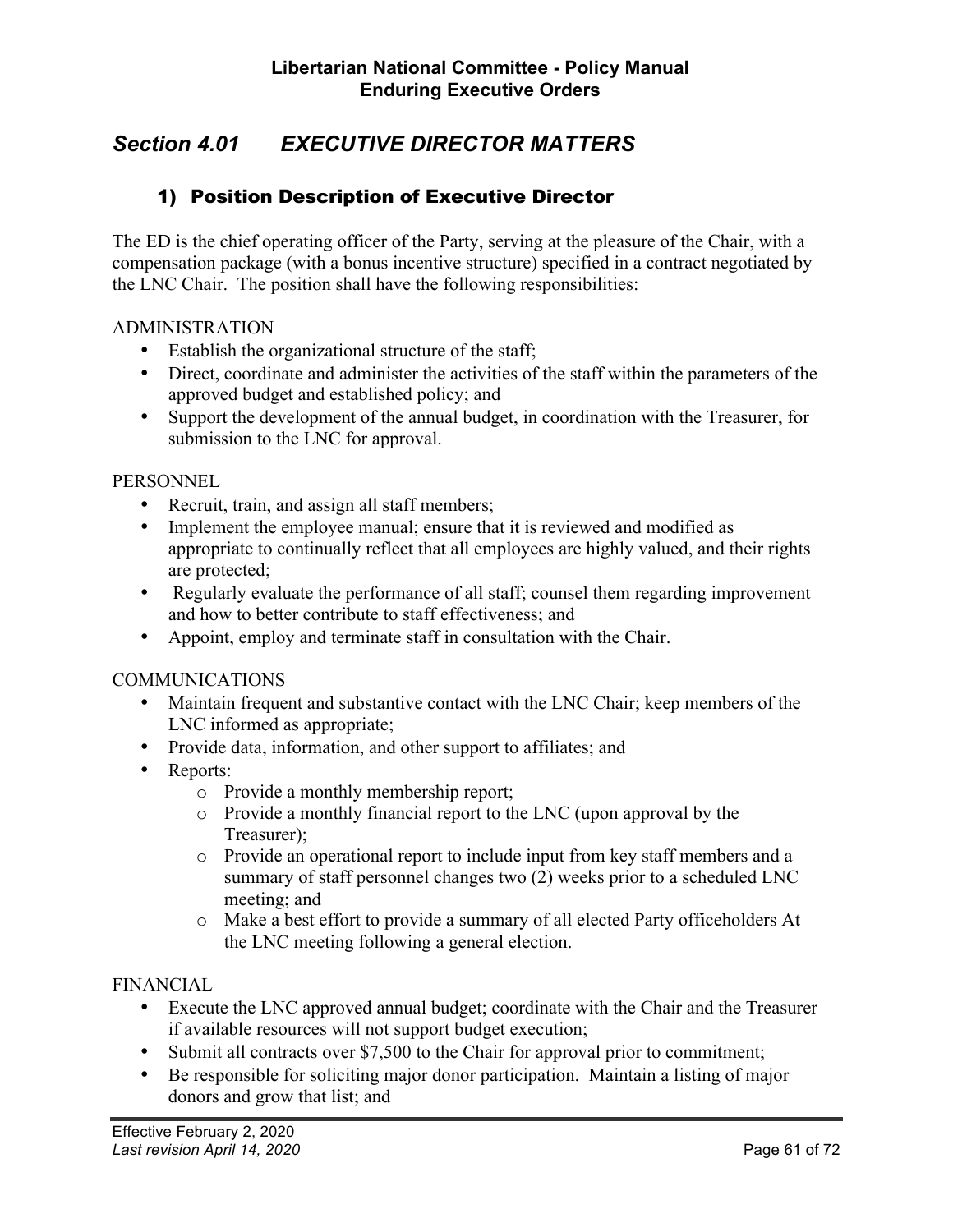## *Section 4.01 EXECUTIVE DIRECTOR MATTERS*

### 1) Position Description of Executive Director

The ED is the chief operating officer of the Party, serving at the pleasure of the Chair, with a compensation package (with a bonus incentive structure) specified in a contract negotiated by the LNC Chair. The position shall have the following responsibilities:

#### ADMINISTRATION

- Establish the organizational structure of the staff;
- Direct, coordinate and administer the activities of the staff within the parameters of the approved budget and established policy; and
- Support the development of the annual budget, in coordination with the Treasurer, for submission to the LNC for approval.

#### **PERSONNEL**

- Recruit, train, and assign all staff members;
- Implement the employee manual; ensure that it is reviewed and modified as appropriate to continually reflect that all employees are highly valued, and their rights are protected;
- Regularly evaluate the performance of all staff; counsel them regarding improvement and how to better contribute to staff effectiveness; and
- Appoint, employ and terminate staff in consultation with the Chair.

#### **COMMUNICATIONS**

- Maintain frequent and substantive contact with the LNC Chair; keep members of the LNC informed as appropriate;
- Provide data, information, and other support to affiliates; and
- Reports:
	- o Provide a monthly membership report;
	- o Provide a monthly financial report to the LNC (upon approval by the Treasurer);
	- o Provide an operational report to include input from key staff members and a summary of staff personnel changes two (2) weeks prior to a scheduled LNC meeting; and
	- o Make a best effort to provide a summary of all elected Party officeholders At the LNC meeting following a general election.

#### FINANCIAL

- Execute the LNC approved annual budget; coordinate with the Chair and the Treasurer if available resources will not support budget execution;
- Submit all contracts over \$7,500 to the Chair for approval prior to commitment;
- Be responsible for soliciting major donor participation. Maintain a listing of major donors and grow that list; and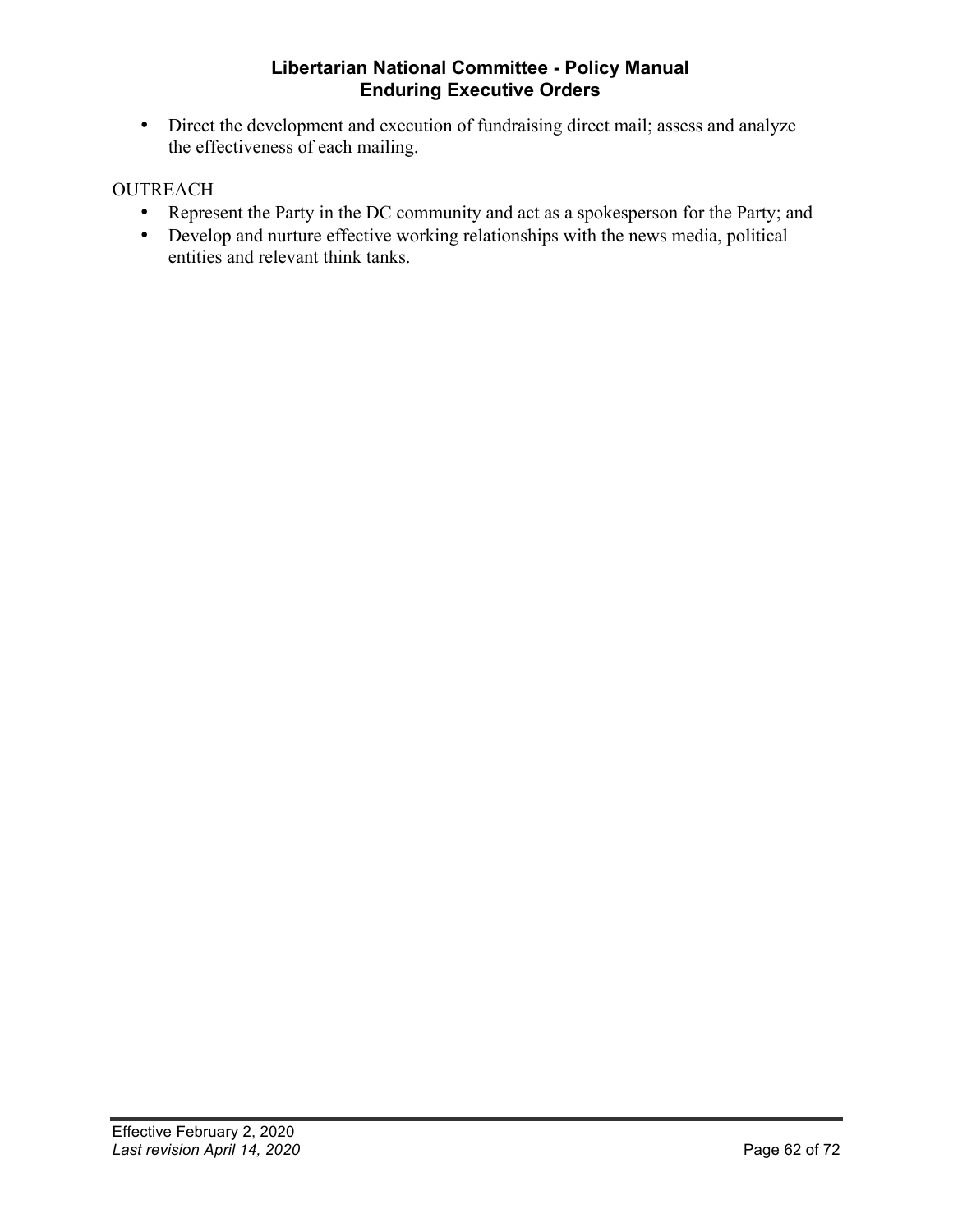• Direct the development and execution of fundraising direct mail; assess and analyze the effectiveness of each mailing.

#### **OUTREACH**

- Represent the Party in the DC community and act as a spokesperson for the Party; and
- Develop and nurture effective working relationships with the news media, political entities and relevant think tanks.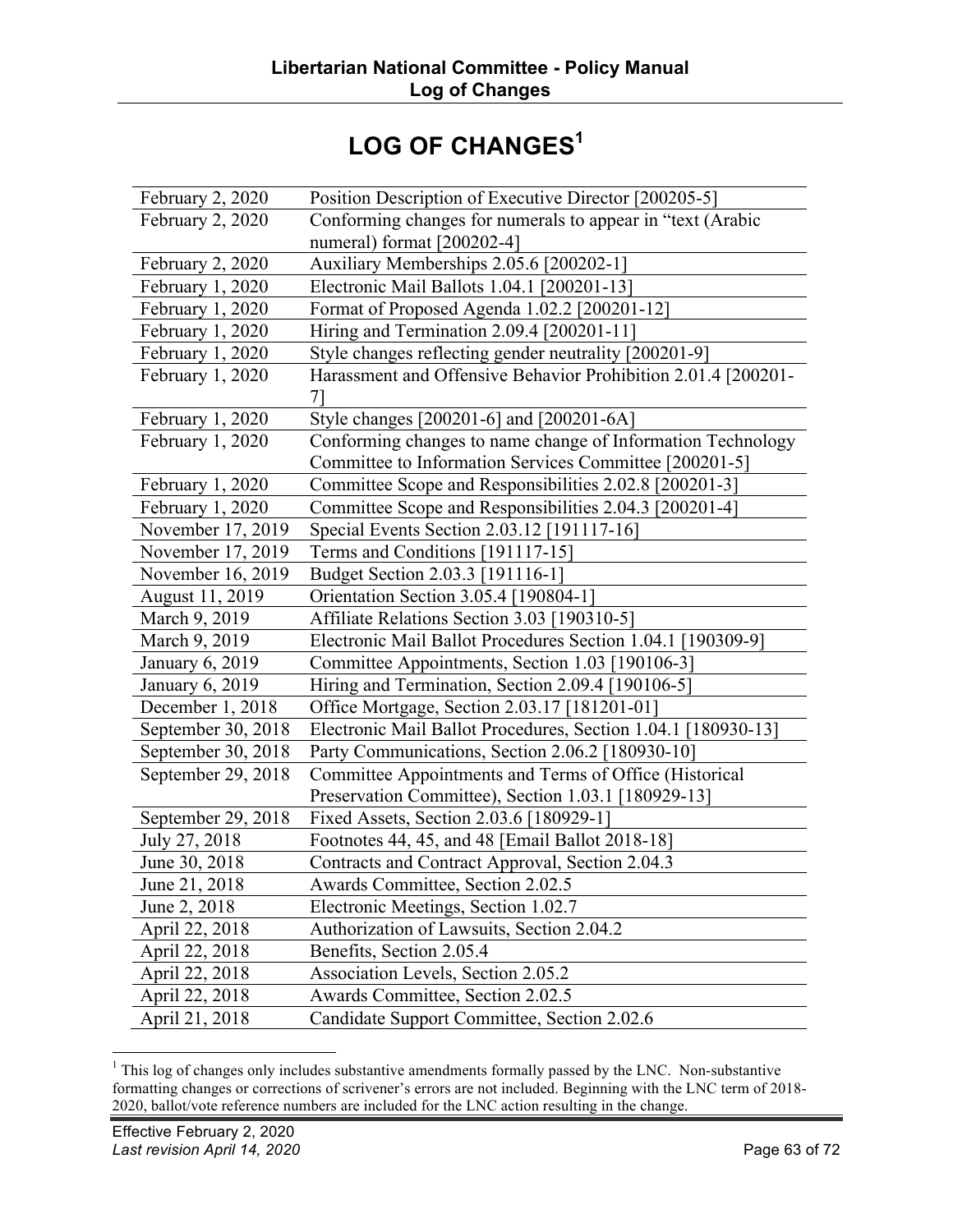# LOG OF CHANGES<sup>1</sup>

| February 2, 2020        | Position Description of Executive Director [200205-5]               |
|-------------------------|---------------------------------------------------------------------|
| February 2, 2020        | Conforming changes for numerals to appear in "text (Arabic          |
|                         | numeral) format [200202-4]                                          |
| <b>February 2, 2020</b> | Auxiliary Memberships 2.05.6 [200202-1]                             |
| February 1, 2020        | Electronic Mail Ballots 1.04.1 [200201-13]                          |
| February 1, 2020        | Format of Proposed Agenda 1.02.2 [200201-12]                        |
| February 1, 2020        | Hiring and Termination 2.09.4 [200201-11]                           |
| February 1, 2020        | Style changes reflecting gender neutrality [200201-9]               |
| February 1, 2020        | Harassment and Offensive Behavior Prohibition 2.01.4 [200201-<br>71 |
| February 1, 2020        | Style changes [200201-6] and [200201-6A]                            |
| February 1, 2020        | Conforming changes to name change of Information Technology         |
|                         | Committee to Information Services Committee [200201-5]              |
| February 1, 2020        | Committee Scope and Responsibilities 2.02.8 [200201-3]              |
| February 1, 2020        | Committee Scope and Responsibilities 2.04.3 [200201-4]              |
| November 17, 2019       | Special Events Section 2.03.12 [191117-16]                          |
| November 17, 2019       | Terms and Conditions [191117-15]                                    |
| November 16, 2019       | Budget Section 2.03.3 [191116-1]                                    |
| August 11, 2019         | Orientation Section 3.05.4 [190804-1]                               |
| March 9, 2019           | Affiliate Relations Section 3.03 [190310-5]                         |
| March 9, 2019           | Electronic Mail Ballot Procedures Section 1.04.1 [190309-9]         |
| <b>January 6, 2019</b>  | Committee Appointments, Section 1.03 [190106-3]                     |
| January 6, 2019         | Hiring and Termination, Section 2.09.4 [190106-5]                   |
| December 1, 2018        | Office Mortgage, Section 2.03.17 [181201-01]                        |
| September 30, 2018      | Electronic Mail Ballot Procedures, Section 1.04.1 [180930-13]       |
| September 30, 2018      | Party Communications, Section 2.06.2 [180930-10]                    |
| September 29, 2018      | Committee Appointments and Terms of Office (Historical              |
|                         | Preservation Committee), Section 1.03.1 [180929-13]                 |
| September 29, 2018      | Fixed Assets, Section 2.03.6 [180929-1]                             |
| July 27, 2018           | Footnotes 44, 45, and 48 [Email Ballot 2018-18]                     |
| June 30, 2018           | Contracts and Contract Approval, Section 2.04.3                     |
| June 21, 2018           | Awards Committee, Section 2.02.5                                    |
| June 2, 2018            | Electronic Meetings, Section 1.02.7                                 |
| April 22, 2018          | Authorization of Lawsuits, Section 2.04.2                           |
| April 22, 2018          | Benefits, Section 2.05.4                                            |
| April 22, 2018          | Association Levels, Section 2.05.2                                  |
| April 22, 2018          | Awards Committee, Section 2.02.5                                    |
| April 21, 2018          | Candidate Support Committee, Section 2.02.6                         |

<sup>&</sup>lt;sup>1</sup> This log of changes only includes substantive amendments formally passed by the LNC. Non-substantive formatting changes or corrections of scrivener's errors are not included. Beginning with the LNC term of 2018- 2020, ballot/vote reference numbers are included for the LNC action resulting in the change.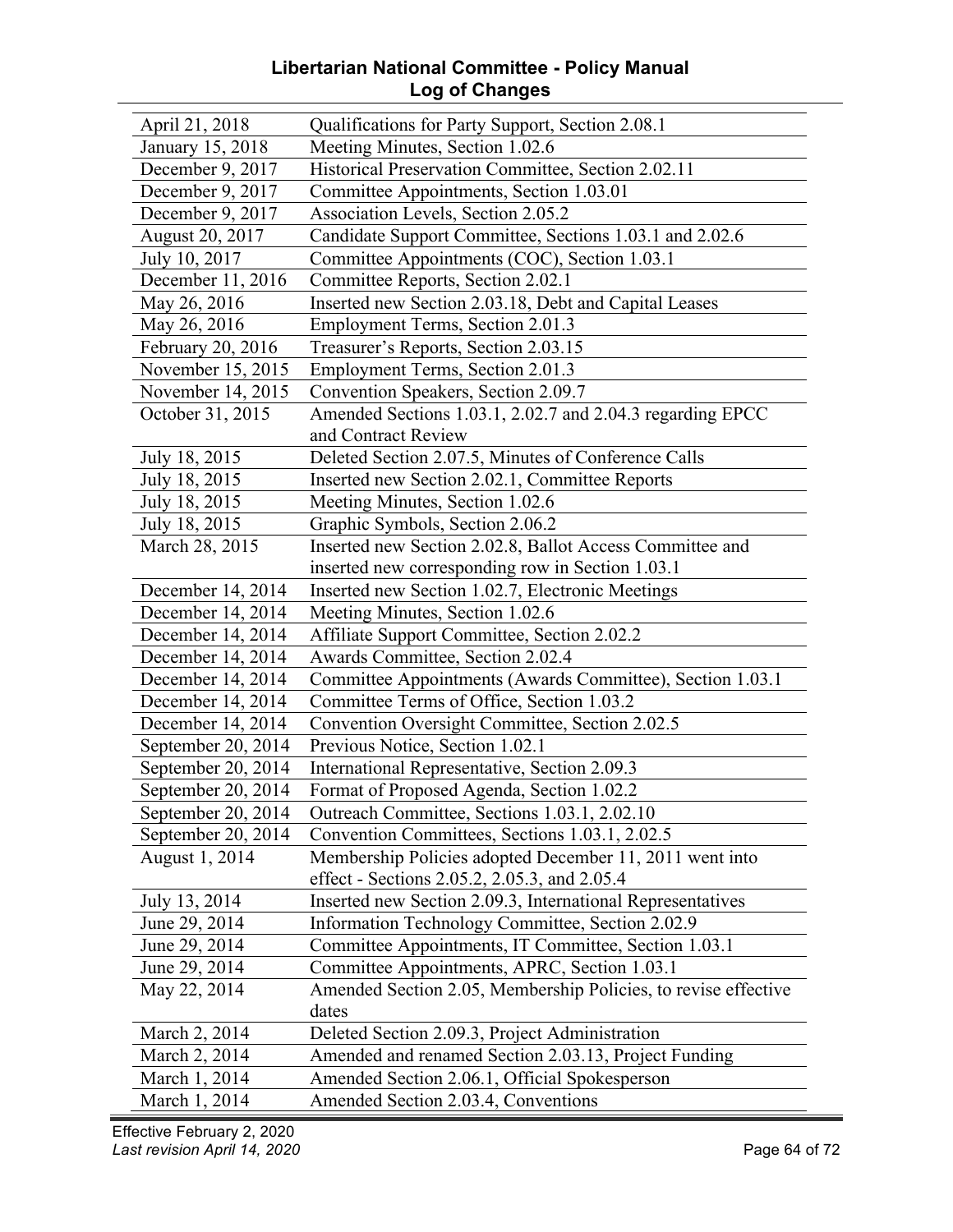#### **Libertarian National Committee - Policy Manual Log of Changes**

| April 21, 2018     | Qualifications for Party Support, Section 2.08.1               |
|--------------------|----------------------------------------------------------------|
| January 15, 2018   | Meeting Minutes, Section 1.02.6                                |
| December 9, 2017   | Historical Preservation Committee, Section 2.02.11             |
| December 9, 2017   | Committee Appointments, Section 1.03.01                        |
| December 9, 2017   | Association Levels, Section 2.05.2                             |
| August 20, 2017    | Candidate Support Committee, Sections 1.03.1 and 2.02.6        |
| July 10, 2017      | Committee Appointments (COC), Section 1.03.1                   |
| December 11, 2016  | Committee Reports, Section 2.02.1                              |
| May 26, 2016       | Inserted new Section 2.03.18, Debt and Capital Leases          |
| May 26, 2016       | Employment Terms, Section 2.01.3                               |
| February 20, 2016  | Treasurer's Reports, Section 2.03.15                           |
| November 15, 2015  | Employment Terms, Section 2.01.3                               |
| November 14, 2015  | Convention Speakers, Section 2.09.7                            |
| October 31, 2015   | Amended Sections 1.03.1, 2.02.7 and 2.04.3 regarding EPCC      |
|                    | and Contract Review                                            |
| July 18, 2015      | Deleted Section 2.07.5, Minutes of Conference Calls            |
| July 18, 2015      | Inserted new Section 2.02.1, Committee Reports                 |
| July 18, 2015      | Meeting Minutes, Section 1.02.6                                |
| July 18, 2015      | Graphic Symbols, Section 2.06.2                                |
| March 28, 2015     | Inserted new Section 2.02.8, Ballot Access Committee and       |
|                    | inserted new corresponding row in Section 1.03.1               |
| December 14, 2014  | Inserted new Section 1.02.7, Electronic Meetings               |
| December 14, 2014  | Meeting Minutes, Section 1.02.6                                |
| December 14, 2014  | Affiliate Support Committee, Section 2.02.2                    |
| December 14, 2014  | Awards Committee, Section 2.02.4                               |
| December 14, 2014  | Committee Appointments (Awards Committee), Section 1.03.1      |
| December 14, 2014  | Committee Terms of Office, Section 1.03.2                      |
| December 14, 2014  | Convention Oversight Committee, Section 2.02.5                 |
| September 20, 2014 | Previous Notice, Section 1.02.1                                |
| September 20, 2014 | International Representative, Section 2.09.3                   |
| September 20, 2014 | Format of Proposed Agenda, Section 1.02.2                      |
| September 20, 2014 | Outreach Committee, Sections 1.03.1, 2.02.10                   |
| September 20, 2014 | Convention Committees, Sections 1.03.1, 2.02.5                 |
| August 1, 2014     | Membership Policies adopted December 11, 2011 went into        |
|                    | effect - Sections 2.05.2, 2.05.3, and 2.05.4                   |
| July 13, 2014      | Inserted new Section 2.09.3, International Representatives     |
| June 29, 2014      | Information Technology Committee, Section 2.02.9               |
| June 29, 2014      | Committee Appointments, IT Committee, Section 1.03.1           |
| June 29, 2014      | Committee Appointments, APRC, Section 1.03.1                   |
| May 22, 2014       | Amended Section 2.05, Membership Policies, to revise effective |
|                    | dates                                                          |
| March 2, 2014      | Deleted Section 2.09.3, Project Administration                 |
| March 2, 2014      | Amended and renamed Section 2.03.13, Project Funding           |
| March 1, 2014      | Amended Section 2.06.1, Official Spokesperson                  |
| March 1, 2014      | Amended Section 2.03.4, Conventions                            |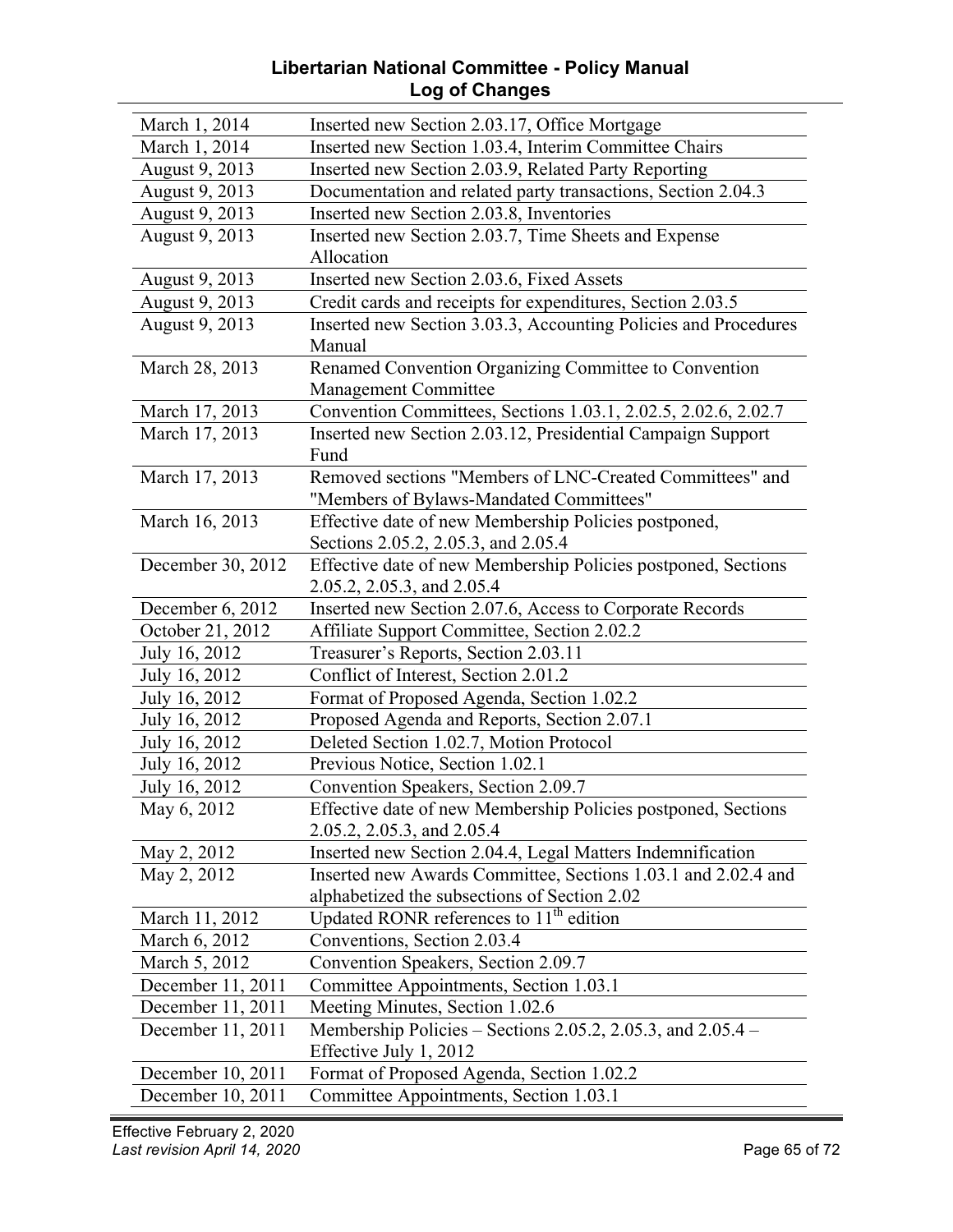#### **Libertarian National Committee - Policy Manual Log of Changes**

| March 1, 2014     | Inserted new Section 2.03.17, Office Mortgage                   |
|-------------------|-----------------------------------------------------------------|
| March 1, 2014     | Inserted new Section 1.03.4, Interim Committee Chairs           |
| August 9, 2013    | Inserted new Section 2.03.9, Related Party Reporting            |
| August 9, 2013    | Documentation and related party transactions, Section 2.04.3    |
| August 9, 2013    | Inserted new Section 2.03.8, Inventories                        |
| August 9, 2013    | Inserted new Section 2.03.7, Time Sheets and Expense            |
|                   | Allocation                                                      |
| August 9, 2013    | Inserted new Section 2.03.6, Fixed Assets                       |
| August 9, 2013    | Credit cards and receipts for expenditures, Section 2.03.5      |
| August 9, 2013    | Inserted new Section 3.03.3, Accounting Policies and Procedures |
|                   | Manual                                                          |
| March 28, 2013    | Renamed Convention Organizing Committee to Convention           |
|                   | Management Committee                                            |
| March 17, 2013    | Convention Committees, Sections 1.03.1, 2.02.5, 2.02.6, 2.02.7  |
| March 17, 2013    | Inserted new Section 2.03.12, Presidential Campaign Support     |
|                   | Fund                                                            |
| March 17, 2013    | Removed sections "Members of LNC-Created Committees" and        |
|                   | "Members of Bylaws-Mandated Committees"                         |
| March 16, 2013    | Effective date of new Membership Policies postponed,            |
|                   | Sections 2.05.2, 2.05.3, and 2.05.4                             |
| December 30, 2012 | Effective date of new Membership Policies postponed, Sections   |
|                   | 2.05.2, 2.05.3, and 2.05.4                                      |
| December 6, 2012  | Inserted new Section 2.07.6, Access to Corporate Records        |
| October 21, 2012  | Affiliate Support Committee, Section 2.02.2                     |
| July 16, 2012     | Treasurer's Reports, Section 2.03.11                            |
| July 16, 2012     | Conflict of Interest, Section 2.01.2                            |
| July 16, 2012     | Format of Proposed Agenda, Section 1.02.2                       |
| July 16, 2012     | Proposed Agenda and Reports, Section 2.07.1                     |
| July 16, 2012     | Deleted Section 1.02.7, Motion Protocol                         |
| July 16, 2012     | Previous Notice, Section 1.02.1                                 |
| July 16, 2012     | Convention Speakers, Section 2.09.7                             |
| May 6, 2012       | Effective date of new Membership Policies postponed, Sections   |
|                   | 2.05.2, 2.05.3, and 2.05.4                                      |
| May 2, 2012       | Inserted new Section 2.04.4, Legal Matters Indemnification      |
| May 2, 2012       | Inserted new Awards Committee, Sections 1.03.1 and 2.02.4 and   |
|                   | alphabetized the subsections of Section 2.02                    |
| March 11, 2012    | Updated RONR references to 11 <sup>th</sup> edition             |
| March 6, 2012     | Conventions, Section 2.03.4                                     |
| March 5, 2012     | Convention Speakers, Section 2.09.7                             |
| December 11, 2011 | Committee Appointments, Section 1.03.1                          |
| December 11, 2011 | Meeting Minutes, Section 1.02.6                                 |
| December 11, 2011 | Membership Policies – Sections 2.05.2, 2.05.3, and 2.05.4 –     |
|                   | Effective July 1, 2012                                          |
| December 10, 2011 | Format of Proposed Agenda, Section 1.02.2                       |
| December 10, 2011 | Committee Appointments, Section 1.03.1                          |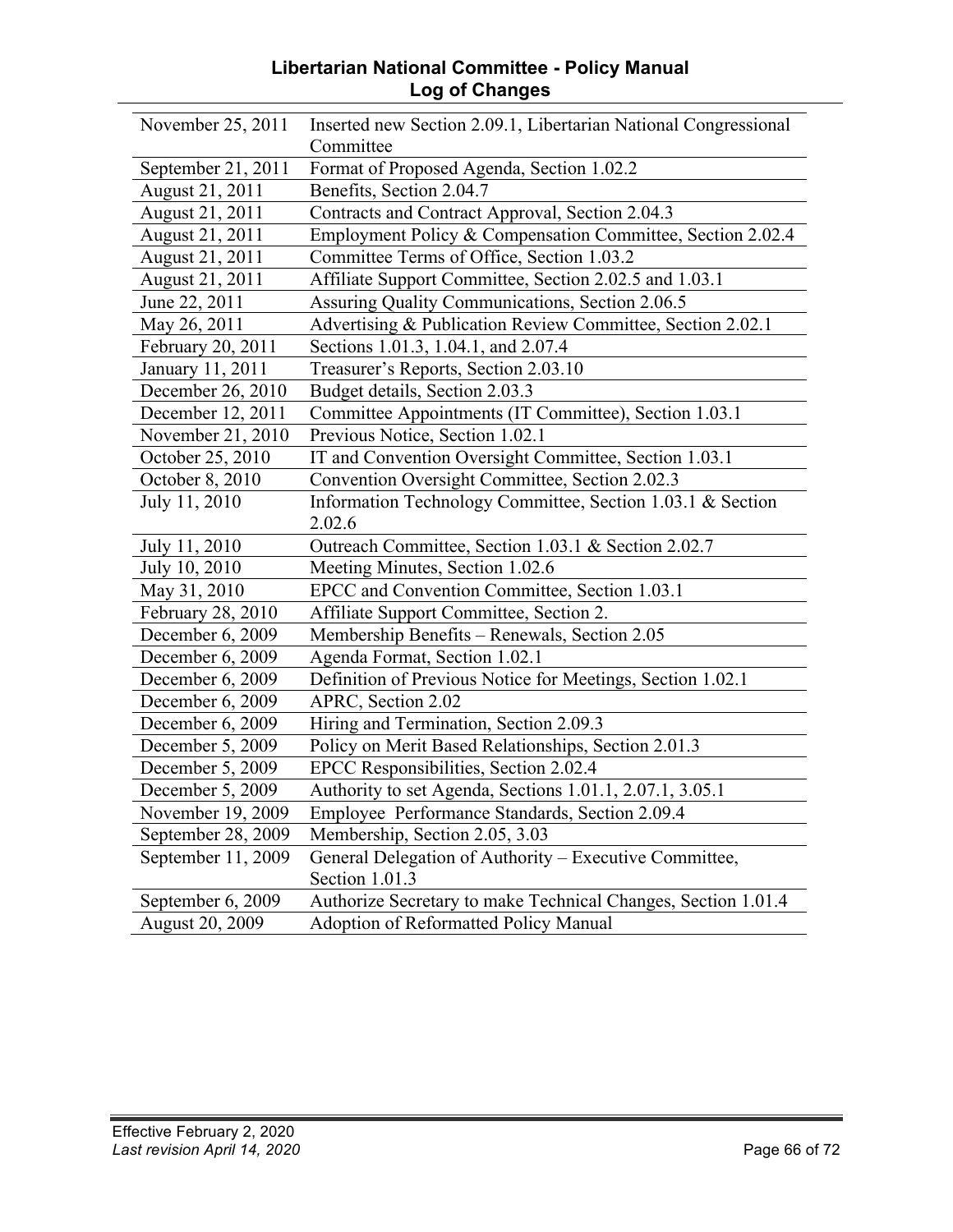#### **Libertarian National Committee - Policy Manual Log of Changes**

| November 25, 2011      | Inserted new Section 2.09.1, Libertarian National Congressional |
|------------------------|-----------------------------------------------------------------|
|                        | Committee                                                       |
| September 21, 2011     | Format of Proposed Agenda, Section 1.02.2                       |
| August 21, 2011        | Benefits, Section 2.04.7                                        |
| August 21, 2011        | Contracts and Contract Approval, Section 2.04.3                 |
| August 21, 2011        | Employment Policy & Compensation Committee, Section 2.02.4      |
| August 21, 2011        | Committee Terms of Office, Section 1.03.2                       |
| August 21, 2011        | Affiliate Support Committee, Section 2.02.5 and 1.03.1          |
| June 22, 2011          | Assuring Quality Communications, Section 2.06.5                 |
| May 26, 2011           | Advertising & Publication Review Committee, Section 2.02.1      |
| February 20, 2011      | Sections 1.01.3, 1.04.1, and 2.07.4                             |
| January 11, 2011       | Treasurer's Reports, Section 2.03.10                            |
| December 26, 2010      | Budget details, Section 2.03.3                                  |
| December 12, 2011      | Committee Appointments (IT Committee), Section 1.03.1           |
| November 21, 2010      | Previous Notice, Section 1.02.1                                 |
| October 25, 2010       | IT and Convention Oversight Committee, Section 1.03.1           |
| October 8, 2010        | Convention Oversight Committee, Section 2.02.3                  |
| July 11, 2010          | Information Technology Committee, Section 1.03.1 & Section      |
|                        | 2.02.6                                                          |
| July 11, 2010          | Outreach Committee, Section 1.03.1 & Section 2.02.7             |
| July 10, 2010          | Meeting Minutes, Section 1.02.6                                 |
| May 31, 2010           | EPCC and Convention Committee, Section 1.03.1                   |
| February 28, 2010      | Affiliate Support Committee, Section 2.                         |
| December 6, 2009       | Membership Benefits - Renewals, Section 2.05                    |
| December 6, 2009       | Agenda Format, Section 1.02.1                                   |
| December 6, 2009       | Definition of Previous Notice for Meetings, Section 1.02.1      |
| December 6, 2009       | APRC, Section 2.02                                              |
| December 6, 2009       | Hiring and Termination, Section 2.09.3                          |
| December 5, 2009       | Policy on Merit Based Relationships, Section 2.01.3             |
| December 5, 2009       | EPCC Responsibilities, Section 2.02.4                           |
| December 5, 2009       | Authority to set Agenda, Sections 1.01.1, 2.07.1, 3.05.1        |
| November 19, 2009      | Employee Performance Standards, Section 2.09.4                  |
| September 28, 2009     | Membership, Section 2.05, 3.03                                  |
| September 11, 2009     | General Delegation of Authority - Executive Committee,          |
|                        | Section 1.01.3                                                  |
| September 6, 2009      | Authorize Secretary to make Technical Changes, Section 1.01.4   |
| <b>August 20, 2009</b> | <b>Adoption of Reformatted Policy Manual</b>                    |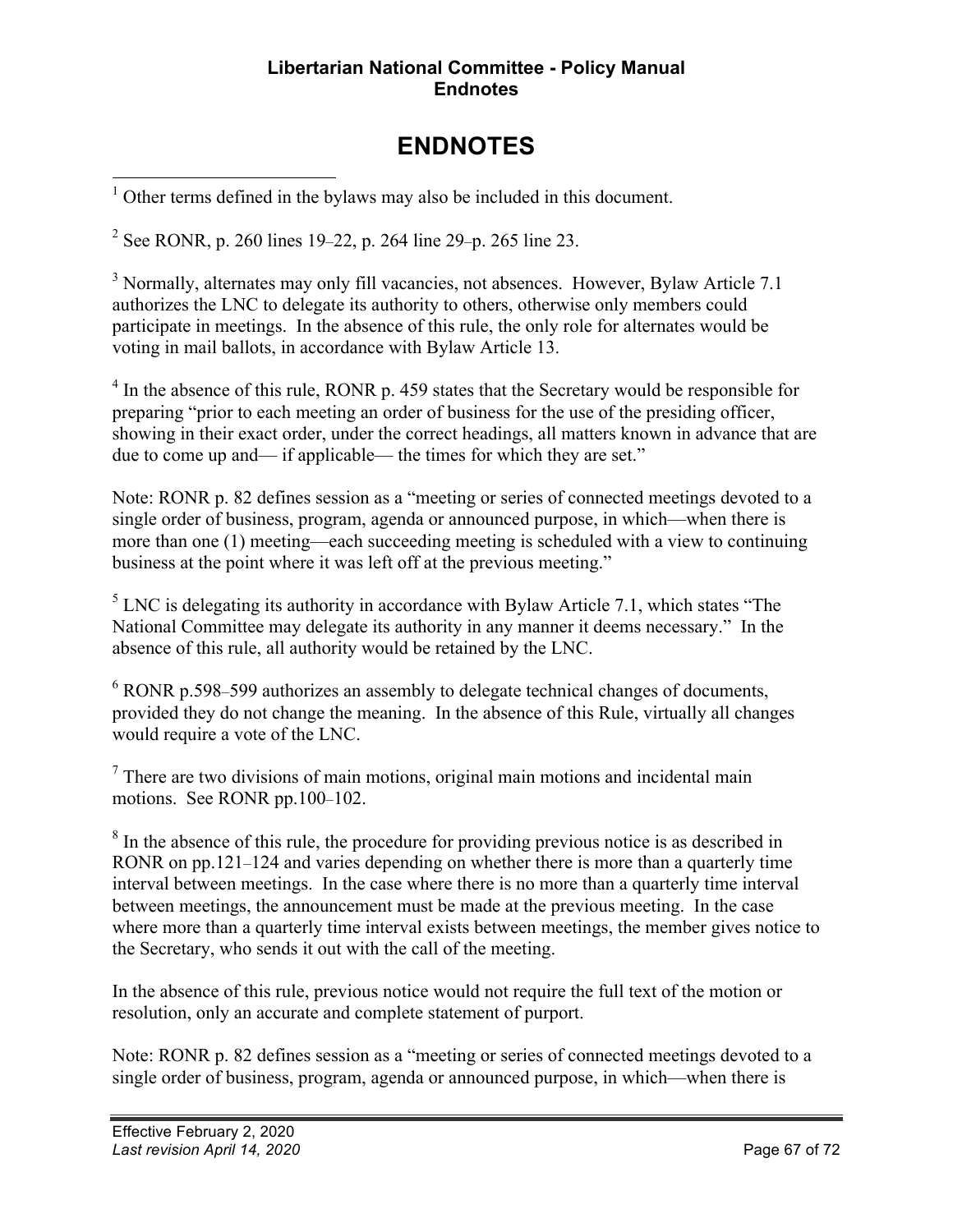#### **Libertarian National Committee - Policy Manual Endnotes**

# **ENDNOTES**

Other terms defined in the bylaws may also be included in this document.

<sup>2</sup> See RONR, p. 260 lines 19–22, p. 264 line 29–p. 265 line 23.

<sup>3</sup> Normally, alternates may only fill vacancies, not absences. However, Bylaw Article 7.1 authorizes the LNC to delegate its authority to others, otherwise only members could participate in meetings. In the absence of this rule, the only role for alternates would be voting in mail ballots, in accordance with Bylaw Article 13.

 $4\,\text{In the absence of this rule, RONR p. }$  459 states that the Secretary would be responsible for preparing "prior to each meeting an order of business for the use of the presiding officer, showing in their exact order, under the correct headings, all matters known in advance that are due to come up and— if applicable— the times for which they are set."

Note: RONR p. 82 defines session as a "meeting or series of connected meetings devoted to a single order of business, program, agenda or announced purpose, in which—when there is more than one (1) meeting—each succeeding meeting is scheduled with a view to continuing business at the point where it was left off at the previous meeting."

 $<sup>5</sup>$  LNC is delegating its authority in accordance with Bylaw Article 7.1, which states "The</sup> National Committee may delegate its authority in any manner it deems necessary." In the absence of this rule, all authority would be retained by the LNC.

<sup>6</sup> RONR p.598–599 authorizes an assembly to delegate technical changes of documents, provided they do not change the meaning. In the absence of this Rule, virtually all changes would require a vote of the LNC.

 $<sup>7</sup>$  There are two divisions of main motions, original main motions and incidental main</sup> motions. See RONR pp.100–102.

 $8\,$  In the absence of this rule, the procedure for providing previous notice is as described in RONR on pp.121–124 and varies depending on whether there is more than a quarterly time interval between meetings. In the case where there is no more than a quarterly time interval between meetings, the announcement must be made at the previous meeting. In the case where more than a quarterly time interval exists between meetings, the member gives notice to the Secretary, who sends it out with the call of the meeting.

In the absence of this rule, previous notice would not require the full text of the motion or resolution, only an accurate and complete statement of purport.

Note: RONR p. 82 defines session as a "meeting or series of connected meetings devoted to a single order of business, program, agenda or announced purpose, in which—when there is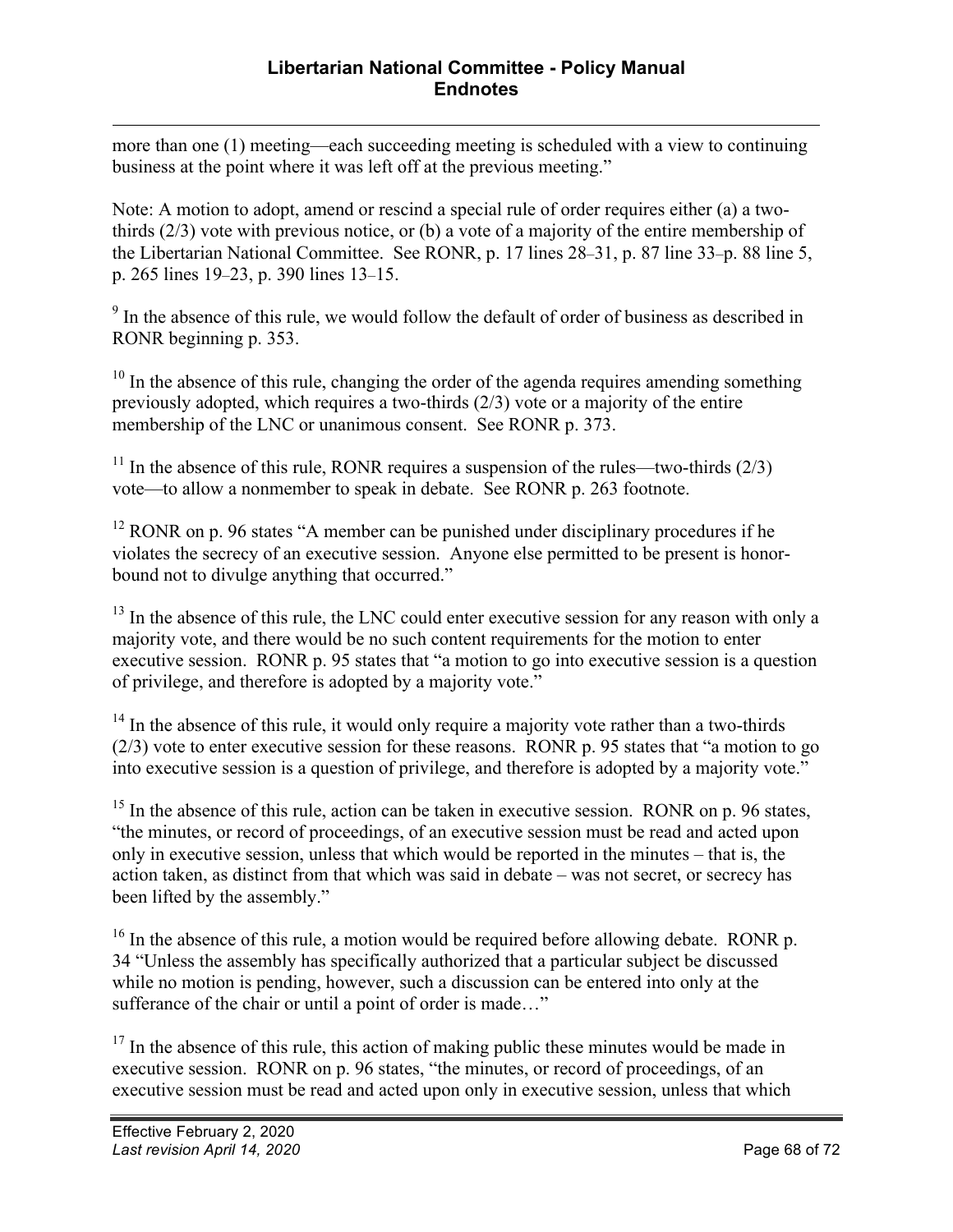more than one (1) meeting—each succeeding meeting is scheduled with a view to continuing business at the point where it was left off at the previous meeting."

Note: A motion to adopt, amend or rescind a special rule of order requires either (a) a twothirds (2/3) vote with previous notice, or (b) a vote of a majority of the entire membership of the Libertarian National Committee. See RONR, p. 17 lines 28–31, p. 87 line 33–p. 88 line 5, p. 265 lines 19–23, p. 390 lines 13–15.

<sup>9</sup> In the absence of this rule, we would follow the default of order of business as described in RONR beginning p. 353.

 $10$  In the absence of this rule, changing the order of the agenda requires amending something previously adopted, which requires a two-thirds (2/3) vote or a majority of the entire membership of the LNC or unanimous consent. See RONR p. 373.

<sup>11</sup> In the absence of this rule, RONR requires a suspension of the rules—two-thirds  $(2/3)$ vote—to allow a nonmember to speak in debate. See RONR p. 263 footnote.

 $12$  RONR on p. 96 states "A member can be punished under disciplinary procedures if he violates the secrecy of an executive session. Anyone else permitted to be present is honorbound not to divulge anything that occurred."

 $13$  In the absence of this rule, the LNC could enter executive session for any reason with only a majority vote, and there would be no such content requirements for the motion to enter executive session. RONR p. 95 states that "a motion to go into executive session is a question of privilege, and therefore is adopted by a majority vote."

 $14$  In the absence of this rule, it would only require a majority vote rather than a two-thirds (2/3) vote to enter executive session for these reasons. RONR p. 95 states that "a motion to go into executive session is a question of privilege, and therefore is adopted by a majority vote."

 $15$  In the absence of this rule, action can be taken in executive session. RONR on p. 96 states, "the minutes, or record of proceedings, of an executive session must be read and acted upon only in executive session, unless that which would be reported in the minutes – that is, the action taken, as distinct from that which was said in debate – was not secret, or secrecy has been lifted by the assembly."

<sup>16</sup> In the absence of this rule, a motion would be required before allowing debate. RONR p. 34 "Unless the assembly has specifically authorized that a particular subject be discussed while no motion is pending, however, such a discussion can be entered into only at the sufferance of the chair or until a point of order is made…"

 $17$  In the absence of this rule, this action of making public these minutes would be made in executive session. RONR on p. 96 states, "the minutes, or record of proceedings, of an executive session must be read and acted upon only in executive session, unless that which

 $\overline{a}$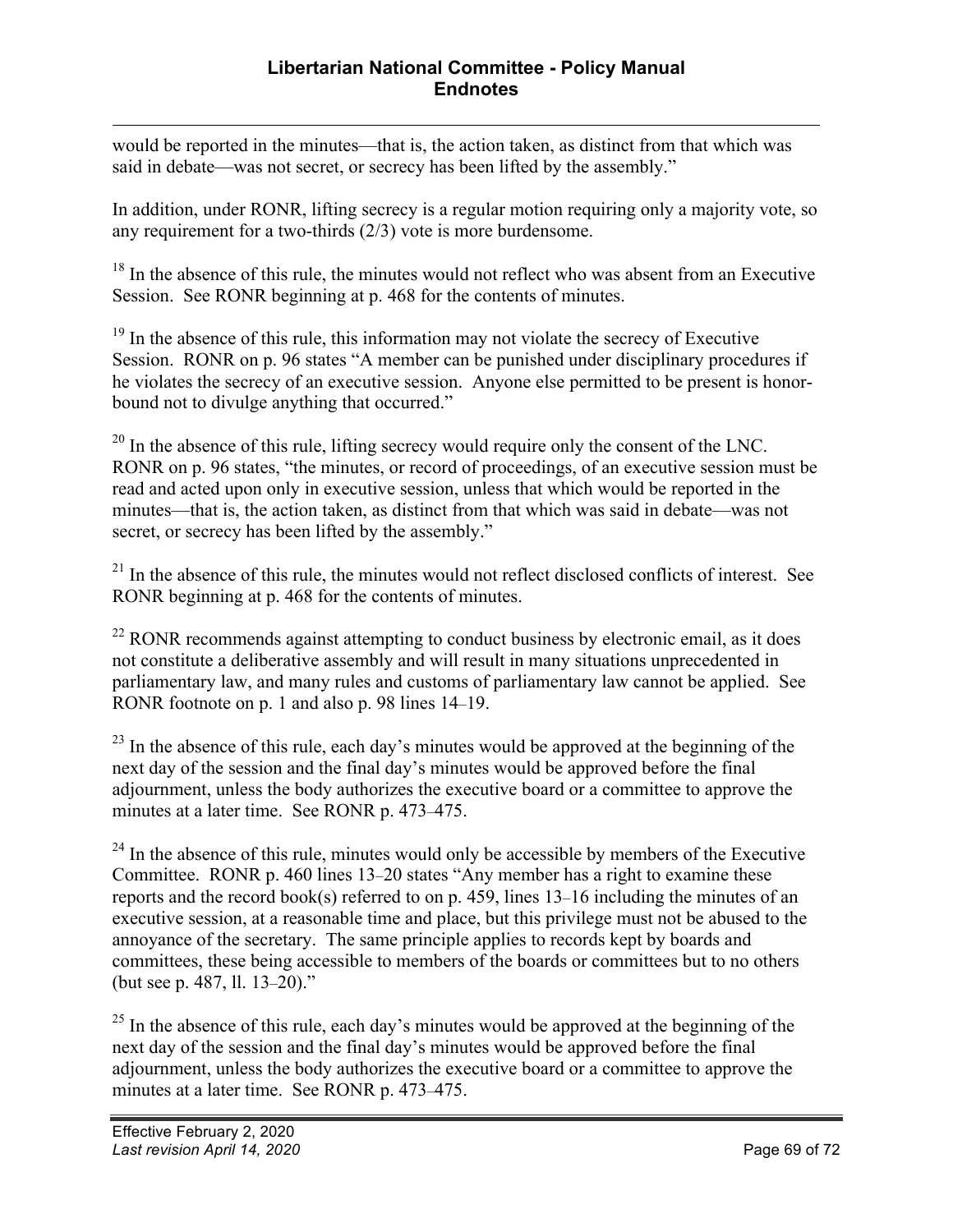$\overline{a}$ would be reported in the minutes—that is, the action taken, as distinct from that which was said in debate—was not secret, or secrecy has been lifted by the assembly."

In addition, under RONR, lifting secrecy is a regular motion requiring only a majority vote, so any requirement for a two-thirds (2/3) vote is more burdensome.

<sup>18</sup> In the absence of this rule, the minutes would not reflect who was absent from an Executive Session. See RONR beginning at p. 468 for the contents of minutes.

 $19$  In the absence of this rule, this information may not violate the secrecy of Executive Session. RONR on p. 96 states "A member can be punished under disciplinary procedures if he violates the secrecy of an executive session. Anyone else permitted to be present is honorbound not to divulge anything that occurred."

 $20$  In the absence of this rule, lifting secrecy would require only the consent of the LNC. RONR on p. 96 states, "the minutes, or record of proceedings, of an executive session must be read and acted upon only in executive session, unless that which would be reported in the minutes—that is, the action taken, as distinct from that which was said in debate—was not secret, or secrecy has been lifted by the assembly."

 $21$  In the absence of this rule, the minutes would not reflect disclosed conflicts of interest. See RONR beginning at p. 468 for the contents of minutes.

 $^{22}$  RONR recommends against attempting to conduct business by electronic email, as it does not constitute a deliberative assembly and will result in many situations unprecedented in parliamentary law, and many rules and customs of parliamentary law cannot be applied. See RONR footnote on p. 1 and also p. 98 lines 14–19.

 $^{23}$  In the absence of this rule, each day's minutes would be approved at the beginning of the next day of the session and the final day's minutes would be approved before the final adjournment, unless the body authorizes the executive board or a committee to approve the minutes at a later time. See RONR p. 473–475.

 $24$  In the absence of this rule, minutes would only be accessible by members of the Executive Committee. RONR p. 460 lines 13–20 states "Any member has a right to examine these reports and the record book(s) referred to on p. 459, lines 13–16 including the minutes of an executive session, at a reasonable time and place, but this privilege must not be abused to the annoyance of the secretary. The same principle applies to records kept by boards and committees, these being accessible to members of the boards or committees but to no others (but see p. 487, ll. 13–20)."

 $^{25}$  In the absence of this rule, each day's minutes would be approved at the beginning of the next day of the session and the final day's minutes would be approved before the final adjournment, unless the body authorizes the executive board or a committee to approve the minutes at a later time. See RONR p. 473–475.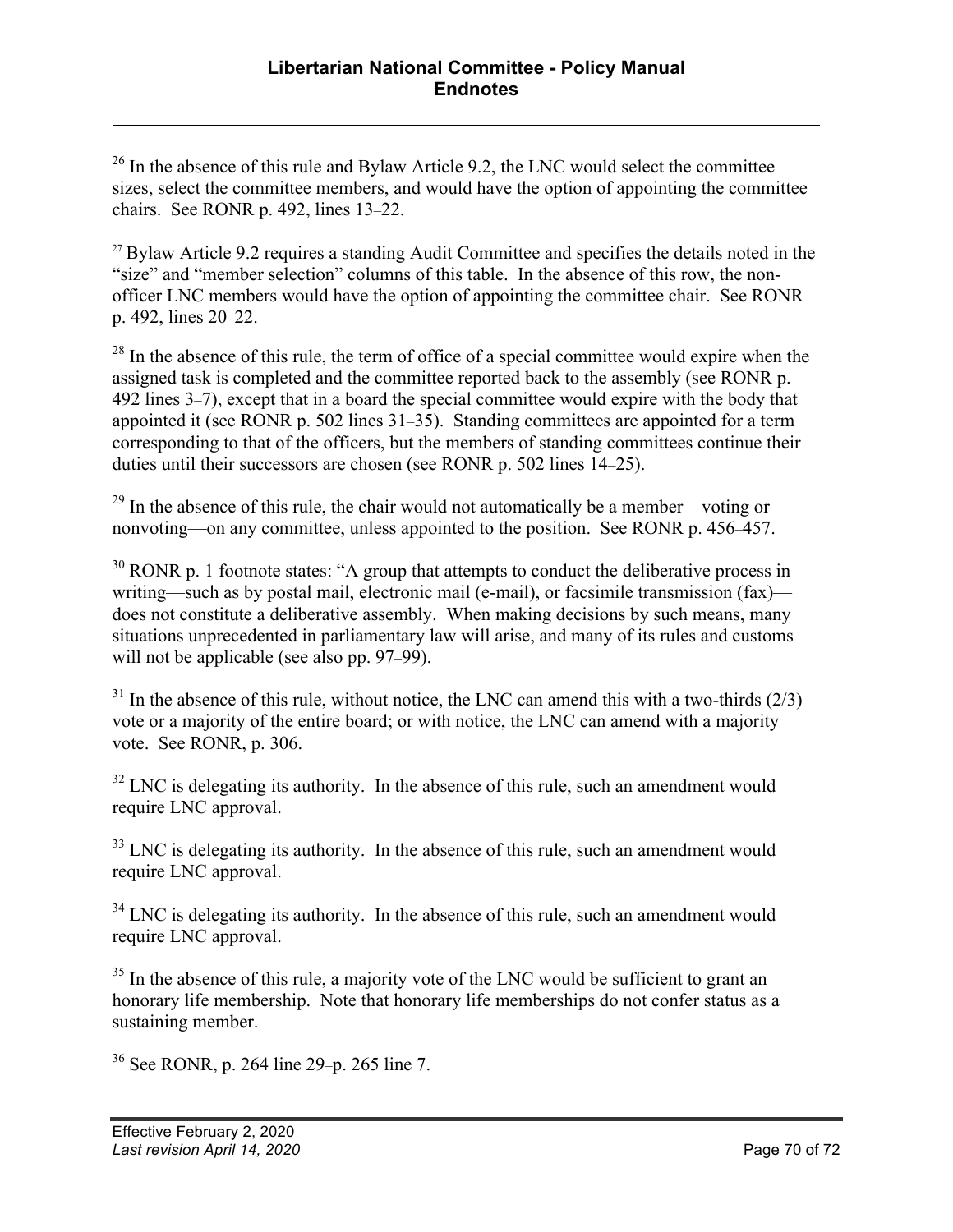$26$  In the absence of this rule and Bylaw Article 9.2, the LNC would select the committee sizes, select the committee members, and would have the option of appointing the committee chairs. See RONR p. 492, lines 13–22.

<sup>27</sup> Bylaw Article 9.2 requires a standing Audit Committee and specifies the details noted in the "size" and "member selection" columns of this table. In the absence of this row, the nonofficer LNC members would have the option of appointing the committee chair. See RONR p. 492, lines 20–22.

 $^{28}$  In the absence of this rule, the term of office of a special committee would expire when the assigned task is completed and the committee reported back to the assembly (see RONR p. 492 lines 3–7), except that in a board the special committee would expire with the body that appointed it (see RONR p. 502 lines 31–35). Standing committees are appointed for a term corresponding to that of the officers, but the members of standing committees continue their duties until their successors are chosen (see RONR p. 502 lines 14–25).

 $29$  In the absence of this rule, the chair would not automatically be a member—voting or nonvoting—on any committee, unless appointed to the position. See RONR p. 456–457.

 $30$  RONR p. 1 footnote states: "A group that attempts to conduct the deliberative process in writing—such as by postal mail, electronic mail (e-mail), or facsimile transmission (fax) does not constitute a deliberative assembly. When making decisions by such means, many situations unprecedented in parliamentary law will arise, and many of its rules and customs will not be applicable (see also pp. 97–99).

 $31$  In the absence of this rule, without notice, the LNC can amend this with a two-thirds (2/3) vote or a majority of the entire board; or with notice, the LNC can amend with a majority vote. See RONR, p. 306.

 $32$  LNC is delegating its authority. In the absence of this rule, such an amendment would require LNC approval.

 $33$  LNC is delegating its authority. In the absence of this rule, such an amendment would require LNC approval.

 $34$  LNC is delegating its authority. In the absence of this rule, such an amendment would require LNC approval.

 $35$  In the absence of this rule, a majority vote of the LNC would be sufficient to grant an honorary life membership. Note that honorary life memberships do not confer status as a sustaining member.

<sup>36</sup> See RONR, p. 264 line 29–p. 265 line 7.

 $\overline{a}$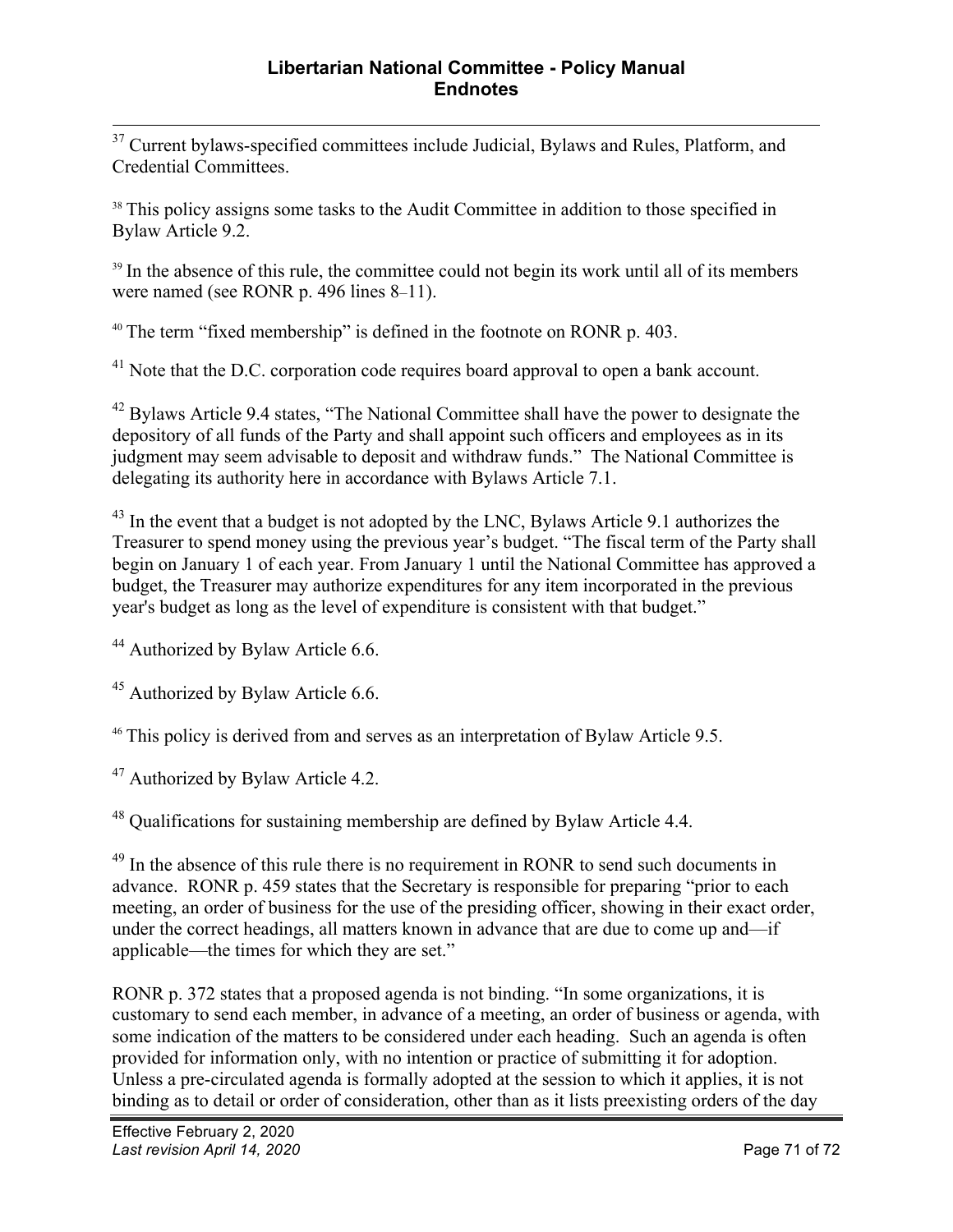<sup>37</sup> Current bylaws-specified committees include Judicial, Bylaws and Rules, Platform, and Credential Committees.

<sup>38</sup> This policy assigns some tasks to the Audit Committee in addition to those specified in Bylaw Article 9.2.

<sup>39</sup> In the absence of this rule, the committee could not begin its work until all of its members were named (see RONR p. 496 lines 8–11).

<sup>40</sup> The term "fixed membership" is defined in the footnote on RONR p. 403.

<sup>41</sup> Note that the D.C. corporation code requires board approval to open a bank account.

 $42$  Bylaws Article 9.4 states, "The National Committee shall have the power to designate the depository of all funds of the Party and shall appoint such officers and employees as in its judgment may seem advisable to deposit and withdraw funds." The National Committee is delegating its authority here in accordance with Bylaws Article 7.1.

 $43$  In the event that a budget is not adopted by the LNC, Bylaws Article 9.1 authorizes the Treasurer to spend money using the previous year's budget. "The fiscal term of the Party shall begin on January 1 of each year. From January 1 until the National Committee has approved a budget, the Treasurer may authorize expenditures for any item incorporated in the previous year's budget as long as the level of expenditure is consistent with that budget."

<sup>44</sup> Authorized by Bylaw Article 6.6.

<sup>45</sup> Authorized by Bylaw Article 6.6.

<sup>46</sup> This policy is derived from and serves as an interpretation of Bylaw Article 9.5.

<sup>47</sup> Authorized by Bylaw Article 4.2.

<sup>48</sup> Qualifications for sustaining membership are defined by Bylaw Article 4.4.

<sup>49</sup> In the absence of this rule there is no requirement in RONR to send such documents in advance. RONR p. 459 states that the Secretary is responsible for preparing "prior to each meeting, an order of business for the use of the presiding officer, showing in their exact order, under the correct headings, all matters known in advance that are due to come up and—if applicable—the times for which they are set."

RONR p. 372 states that a proposed agenda is not binding. "In some organizations, it is customary to send each member, in advance of a meeting, an order of business or agenda, with some indication of the matters to be considered under each heading. Such an agenda is often provided for information only, with no intention or practice of submitting it for adoption. Unless a pre-circulated agenda is formally adopted at the session to which it applies, it is not binding as to detail or order of consideration, other than as it lists preexisting orders of the day